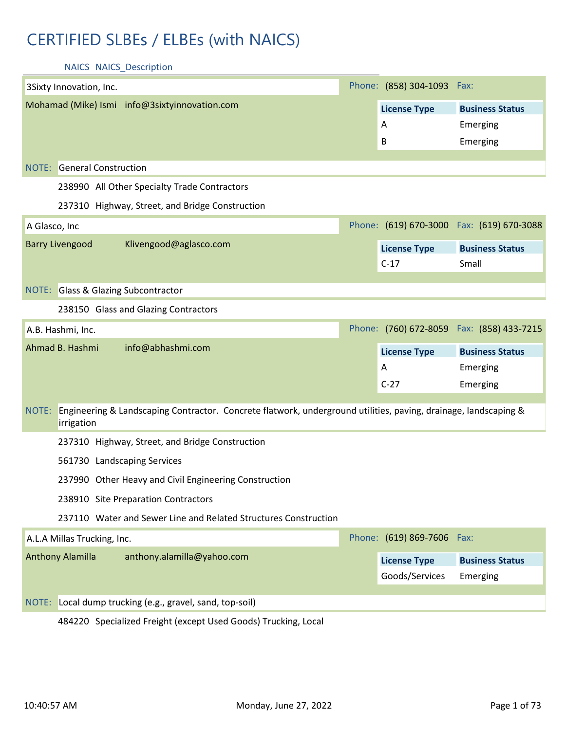# CERTIFIED SLBEs / ELBEs (with NAICS)

NAICS NAICS\_Description

|               | 3Sixty Innovation, Inc.                                                                                         | Phone: (858) 304-1093 Fax: |                                            |
|---------------|-----------------------------------------------------------------------------------------------------------------|----------------------------|--------------------------------------------|
|               | Mohamad (Mike) Ismi info@3sixtyinnovation.com                                                                   | <b>License Type</b>        | <b>Business Status</b>                     |
|               |                                                                                                                 | Α                          | Emerging                                   |
|               |                                                                                                                 | B                          | Emerging                                   |
|               | <b>NOTE:</b> General Construction                                                                               |                            |                                            |
|               |                                                                                                                 |                            |                                            |
|               | 238990 All Other Specialty Trade Contractors                                                                    |                            |                                            |
|               | 237310 Highway, Street, and Bridge Construction                                                                 |                            |                                            |
| A Glasco, Inc |                                                                                                                 |                            | Phone: (619) 670-3000 Fax: (619) 670-3088  |
|               | <b>Barry Livengood</b><br>Klivengood@aglasco.com                                                                | <b>License Type</b>        | <b>Business Status</b>                     |
|               |                                                                                                                 | $C-17$                     | Small                                      |
|               |                                                                                                                 |                            |                                            |
|               | NOTE: Glass & Glazing Subcontractor                                                                             |                            |                                            |
|               | 238150 Glass and Glazing Contractors                                                                            |                            |                                            |
|               | A.B. Hashmi, Inc.                                                                                               |                            | Phone: (760) 672-8059  Fax: (858) 433-7215 |
|               |                                                                                                                 |                            |                                            |
|               | Ahmad B. Hashmi<br>info@abhashmi.com                                                                            | <b>License Type</b>        | <b>Business Status</b>                     |
|               |                                                                                                                 | A                          | Emerging                                   |
|               |                                                                                                                 | $C-27$                     | Emerging                                   |
| NOTE:         | Engineering & Landscaping Contractor. Concrete flatwork, underground utilities, paving, drainage, landscaping & |                            |                                            |
|               | irrigation                                                                                                      |                            |                                            |
|               | 237310 Highway, Street, and Bridge Construction                                                                 |                            |                                            |
|               | 561730 Landscaping Services                                                                                     |                            |                                            |
|               | 237990 Other Heavy and Civil Engineering Construction                                                           |                            |                                            |
|               | 238910 Site Preparation Contractors                                                                             |                            |                                            |
|               | 237110 Water and Sewer Line and Related Structures Construction                                                 |                            |                                            |
|               | A.L.A Millas Trucking, Inc.                                                                                     | Phone: (619) 869-7606 Fax: |                                            |
|               | Anthony Alamilla<br>anthony.alamilla@yahoo.com                                                                  | <b>License Type</b>        | <b>Business Status</b>                     |
|               |                                                                                                                 | Goods/Services             | Emerging                                   |
|               |                                                                                                                 |                            |                                            |
| NOTE:         | Local dump trucking (e.g., gravel, sand, top-soil)                                                              |                            |                                            |

484220 Specialized Freight (except Used Goods) Trucking, Local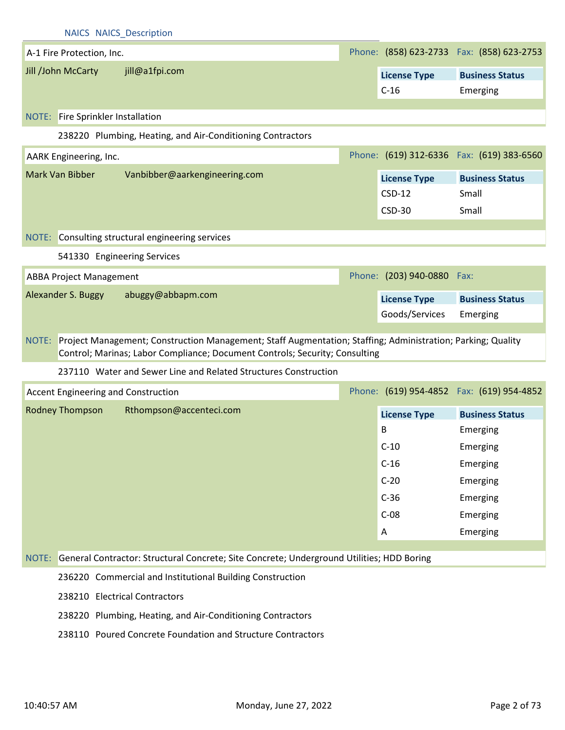| <b>NAICS NAICS Description</b>                                                                                                                                                                      |  |                                                  |                                            |  |
|-----------------------------------------------------------------------------------------------------------------------------------------------------------------------------------------------------|--|--------------------------------------------------|--------------------------------------------|--|
| A-1 Fire Protection, Inc.                                                                                                                                                                           |  |                                                  | Phone: (858) 623-2733  Fax: (858) 623-2753 |  |
| Jill /John McCarty<br>jill@a1fpi.com                                                                                                                                                                |  | <b>License Type</b><br>$C-16$                    | <b>Business Status</b><br>Emerging         |  |
| NOTE: Fire Sprinkler Installation                                                                                                                                                                   |  |                                                  |                                            |  |
| 238220 Plumbing, Heating, and Air-Conditioning Contractors                                                                                                                                          |  |                                                  |                                            |  |
| AARK Engineering, Inc.                                                                                                                                                                              |  |                                                  | Phone: (619) 312-6336  Fax: (619) 383-6560 |  |
| Mark Van Bibber<br>Vanbibber@aarkengineering.com                                                                                                                                                    |  | <b>License Type</b><br>$CSD-12$<br><b>CSD-30</b> | <b>Business Status</b><br>Small<br>Small   |  |
| NOTE: Consulting structural engineering services                                                                                                                                                    |  |                                                  |                                            |  |
| 541330 Engineering Services                                                                                                                                                                         |  |                                                  |                                            |  |
| <b>ABBA Project Management</b>                                                                                                                                                                      |  | Phone: (203) 940-0880 Fax:                       |                                            |  |
| Alexander S. Buggy<br>abuggy@abbapm.com                                                                                                                                                             |  | <b>License Type</b><br>Goods/Services            | <b>Business Status</b><br>Emerging         |  |
| Project Management; Construction Management; Staff Augmentation; Staffing; Administration; Parking; Quality<br>NOTE:<br>Control; Marinas; Labor Compliance; Document Controls; Security; Consulting |  |                                                  |                                            |  |
| 237110 Water and Sewer Line and Related Structures Construction                                                                                                                                     |  |                                                  |                                            |  |
| Accent Engineering and Construction                                                                                                                                                                 |  |                                                  | Phone: (619) 954-4852  Fax: (619) 954-4852 |  |
| Rodney Thompson<br>Rthompson@accenteci.com                                                                                                                                                          |  | <b>License Type</b>                              | <b>Business Status</b>                     |  |
|                                                                                                                                                                                                     |  | B                                                | Emerging                                   |  |
|                                                                                                                                                                                                     |  | $C-10$                                           | Emerging                                   |  |
|                                                                                                                                                                                                     |  | $C-16$                                           | Emerging                                   |  |
|                                                                                                                                                                                                     |  | $C-20$                                           | Emerging                                   |  |
|                                                                                                                                                                                                     |  | $C-36$                                           | Emerging                                   |  |
|                                                                                                                                                                                                     |  | $C-08$                                           | Emerging                                   |  |
|                                                                                                                                                                                                     |  | A                                                | Emerging                                   |  |
| General Contractor: Structural Concrete; Site Concrete; Underground Utilities; HDD Boring<br>NOTE:                                                                                                  |  |                                                  |                                            |  |
| 236220 Commercial and Institutional Building Construction                                                                                                                                           |  |                                                  |                                            |  |
| 238210 Electrical Contractors                                                                                                                                                                       |  |                                                  |                                            |  |
| 238220 Plumbing, Heating, and Air-Conditioning Contractors                                                                                                                                          |  |                                                  |                                            |  |

238110 Poured Concrete Foundation and Structure Contractors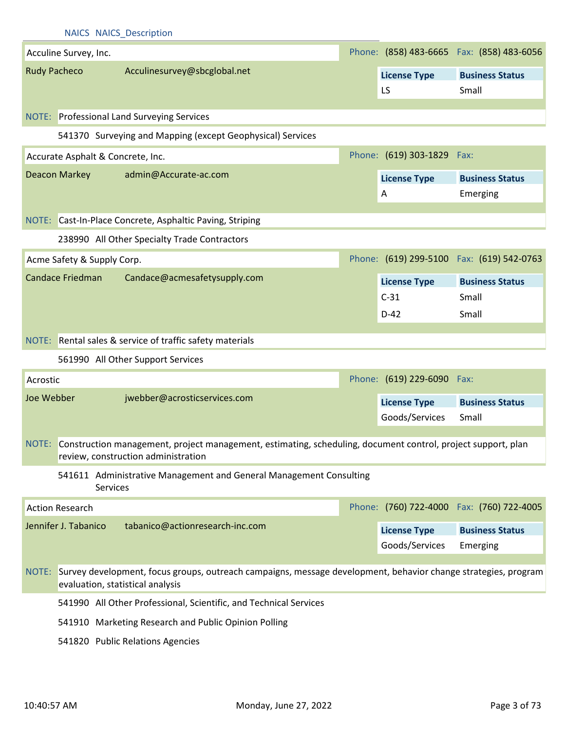|            |                                   | <b>NAICS NAICS Description</b>                                                                                                                            |                            |                                            |
|------------|-----------------------------------|-----------------------------------------------------------------------------------------------------------------------------------------------------------|----------------------------|--------------------------------------------|
|            | Acculine Survey, Inc.             |                                                                                                                                                           |                            | Phone: (858) 483-6665  Fax: (858) 483-6056 |
|            | <b>Rudy Pacheco</b>               | Acculinesurvey@sbcglobal.net                                                                                                                              | <b>License Type</b>        | <b>Business Status</b>                     |
|            |                                   |                                                                                                                                                           | LS                         | Small                                      |
|            |                                   |                                                                                                                                                           |                            |                                            |
|            |                                   | <b>NOTE:</b> Professional Land Surveying Services                                                                                                         |                            |                                            |
|            |                                   | 541370 Surveying and Mapping (except Geophysical) Services                                                                                                |                            |                                            |
|            | Accurate Asphalt & Concrete, Inc. |                                                                                                                                                           | Phone: (619) 303-1829 Fax: |                                            |
|            | <b>Deacon Markey</b>              | admin@Accurate-ac.com                                                                                                                                     | <b>License Type</b>        | <b>Business Status</b>                     |
|            |                                   |                                                                                                                                                           | A                          | Emerging                                   |
|            |                                   | NOTE: Cast-In-Place Concrete, Asphaltic Paving, Striping                                                                                                  |                            |                                            |
|            |                                   | 238990 All Other Specialty Trade Contractors                                                                                                              |                            |                                            |
|            |                                   |                                                                                                                                                           |                            |                                            |
|            | Acme Safety & Supply Corp.        |                                                                                                                                                           |                            | Phone: (619) 299-5100 Fax: (619) 542-0763  |
|            | <b>Candace Friedman</b>           | Candace@acmesafetysupply.com                                                                                                                              | <b>License Type</b>        | <b>Business Status</b>                     |
|            |                                   |                                                                                                                                                           | $C-31$                     | Small                                      |
|            |                                   |                                                                                                                                                           | $D-42$                     | Small                                      |
|            |                                   | NOTE: Rental sales & service of traffic safety materials                                                                                                  |                            |                                            |
|            |                                   |                                                                                                                                                           |                            |                                            |
|            |                                   | 561990 All Other Support Services                                                                                                                         |                            |                                            |
| Acrostic   |                                   |                                                                                                                                                           | Phone: (619) 229-6090 Fax: |                                            |
| Joe Webber |                                   | jwebber@acrosticservices.com                                                                                                                              | <b>License Type</b>        | <b>Business Status</b>                     |
|            |                                   |                                                                                                                                                           | Goods/Services             | Small                                      |
|            |                                   | NOTE: Construction management, project management, estimating, scheduling, document control, project support, plan<br>review, construction administration |                            |                                            |
|            | <b>Services</b>                   | 541611 Administrative Management and General Management Consulting                                                                                        |                            |                                            |
|            | <b>Action Research</b>            |                                                                                                                                                           |                            | Phone: (760) 722-4000 Fax: (760) 722-4005  |
|            | Jennifer J. Tabanico              | tabanico@actionresearch-inc.com                                                                                                                           | <b>License Type</b>        | <b>Business Status</b>                     |
|            |                                   |                                                                                                                                                           | Goods/Services             | Emerging                                   |
|            |                                   |                                                                                                                                                           |                            |                                            |
| NOTE:      |                                   | Survey development, focus groups, outreach campaigns, message development, behavior change strategies, program<br>evaluation, statistical analysis        |                            |                                            |
|            |                                   | 541990 All Other Professional, Scientific, and Technical Services                                                                                         |                            |                                            |
|            |                                   | 541910 Marketing Research and Public Opinion Polling                                                                                                      |                            |                                            |
|            |                                   | 541820 Public Relations Agencies                                                                                                                          |                            |                                            |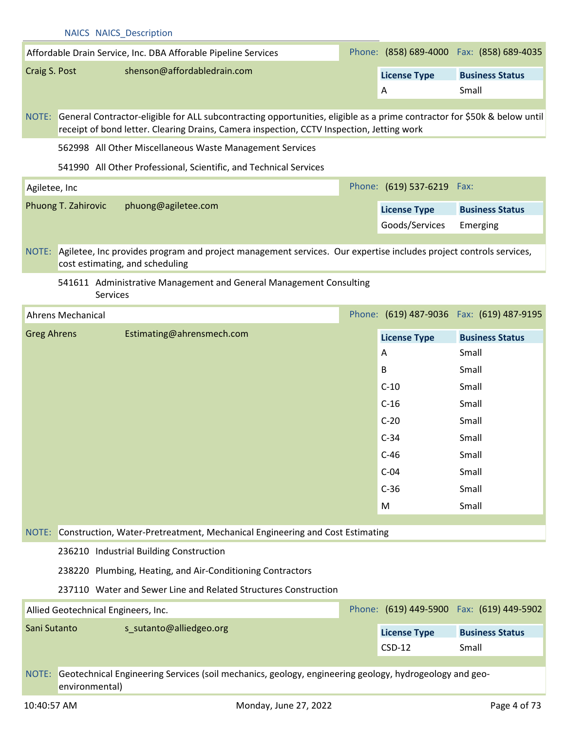|                    | <b>NAICS NAICS Description</b>                                                                                                                                                                                              |                            |                                            |
|--------------------|-----------------------------------------------------------------------------------------------------------------------------------------------------------------------------------------------------------------------------|----------------------------|--------------------------------------------|
|                    | Affordable Drain Service, Inc. DBA Afforable Pipeline Services                                                                                                                                                              |                            | Phone: (858) 689-4000 Fax: (858) 689-4035  |
| Craig S. Post      | shenson@affordabledrain.com                                                                                                                                                                                                 | <b>License Type</b>        | <b>Business Status</b>                     |
|                    |                                                                                                                                                                                                                             | A                          | Small                                      |
|                    | NOTE: General Contractor-eligible for ALL subcontracting opportunities, eligible as a prime contractor for \$50k & below until<br>receipt of bond letter. Clearing Drains, Camera inspection, CCTV Inspection, Jetting work |                            |                                            |
|                    | 562998 All Other Miscellaneous Waste Management Services                                                                                                                                                                    |                            |                                            |
|                    | 541990 All Other Professional, Scientific, and Technical Services                                                                                                                                                           |                            |                                            |
| Agiletee, Inc      |                                                                                                                                                                                                                             | Phone: (619) 537-6219 Fax: |                                            |
|                    | Phuong T. Zahirovic<br>phuong@agiletee.com                                                                                                                                                                                  | <b>License Type</b>        | <b>Business Status</b>                     |
|                    |                                                                                                                                                                                                                             | Goods/Services             | Emerging                                   |
|                    |                                                                                                                                                                                                                             |                            |                                            |
|                    | NOTE: Agiletee, Inc provides program and project management services. Our expertise includes project controls services,<br>cost estimating, and scheduling                                                                  |                            |                                            |
|                    | 541611 Administrative Management and General Management Consulting                                                                                                                                                          |                            |                                            |
|                    | <b>Services</b>                                                                                                                                                                                                             |                            |                                            |
|                    | <b>Ahrens Mechanical</b>                                                                                                                                                                                                    |                            | Phone: (619) 487-9036  Fax: (619) 487-9195 |
| <b>Greg Ahrens</b> | Estimating@ahrensmech.com                                                                                                                                                                                                   | <b>License Type</b>        | <b>Business Status</b>                     |
|                    |                                                                                                                                                                                                                             | A                          | Small                                      |
|                    |                                                                                                                                                                                                                             | B                          | Small                                      |
|                    |                                                                                                                                                                                                                             | $C-10$                     | Small                                      |
|                    |                                                                                                                                                                                                                             | $C-16$                     | Small                                      |
|                    |                                                                                                                                                                                                                             | $C-20$                     | Small                                      |
|                    |                                                                                                                                                                                                                             | $C-34$                     | Small                                      |
|                    |                                                                                                                                                                                                                             | $C-46$                     | Small                                      |
|                    |                                                                                                                                                                                                                             | $C-04$                     | Small                                      |
|                    |                                                                                                                                                                                                                             | $C-36$                     | Small                                      |
|                    |                                                                                                                                                                                                                             | M                          | Small                                      |
| NOTE:              | Construction, Water-Pretreatment, Mechanical Engineering and Cost Estimating                                                                                                                                                |                            |                                            |
|                    | 236210 Industrial Building Construction                                                                                                                                                                                     |                            |                                            |
|                    | 238220 Plumbing, Heating, and Air-Conditioning Contractors                                                                                                                                                                  |                            |                                            |
|                    | 237110 Water and Sewer Line and Related Structures Construction                                                                                                                                                             |                            |                                            |
|                    | Allied Geotechnical Engineers, Inc.                                                                                                                                                                                         |                            | Phone: (619) 449-5900 Fax: (619) 449-5902  |
| Sani Sutanto       | s_sutanto@alliedgeo.org                                                                                                                                                                                                     | <b>License Type</b>        | <b>Business Status</b>                     |
|                    |                                                                                                                                                                                                                             | $CSD-12$                   | Small                                      |
|                    | NOTE: Geotechnical Engineering Services (soil mechanics, geology, engineering geology, hydrogeology and geo-                                                                                                                |                            |                                            |
|                    | environmental)                                                                                                                                                                                                              |                            |                                            |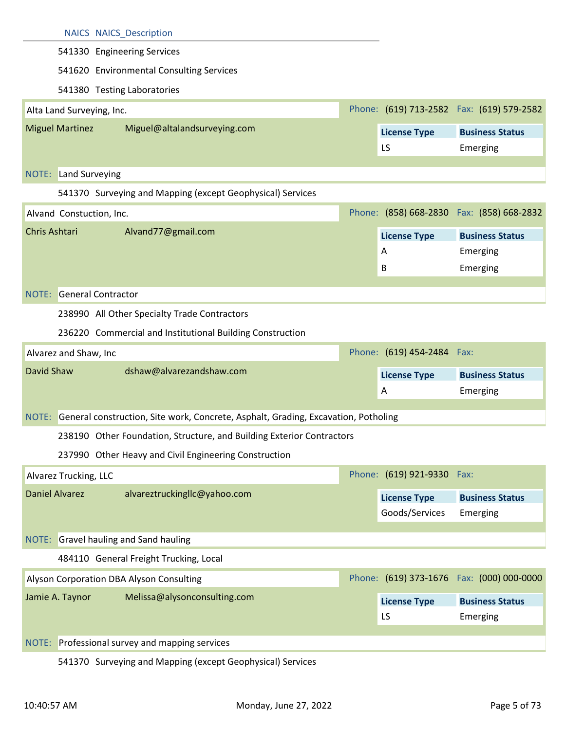|                                                                                           | <b>NAICS NAICS Description</b>                                                     |  |                            |                                            |  |  |  |
|-------------------------------------------------------------------------------------------|------------------------------------------------------------------------------------|--|----------------------------|--------------------------------------------|--|--|--|
|                                                                                           | 541330 Engineering Services                                                        |  |                            |                                            |  |  |  |
|                                                                                           | 541620 Environmental Consulting Services                                           |  |                            |                                            |  |  |  |
|                                                                                           | 541380 Testing Laboratories                                                        |  |                            |                                            |  |  |  |
| Alta Land Surveying, Inc.                                                                 |                                                                                    |  |                            | Phone: (619) 713-2582  Fax: (619) 579-2582 |  |  |  |
| <b>Miguel Martinez</b>                                                                    | Miguel@altalandsurveying.com                                                       |  | <b>License Type</b>        | <b>Business Status</b>                     |  |  |  |
|                                                                                           |                                                                                    |  | LS                         | Emerging                                   |  |  |  |
|                                                                                           |                                                                                    |  |                            |                                            |  |  |  |
| <b>NOTE:</b> Land Surveying<br>541370 Surveying and Mapping (except Geophysical) Services |                                                                                    |  |                            |                                            |  |  |  |
|                                                                                           |                                                                                    |  |                            | Phone: (858) 668-2830  Fax: (858) 668-2832 |  |  |  |
| Alvand Constuction, Inc.                                                                  |                                                                                    |  |                            |                                            |  |  |  |
| Chris Ashtari                                                                             | Alvand77@gmail.com                                                                 |  | <b>License Type</b>        | <b>Business Status</b>                     |  |  |  |
|                                                                                           |                                                                                    |  | A                          | Emerging                                   |  |  |  |
|                                                                                           |                                                                                    |  | B                          | Emerging                                   |  |  |  |
|                                                                                           | <b>NOTE:</b> General Contractor                                                    |  |                            |                                            |  |  |  |
|                                                                                           | 238990 All Other Specialty Trade Contractors                                       |  |                            |                                            |  |  |  |
| 236220 Commercial and Institutional Building Construction                                 |                                                                                    |  |                            |                                            |  |  |  |
|                                                                                           | Phone: (619) 454-2484 Fax:<br>Alvarez and Shaw, Inc                                |  |                            |                                            |  |  |  |
| David Shaw                                                                                | dshaw@alvarezandshaw.com                                                           |  |                            |                                            |  |  |  |
|                                                                                           |                                                                                    |  | <b>License Type</b><br>A   | <b>Business Status</b><br>Emerging         |  |  |  |
|                                                                                           |                                                                                    |  |                            |                                            |  |  |  |
| NOTE:                                                                                     | General construction, Site work, Concrete, Asphalt, Grading, Excavation, Potholing |  |                            |                                            |  |  |  |
|                                                                                           | 238190 Other Foundation, Structure, and Building Exterior Contractors              |  |                            |                                            |  |  |  |
|                                                                                           | 237990 Other Heavy and Civil Engineering Construction                              |  |                            |                                            |  |  |  |
| Alvarez Trucking, LLC                                                                     |                                                                                    |  | Phone: (619) 921-9330 Fax: |                                            |  |  |  |
| <b>Daniel Alvarez</b>                                                                     | alvareztruckingllc@yahoo.com                                                       |  | <b>License Type</b>        | <b>Business Status</b>                     |  |  |  |
|                                                                                           |                                                                                    |  | Goods/Services             | Emerging                                   |  |  |  |
|                                                                                           |                                                                                    |  |                            |                                            |  |  |  |
|                                                                                           | NOTE: Gravel hauling and Sand hauling                                              |  |                            |                                            |  |  |  |
|                                                                                           | 484110 General Freight Trucking, Local                                             |  |                            |                                            |  |  |  |
|                                                                                           | Alyson Corporation DBA Alyson Consulting                                           |  |                            | Phone: (619) 373-1676  Fax: (000) 000-0000 |  |  |  |
| Jamie A. Taynor                                                                           | Melissa@alysonconsulting.com                                                       |  | <b>License Type</b>        | <b>Business Status</b>                     |  |  |  |
|                                                                                           |                                                                                    |  | LS                         |                                            |  |  |  |
|                                                                                           |                                                                                    |  |                            | Emerging                                   |  |  |  |
| NOTE:                                                                                     | Professional survey and mapping services                                           |  |                            |                                            |  |  |  |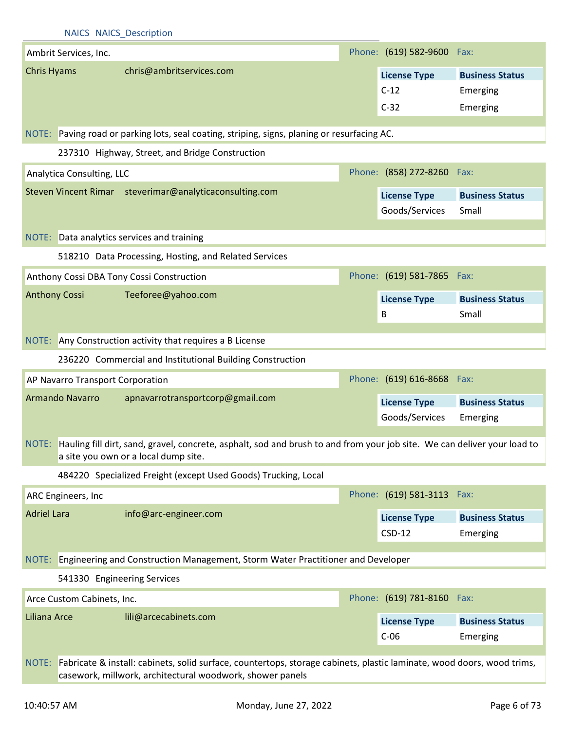|                    |                                  | NAICS NAICS Description                                                                                                                                                |                                         |                                                |
|--------------------|----------------------------------|------------------------------------------------------------------------------------------------------------------------------------------------------------------------|-----------------------------------------|------------------------------------------------|
|                    | Ambrit Services, Inc.            |                                                                                                                                                                        | Phone: (619) 582-9600 Fax:              |                                                |
| Chris Hyams        |                                  | chris@ambritservices.com                                                                                                                                               | <b>License Type</b><br>$C-12$<br>$C-32$ | <b>Business Status</b><br>Emerging<br>Emerging |
|                    |                                  | NOTE: Paving road or parking lots, seal coating, striping, signs, planing or resurfacing AC.                                                                           |                                         |                                                |
|                    |                                  | 237310 Highway, Street, and Bridge Construction                                                                                                                        |                                         |                                                |
|                    | Analytica Consulting, LLC        |                                                                                                                                                                        | Phone: (858) 272-8260 Fax:              |                                                |
|                    |                                  | Steven Vincent Rimar steverimar@analyticaconsulting.com                                                                                                                | <b>License Type</b><br>Goods/Services   | <b>Business Status</b><br>Small                |
|                    |                                  | NOTE: Data analytics services and training                                                                                                                             |                                         |                                                |
|                    |                                  | 518210 Data Processing, Hosting, and Related Services                                                                                                                  |                                         |                                                |
|                    |                                  | Anthony Cossi DBA Tony Cossi Construction                                                                                                                              | Phone: (619) 581-7865 Fax:              |                                                |
|                    | <b>Anthony Cossi</b>             | Teeforee@yahoo.com                                                                                                                                                     | <b>License Type</b><br>B                | <b>Business Status</b><br>Small                |
|                    |                                  | NOTE: Any Construction activity that requires a B License                                                                                                              |                                         |                                                |
|                    |                                  | 236220 Commercial and Institutional Building Construction                                                                                                              |                                         |                                                |
|                    | AP Navarro Transport Corporation |                                                                                                                                                                        | Phone: (619) 616-8668 Fax:              |                                                |
|                    | Armando Navarro                  | apnavarrotransportcorp@gmail.com                                                                                                                                       | <b>License Type</b>                     | <b>Business Status</b>                         |
|                    |                                  |                                                                                                                                                                        |                                         |                                                |
|                    |                                  | NOTE: Hauling fill dirt, sand, gravel, concrete, asphalt, sod and brush to and from your job site. We can deliver your load to<br>a site you own or a local dump site. | Goods/Services                          | Emerging                                       |
|                    |                                  | 484220 Specialized Freight (except Used Goods) Trucking, Local                                                                                                         |                                         |                                                |
|                    | ARC Engineers, Inc.              |                                                                                                                                                                        | Phone: (619) 581-3113 Fax:              |                                                |
| <b>Adriel Lara</b> |                                  | info@arc-engineer.com                                                                                                                                                  | <b>License Type</b><br>$CSD-12$         | <b>Business Status</b><br>Emerging             |
|                    |                                  | NOTE: Engineering and Construction Management, Storm Water Practitioner and Developer                                                                                  |                                         |                                                |
|                    | 541330 Engineering Services      |                                                                                                                                                                        |                                         |                                                |
|                    | Arce Custom Cabinets, Inc.       |                                                                                                                                                                        | Phone: (619) 781-8160 Fax:              |                                                |
| Liliana Arce       |                                  | lili@arcecabinets.com                                                                                                                                                  | <b>License Type</b><br>$C-06$           | <b>Business Status</b><br>Emerging             |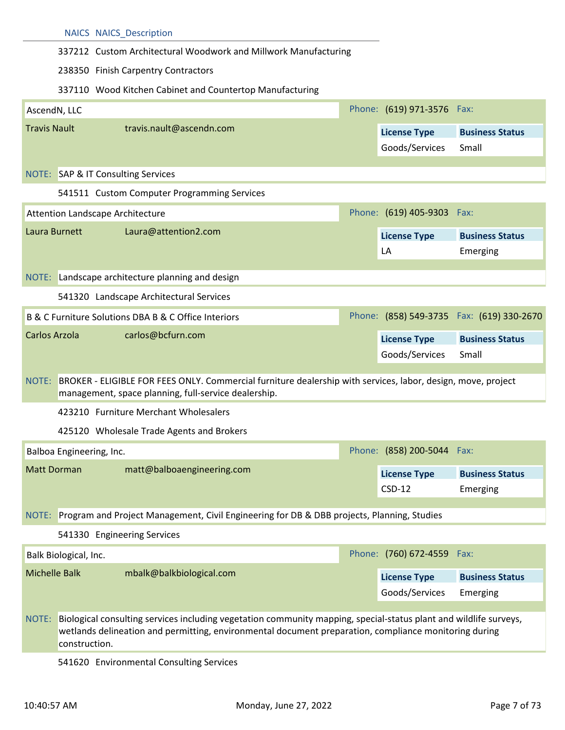| 337212 Custom Architectural Woodwork and Millwork Manufacturing<br>238350 Finish Carpentry Contractors<br>337110 Wood Kitchen Cabinet and Countertop Manufacturing<br>Phone: (619) 971-3576 Fax:<br>AscendN, LLC<br><b>Travis Nault</b><br>travis.nault@ascendn.com<br><b>License Type</b><br>Goods/Services<br>Small<br>NOTE: SAP & IT Consulting Services<br>541511 Custom Computer Programming Services<br>Phone: (619) 405-9303 Fax:<br>Attention Landscape Architecture<br>Laura Burnett<br>Laura@attention2.com<br><b>License Type</b><br>LA<br>Emerging<br>NOTE: Landscape architecture planning and design |                                           |  |  |  |  |  |  |
|--------------------------------------------------------------------------------------------------------------------------------------------------------------------------------------------------------------------------------------------------------------------------------------------------------------------------------------------------------------------------------------------------------------------------------------------------------------------------------------------------------------------------------------------------------------------------------------------------------------------|-------------------------------------------|--|--|--|--|--|--|
|                                                                                                                                                                                                                                                                                                                                                                                                                                                                                                                                                                                                                    |                                           |  |  |  |  |  |  |
|                                                                                                                                                                                                                                                                                                                                                                                                                                                                                                                                                                                                                    |                                           |  |  |  |  |  |  |
|                                                                                                                                                                                                                                                                                                                                                                                                                                                                                                                                                                                                                    |                                           |  |  |  |  |  |  |
|                                                                                                                                                                                                                                                                                                                                                                                                                                                                                                                                                                                                                    |                                           |  |  |  |  |  |  |
|                                                                                                                                                                                                                                                                                                                                                                                                                                                                                                                                                                                                                    | <b>Business Status</b>                    |  |  |  |  |  |  |
|                                                                                                                                                                                                                                                                                                                                                                                                                                                                                                                                                                                                                    |                                           |  |  |  |  |  |  |
|                                                                                                                                                                                                                                                                                                                                                                                                                                                                                                                                                                                                                    |                                           |  |  |  |  |  |  |
|                                                                                                                                                                                                                                                                                                                                                                                                                                                                                                                                                                                                                    |                                           |  |  |  |  |  |  |
|                                                                                                                                                                                                                                                                                                                                                                                                                                                                                                                                                                                                                    | <b>Business Status</b>                    |  |  |  |  |  |  |
|                                                                                                                                                                                                                                                                                                                                                                                                                                                                                                                                                                                                                    |                                           |  |  |  |  |  |  |
|                                                                                                                                                                                                                                                                                                                                                                                                                                                                                                                                                                                                                    |                                           |  |  |  |  |  |  |
| 541320 Landscape Architectural Services                                                                                                                                                                                                                                                                                                                                                                                                                                                                                                                                                                            |                                           |  |  |  |  |  |  |
| B & C Furniture Solutions DBA B & C Office Interiors                                                                                                                                                                                                                                                                                                                                                                                                                                                                                                                                                               | Phone: (858) 549-3735 Fax: (619) 330-2670 |  |  |  |  |  |  |
| Carlos Arzola<br>carlos@bcfurn.com<br><b>License Type</b>                                                                                                                                                                                                                                                                                                                                                                                                                                                                                                                                                          | <b>Business Status</b>                    |  |  |  |  |  |  |
| Goods/Services<br>Small                                                                                                                                                                                                                                                                                                                                                                                                                                                                                                                                                                                            |                                           |  |  |  |  |  |  |
| NOTE: BROKER - ELIGIBLE FOR FEES ONLY. Commercial furniture dealership with services, labor, design, move, project<br>management, space planning, full-service dealership.                                                                                                                                                                                                                                                                                                                                                                                                                                         |                                           |  |  |  |  |  |  |
| 423210 Furniture Merchant Wholesalers                                                                                                                                                                                                                                                                                                                                                                                                                                                                                                                                                                              |                                           |  |  |  |  |  |  |
| 425120 Wholesale Trade Agents and Brokers                                                                                                                                                                                                                                                                                                                                                                                                                                                                                                                                                                          |                                           |  |  |  |  |  |  |
| Phone: (858) 200-5044 Fax:<br>Balboa Engineering, Inc.                                                                                                                                                                                                                                                                                                                                                                                                                                                                                                                                                             |                                           |  |  |  |  |  |  |
| <b>Matt Dorman</b><br>matt@balboaengineering.com<br><b>License Type</b>                                                                                                                                                                                                                                                                                                                                                                                                                                                                                                                                            |                                           |  |  |  |  |  |  |
| $CSD-12$<br>Emerging                                                                                                                                                                                                                                                                                                                                                                                                                                                                                                                                                                                               | <b>Business Status</b>                    |  |  |  |  |  |  |
| NOTE: Program and Project Management, Civil Engineering for DB & DBB projects, Planning, Studies                                                                                                                                                                                                                                                                                                                                                                                                                                                                                                                   |                                           |  |  |  |  |  |  |
| 541330 Engineering Services                                                                                                                                                                                                                                                                                                                                                                                                                                                                                                                                                                                        |                                           |  |  |  |  |  |  |
| Phone: (760) 672-4559 Fax:<br>Balk Biological, Inc.                                                                                                                                                                                                                                                                                                                                                                                                                                                                                                                                                                |                                           |  |  |  |  |  |  |
| <b>Michelle Balk</b><br>mbalk@balkbiological.com<br><b>License Type</b>                                                                                                                                                                                                                                                                                                                                                                                                                                                                                                                                            |                                           |  |  |  |  |  |  |
| Goods/Services<br>Emerging                                                                                                                                                                                                                                                                                                                                                                                                                                                                                                                                                                                         | <b>Business Status</b>                    |  |  |  |  |  |  |
| Biological consulting services including vegetation community mapping, special-status plant and wildlife surveys,<br>NOTE:<br>wetlands delineation and permitting, environmental document preparation, compliance monitoring during<br>construction.<br><b>COO</b> Fruisanmontal Conculting Comun                                                                                                                                                                                                                                                                                                                  |                                           |  |  |  |  |  |  |

541620 Environmental Consulting Services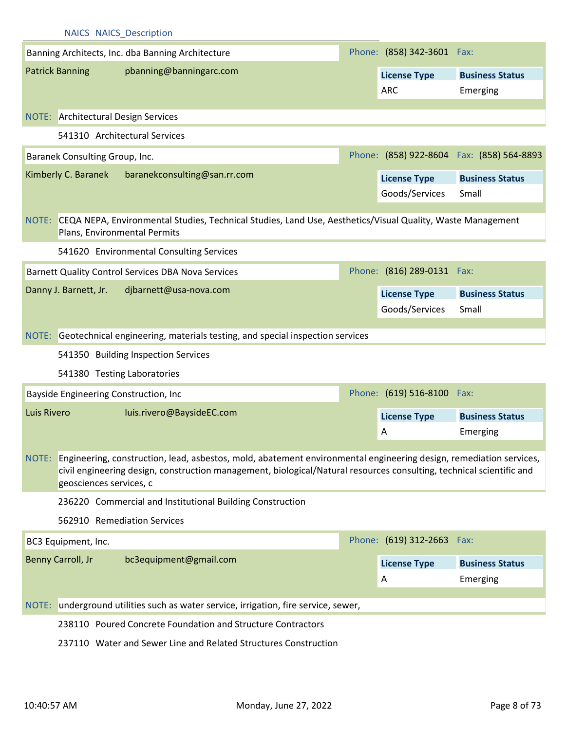|             | <b>NAICS NAICS Description</b>             |                                                                                                                                                                                                                                                  |  |                            |                                           |  |
|-------------|--------------------------------------------|--------------------------------------------------------------------------------------------------------------------------------------------------------------------------------------------------------------------------------------------------|--|----------------------------|-------------------------------------------|--|
|             |                                            | Banning Architects, Inc. dba Banning Architecture                                                                                                                                                                                                |  | Phone: (858) 342-3601 Fax: |                                           |  |
|             | <b>Patrick Banning</b>                     | pbanning@banningarc.com                                                                                                                                                                                                                          |  | <b>License Type</b>        | <b>Business Status</b>                    |  |
|             |                                            |                                                                                                                                                                                                                                                  |  | <b>ARC</b>                 | Emerging                                  |  |
|             | <b>NOTE:</b> Architectural Design Services |                                                                                                                                                                                                                                                  |  |                            |                                           |  |
|             |                                            |                                                                                                                                                                                                                                                  |  |                            |                                           |  |
|             |                                            | 541310 Architectural Services                                                                                                                                                                                                                    |  |                            |                                           |  |
|             | Baranek Consulting Group, Inc.             |                                                                                                                                                                                                                                                  |  |                            | Phone: (858) 922-8604 Fax: (858) 564-8893 |  |
|             | Kimberly C. Baranek                        | baranekconsulting@san.rr.com                                                                                                                                                                                                                     |  | <b>License Type</b>        | <b>Business Status</b>                    |  |
|             |                                            |                                                                                                                                                                                                                                                  |  | Goods/Services             | Small                                     |  |
|             | Plans, Environmental Permits               | NOTE: CEQA NEPA, Environmental Studies, Technical Studies, Land Use, Aesthetics/Visual Quality, Waste Management                                                                                                                                 |  |                            |                                           |  |
|             |                                            | 541620 Environmental Consulting Services                                                                                                                                                                                                         |  |                            |                                           |  |
|             |                                            | Barnett Quality Control Services DBA Nova Services                                                                                                                                                                                               |  | Phone: (816) 289-0131 Fax: |                                           |  |
|             | Danny J. Barnett, Jr.                      | djbarnett@usa-nova.com                                                                                                                                                                                                                           |  | <b>License Type</b>        | <b>Business Status</b>                    |  |
|             |                                            |                                                                                                                                                                                                                                                  |  | Goods/Services             | Small                                     |  |
|             |                                            |                                                                                                                                                                                                                                                  |  |                            |                                           |  |
|             |                                            | NOTE: Geotechnical engineering, materials testing, and special inspection services                                                                                                                                                               |  |                            |                                           |  |
|             |                                            | 541350 Building Inspection Services                                                                                                                                                                                                              |  |                            |                                           |  |
|             | 541380 Testing Laboratories                |                                                                                                                                                                                                                                                  |  |                            |                                           |  |
|             | Bayside Engineering Construction, Inc      |                                                                                                                                                                                                                                                  |  | Phone: (619) 516-8100 Fax: |                                           |  |
| Luis Rivero |                                            | luis.rivero@BaysideEC.com                                                                                                                                                                                                                        |  | <b>License Type</b>        | <b>Business Status</b>                    |  |
|             |                                            |                                                                                                                                                                                                                                                  |  | A                          | Emerging                                  |  |
|             | geosciences services, c                    | NOTE: Engineering, construction, lead, asbestos, mold, abatement environmental engineering design, remediation services,<br>civil engineering design, construction management, biological/Natural resources consulting, technical scientific and |  |                            |                                           |  |
|             |                                            | 236220 Commercial and Institutional Building Construction                                                                                                                                                                                        |  |                            |                                           |  |
|             | 562910 Remediation Services                |                                                                                                                                                                                                                                                  |  |                            |                                           |  |
|             | BC3 Equipment, Inc.                        |                                                                                                                                                                                                                                                  |  | Phone: (619) 312-2663 Fax: |                                           |  |
|             | Benny Carroll, Jr                          | bc3equipment@gmail.com                                                                                                                                                                                                                           |  | <b>License Type</b>        | <b>Business Status</b>                    |  |
|             |                                            |                                                                                                                                                                                                                                                  |  | A                          | Emerging                                  |  |
| NOTE:       |                                            | underground utilities such as water service, irrigation, fire service, sewer,                                                                                                                                                                    |  |                            |                                           |  |
|             |                                            | 238110 Poured Concrete Foundation and Structure Contractors                                                                                                                                                                                      |  |                            |                                           |  |
|             |                                            |                                                                                                                                                                                                                                                  |  |                            |                                           |  |
|             |                                            | 237110 Water and Sewer Line and Related Structures Construction                                                                                                                                                                                  |  |                            |                                           |  |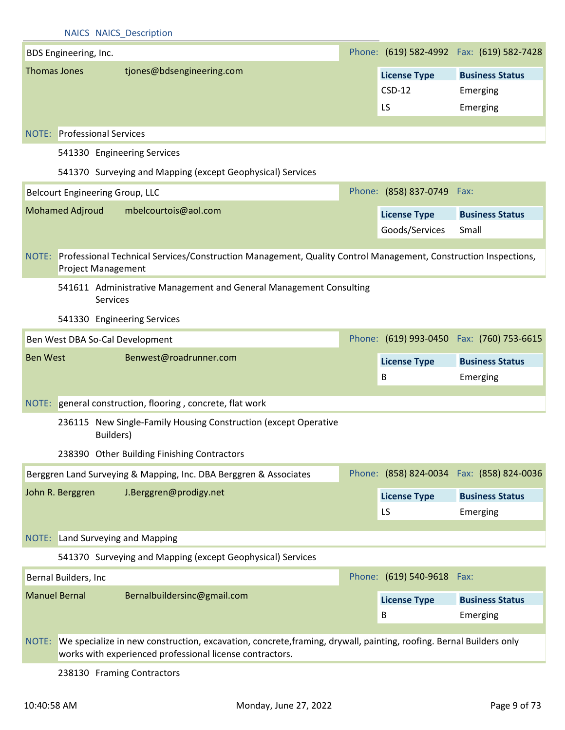|                                                                                | <b>NAICS NAICS Description</b>                                                                                                                                                       |  |                            |                                            |  |  |
|--------------------------------------------------------------------------------|--------------------------------------------------------------------------------------------------------------------------------------------------------------------------------------|--|----------------------------|--------------------------------------------|--|--|
| BDS Engineering, Inc.                                                          |                                                                                                                                                                                      |  |                            | Phone: (619) 582-4992  Fax: (619) 582-7428 |  |  |
| <b>Thomas Jones</b>                                                            | tjones@bdsengineering.com                                                                                                                                                            |  | <b>License Type</b>        | <b>Business Status</b>                     |  |  |
|                                                                                |                                                                                                                                                                                      |  | $CSD-12$                   | Emerging                                   |  |  |
|                                                                                |                                                                                                                                                                                      |  | LS                         | Emerging                                   |  |  |
|                                                                                |                                                                                                                                                                                      |  |                            |                                            |  |  |
|                                                                                | <b>NOTE:</b> Professional Services                                                                                                                                                   |  |                            |                                            |  |  |
|                                                                                | 541330 Engineering Services                                                                                                                                                          |  |                            |                                            |  |  |
|                                                                                | 541370 Surveying and Mapping (except Geophysical) Services                                                                                                                           |  |                            |                                            |  |  |
|                                                                                | <b>Belcourt Engineering Group, LLC</b>                                                                                                                                               |  | Phone: (858) 837-0749 Fax: |                                            |  |  |
| <b>Mohamed Adjroud</b>                                                         | mbelcourtois@aol.com                                                                                                                                                                 |  | <b>License Type</b>        | <b>Business Status</b>                     |  |  |
|                                                                                |                                                                                                                                                                                      |  | Goods/Services             | Small                                      |  |  |
|                                                                                |                                                                                                                                                                                      |  |                            |                                            |  |  |
| NOTE:                                                                          | Professional Technical Services/Construction Management, Quality Control Management, Construction Inspections,<br><b>Project Management</b>                                          |  |                            |                                            |  |  |
| 541611 Administrative Management and General Management Consulting<br>Services |                                                                                                                                                                                      |  |                            |                                            |  |  |
|                                                                                | 541330 Engineering Services                                                                                                                                                          |  |                            |                                            |  |  |
|                                                                                | Ben West DBA So-Cal Development                                                                                                                                                      |  |                            | Phone: (619) 993-0450 Fax: (760) 753-6615  |  |  |
| <b>Ben West</b>                                                                | Benwest@roadrunner.com                                                                                                                                                               |  | <b>License Type</b>        | <b>Business Status</b>                     |  |  |
|                                                                                |                                                                                                                                                                                      |  | B                          | Emerging                                   |  |  |
|                                                                                |                                                                                                                                                                                      |  |                            |                                            |  |  |
|                                                                                | NOTE: general construction, flooring, concrete, flat work                                                                                                                            |  |                            |                                            |  |  |
|                                                                                | 236115 New Single-Family Housing Construction (except Operative<br>Builders)                                                                                                         |  |                            |                                            |  |  |
|                                                                                | 238390 Other Building Finishing Contractors                                                                                                                                          |  |                            |                                            |  |  |
|                                                                                | Berggren Land Surveying & Mapping, Inc. DBA Berggren & Associates                                                                                                                    |  |                            | Phone: (858) 824-0034  Fax: (858) 824-0036 |  |  |
| John R. Berggren                                                               | J.Berggren@prodigy.net                                                                                                                                                               |  | <b>License Type</b>        | <b>Business Status</b>                     |  |  |
|                                                                                |                                                                                                                                                                                      |  | LS                         | Emerging                                   |  |  |
|                                                                                |                                                                                                                                                                                      |  |                            |                                            |  |  |
|                                                                                | NOTE: Land Surveying and Mapping                                                                                                                                                     |  |                            |                                            |  |  |
|                                                                                | 541370 Surveying and Mapping (except Geophysical) Services                                                                                                                           |  |                            |                                            |  |  |
| Bernal Builders, Inc                                                           |                                                                                                                                                                                      |  | Phone: (619) 540-9618 Fax: |                                            |  |  |
| <b>Manuel Bernal</b>                                                           | Bernalbuildersinc@gmail.com                                                                                                                                                          |  | <b>License Type</b>        | <b>Business Status</b>                     |  |  |
|                                                                                |                                                                                                                                                                                      |  | B                          | Emerging                                   |  |  |
|                                                                                |                                                                                                                                                                                      |  |                            |                                            |  |  |
|                                                                                | NOTE: We specialize in new construction, excavation, concrete, framing, drywall, painting, roofing. Bernal Builders only<br>works with experienced professional license contractors. |  |                            |                                            |  |  |

238130 Framing Contractors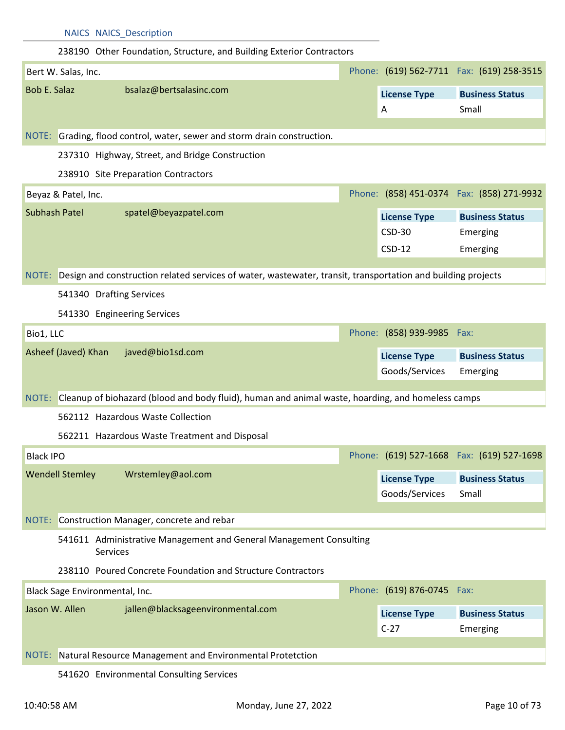|                      |                        | <b>NAICS NAICS_Description</b>                                                                                     |                            |                                            |
|----------------------|------------------------|--------------------------------------------------------------------------------------------------------------------|----------------------------|--------------------------------------------|
|                      |                        | 238190 Other Foundation, Structure, and Building Exterior Contractors                                              |                            |                                            |
|                      | Bert W. Salas, Inc.    |                                                                                                                    |                            | Phone: (619) 562-7711 Fax: (619) 258-3515  |
| <b>Bob E. Salaz</b>  |                        | bsalaz@bertsalasinc.com                                                                                            | <b>License Type</b>        | <b>Business Status</b>                     |
|                      |                        |                                                                                                                    | A                          | Small                                      |
|                      |                        | NOTE: Grading, flood control, water, sewer and storm drain construction.                                           |                            |                                            |
|                      |                        | 237310 Highway, Street, and Bridge Construction                                                                    |                            |                                            |
|                      |                        | 238910 Site Preparation Contractors                                                                                |                            |                                            |
|                      |                        |                                                                                                                    |                            | Phone: (858) 451-0374  Fax: (858) 271-9932 |
|                      | Beyaz & Patel, Inc.    |                                                                                                                    |                            |                                            |
| <b>Subhash Patel</b> |                        | spatel@beyazpatel.com                                                                                              | <b>License Type</b>        | <b>Business Status</b>                     |
|                      |                        |                                                                                                                    | <b>CSD-30</b>              | Emerging                                   |
|                      |                        |                                                                                                                    | $CSD-12$                   | Emerging                                   |
|                      |                        | NOTE: Design and construction related services of water, wastewater, transit, transportation and building projects |                            |                                            |
|                      |                        | 541340 Drafting Services                                                                                           |                            |                                            |
|                      |                        | 541330 Engineering Services                                                                                        |                            |                                            |
| Bio1, LLC            |                        |                                                                                                                    | Phone: (858) 939-9985 Fax: |                                            |
|                      | Asheef (Javed) Khan    | javed@bio1sd.com                                                                                                   | <b>License Type</b>        | <b>Business Status</b>                     |
|                      |                        |                                                                                                                    | Goods/Services             | Emerging                                   |
| NOTE:                |                        | Cleanup of biohazard (blood and body fluid), human and animal waste, hoarding, and homeless camps                  |                            |                                            |
|                      |                        | 562112 Hazardous Waste Collection                                                                                  |                            |                                            |
|                      |                        | 562211 Hazardous Waste Treatment and Disposal                                                                      |                            |                                            |
|                      |                        |                                                                                                                    |                            |                                            |
| <b>Black IPO</b>     |                        |                                                                                                                    |                            | Phone: (619) 527-1668 Fax: (619) 527-1698  |
|                      | <b>Wendell Stemley</b> | Wrstemley@aol.com                                                                                                  | <b>License Type</b>        | <b>Business Status</b>                     |
|                      |                        |                                                                                                                    | Goods/Services             | Small                                      |
| NOTE:                |                        | Construction Manager, concrete and rebar                                                                           |                            |                                            |
|                      |                        | 541611 Administrative Management and General Management Consulting<br>Services                                     |                            |                                            |
|                      |                        | 238110 Poured Concrete Foundation and Structure Contractors                                                        |                            |                                            |
|                      |                        | Black Sage Environmental, Inc.                                                                                     | Phone: (619) 876-0745 Fax: |                                            |
|                      | Jason W. Allen         | jallen@blacksageenvironmental.com                                                                                  | <b>License Type</b>        | <b>Business Status</b>                     |
|                      |                        |                                                                                                                    | $C-27$                     | Emerging                                   |
|                      |                        |                                                                                                                    |                            |                                            |
|                      |                        | NOTE: Natural Resource Management and Environmental Protetction                                                    |                            |                                            |
|                      |                        | 541620 Environmental Consulting Services                                                                           |                            |                                            |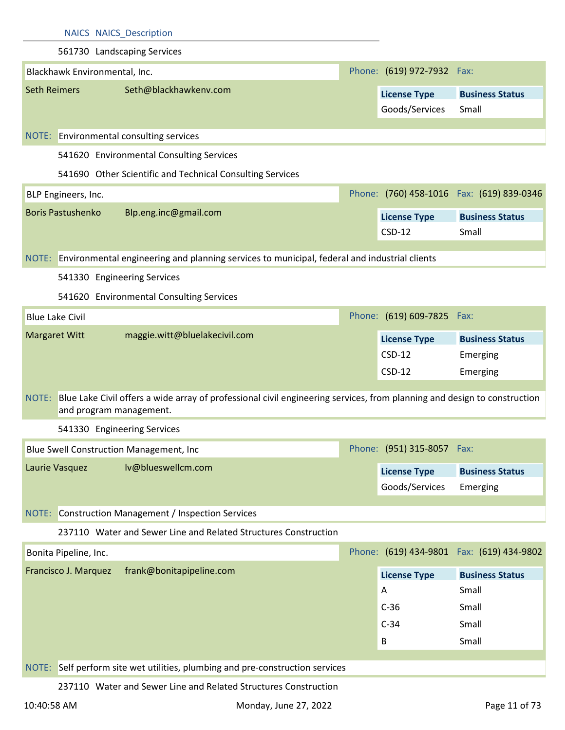| 561730 Landscaping Services<br>Phone: (619) 972-7932 Fax:<br>Blackhawk Environmental, Inc.<br>Seth@blackhawkenv.com<br><b>Seth Reimers</b><br><b>License Type</b><br><b>Business Status</b><br>Goods/Services<br>Small<br>NOTE: Environmental consulting services<br>541620 Environmental Consulting Services<br>541690 Other Scientific and Technical Consulting Services<br>Phone: (760) 458-1016  Fax: (619) 839-0346<br>BLP Engineers, Inc.<br><b>Boris Pastushenko</b><br>Blp.eng.inc@gmail.com<br><b>License Type</b><br><b>Business Status</b><br>$CSD-12$<br>Small<br>NOTE: Environmental engineering and planning services to municipal, federal and industrial clients<br>541330 Engineering Services<br>541620 Environmental Consulting Services |
|-------------------------------------------------------------------------------------------------------------------------------------------------------------------------------------------------------------------------------------------------------------------------------------------------------------------------------------------------------------------------------------------------------------------------------------------------------------------------------------------------------------------------------------------------------------------------------------------------------------------------------------------------------------------------------------------------------------------------------------------------------------|
|                                                                                                                                                                                                                                                                                                                                                                                                                                                                                                                                                                                                                                                                                                                                                             |
|                                                                                                                                                                                                                                                                                                                                                                                                                                                                                                                                                                                                                                                                                                                                                             |
|                                                                                                                                                                                                                                                                                                                                                                                                                                                                                                                                                                                                                                                                                                                                                             |
|                                                                                                                                                                                                                                                                                                                                                                                                                                                                                                                                                                                                                                                                                                                                                             |
|                                                                                                                                                                                                                                                                                                                                                                                                                                                                                                                                                                                                                                                                                                                                                             |
|                                                                                                                                                                                                                                                                                                                                                                                                                                                                                                                                                                                                                                                                                                                                                             |
|                                                                                                                                                                                                                                                                                                                                                                                                                                                                                                                                                                                                                                                                                                                                                             |
|                                                                                                                                                                                                                                                                                                                                                                                                                                                                                                                                                                                                                                                                                                                                                             |
|                                                                                                                                                                                                                                                                                                                                                                                                                                                                                                                                                                                                                                                                                                                                                             |
|                                                                                                                                                                                                                                                                                                                                                                                                                                                                                                                                                                                                                                                                                                                                                             |
|                                                                                                                                                                                                                                                                                                                                                                                                                                                                                                                                                                                                                                                                                                                                                             |
|                                                                                                                                                                                                                                                                                                                                                                                                                                                                                                                                                                                                                                                                                                                                                             |
|                                                                                                                                                                                                                                                                                                                                                                                                                                                                                                                                                                                                                                                                                                                                                             |
|                                                                                                                                                                                                                                                                                                                                                                                                                                                                                                                                                                                                                                                                                                                                                             |
| Phone: (619) 609-7825 Fax:<br><b>Blue Lake Civil</b>                                                                                                                                                                                                                                                                                                                                                                                                                                                                                                                                                                                                                                                                                                        |
| maggie.witt@bluelakecivil.com<br><b>Margaret Witt</b><br><b>License Type</b><br><b>Business Status</b>                                                                                                                                                                                                                                                                                                                                                                                                                                                                                                                                                                                                                                                      |
| $CSD-12$<br>Emerging                                                                                                                                                                                                                                                                                                                                                                                                                                                                                                                                                                                                                                                                                                                                        |
| $CSD-12$<br>Emerging                                                                                                                                                                                                                                                                                                                                                                                                                                                                                                                                                                                                                                                                                                                                        |
| Blue Lake Civil offers a wide array of professional civil engineering services, from planning and design to construction<br>NOTE:<br>and program management.                                                                                                                                                                                                                                                                                                                                                                                                                                                                                                                                                                                                |
| 541330 Engineering Services                                                                                                                                                                                                                                                                                                                                                                                                                                                                                                                                                                                                                                                                                                                                 |
| Phone: (951) 315-8057 Fax:<br>Blue Swell Construction Management, Inc.                                                                                                                                                                                                                                                                                                                                                                                                                                                                                                                                                                                                                                                                                      |
| lv@blueswellcm.com<br>Laurie Vasquez<br><b>License Type</b><br><b>Business Status</b>                                                                                                                                                                                                                                                                                                                                                                                                                                                                                                                                                                                                                                                                       |
| Goods/Services<br>Emerging                                                                                                                                                                                                                                                                                                                                                                                                                                                                                                                                                                                                                                                                                                                                  |
|                                                                                                                                                                                                                                                                                                                                                                                                                                                                                                                                                                                                                                                                                                                                                             |
| NOTE: Construction Management / Inspection Services                                                                                                                                                                                                                                                                                                                                                                                                                                                                                                                                                                                                                                                                                                         |
| 237110 Water and Sewer Line and Related Structures Construction                                                                                                                                                                                                                                                                                                                                                                                                                                                                                                                                                                                                                                                                                             |
| Phone: (619) 434-9801 Fax: (619) 434-9802<br>Bonita Pipeline, Inc.                                                                                                                                                                                                                                                                                                                                                                                                                                                                                                                                                                                                                                                                                          |
| frank@bonitapipeline.com<br>Francisco J. Marquez<br><b>License Type</b><br><b>Business Status</b>                                                                                                                                                                                                                                                                                                                                                                                                                                                                                                                                                                                                                                                           |
| Small<br>Α                                                                                                                                                                                                                                                                                                                                                                                                                                                                                                                                                                                                                                                                                                                                                  |
| $C-36$<br>Small                                                                                                                                                                                                                                                                                                                                                                                                                                                                                                                                                                                                                                                                                                                                             |
| $C-34$<br>Small                                                                                                                                                                                                                                                                                                                                                                                                                                                                                                                                                                                                                                                                                                                                             |
| Small<br>В                                                                                                                                                                                                                                                                                                                                                                                                                                                                                                                                                                                                                                                                                                                                                  |
| NOTE: Self perform site wet utilities, plumbing and pre-construction services                                                                                                                                                                                                                                                                                                                                                                                                                                                                                                                                                                                                                                                                               |
| 237110 Water and Sewer Line and Related Structures Construction                                                                                                                                                                                                                                                                                                                                                                                                                                                                                                                                                                                                                                                                                             |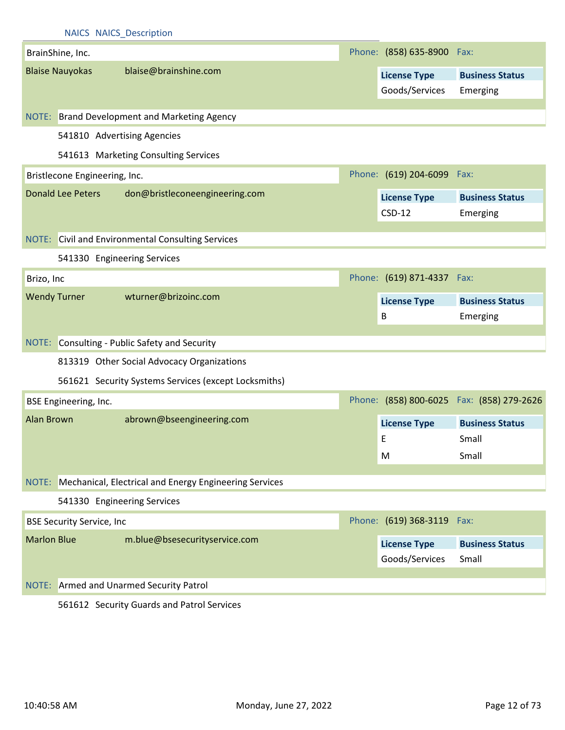|                    | <b>NAICS NAICS Description</b>   |                                                              |                                       |                                           |
|--------------------|----------------------------------|--------------------------------------------------------------|---------------------------------------|-------------------------------------------|
|                    | BrainShine, Inc.                 |                                                              | Phone: (858) 635-8900 Fax:            |                                           |
|                    | <b>Blaise Nauyokas</b>           | blaise@brainshine.com                                        | <b>License Type</b><br>Goods/Services | <b>Business Status</b><br>Emerging        |
|                    |                                  | NOTE: Brand Development and Marketing Agency                 |                                       |                                           |
|                    |                                  | 541810 Advertising Agencies                                  |                                       |                                           |
|                    |                                  | 541613 Marketing Consulting Services                         |                                       |                                           |
|                    | Bristlecone Engineering, Inc.    |                                                              | Phone: (619) 204-6099 Fax:            |                                           |
|                    | <b>Donald Lee Peters</b>         | don@bristleconeengineering.com                               | <b>License Type</b><br>$CSD-12$       | <b>Business Status</b><br>Emerging        |
|                    |                                  | <b>NOTE:</b> Civil and Environmental Consulting Services     |                                       |                                           |
|                    | 541330 Engineering Services      |                                                              |                                       |                                           |
| Brizo, Inc         |                                  |                                                              | Phone: (619) 871-4337 Fax:            |                                           |
|                    | <b>Wendy Turner</b>              | wturner@brizoinc.com                                         | <b>License Type</b><br>$\mathsf B$    | <b>Business Status</b><br>Emerging        |
|                    |                                  | NOTE: Consulting - Public Safety and Security                |                                       |                                           |
|                    |                                  | 813319 Other Social Advocacy Organizations                   |                                       |                                           |
|                    |                                  | 561621 Security Systems Services (except Locksmiths)         |                                       |                                           |
|                    | BSE Engineering, Inc.            |                                                              |                                       | Phone: (858) 800-6025 Fax: (858) 279-2626 |
| <b>Alan Brown</b>  |                                  | abrown@bseengineering.com                                    | <b>License Type</b><br>E.<br>M        | <b>Business Status</b><br>Small<br>Small  |
|                    |                                  | NOTE: Mechanical, Electrical and Energy Engineering Services |                                       |                                           |
|                    | 541330 Engineering Services      |                                                              |                                       |                                           |
|                    | <b>BSE Security Service, Inc</b> |                                                              | Phone: (619) 368-3119 Fax:            |                                           |
| <b>Marlon Blue</b> |                                  | m.blue@bsesecurityservice.com                                | <b>License Type</b><br>Goods/Services | <b>Business Status</b><br>Small           |
|                    |                                  |                                                              |                                       |                                           |
|                    |                                  | NOTE: Armed and Unarmed Security Patrol                      |                                       |                                           |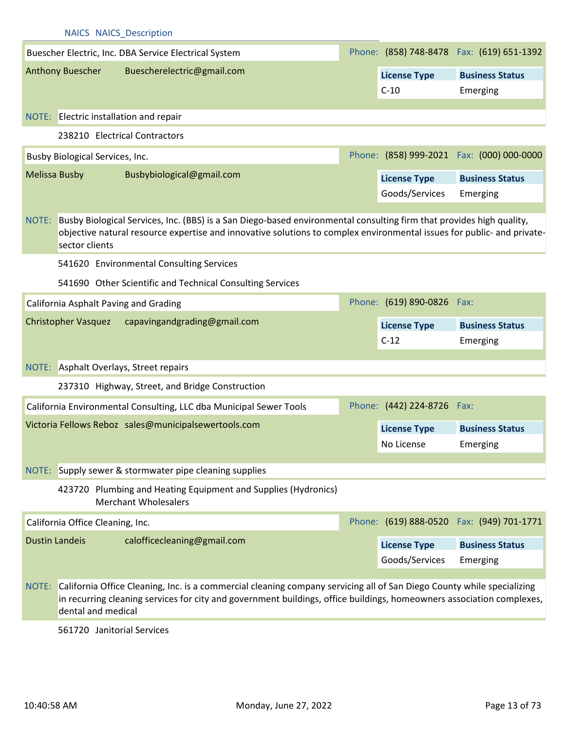|       | <b>NAICS NAICS Description</b>         |                                                                                                                                                                                                                                                       |  |                            |                                            |
|-------|----------------------------------------|-------------------------------------------------------------------------------------------------------------------------------------------------------------------------------------------------------------------------------------------------------|--|----------------------------|--------------------------------------------|
|       |                                        | Buescher Electric, Inc. DBA Service Electrical System                                                                                                                                                                                                 |  |                            | Phone: (858) 748-8478  Fax: (619) 651-1392 |
|       | <b>Anthony Buescher</b>                | Buescherelectric@gmail.com                                                                                                                                                                                                                            |  | <b>License Type</b>        | <b>Business Status</b>                     |
|       |                                        |                                                                                                                                                                                                                                                       |  | $C-10$                     | Emerging                                   |
|       | NOTE: Electric installation and repair |                                                                                                                                                                                                                                                       |  |                            |                                            |
|       |                                        | 238210 Electrical Contractors                                                                                                                                                                                                                         |  |                            |                                            |
|       | Busby Biological Services, Inc.        |                                                                                                                                                                                                                                                       |  |                            | Phone: (858) 999-2021 Fax: (000) 000-0000  |
|       | <b>Melissa Busby</b>                   | Busbybiological@gmail.com                                                                                                                                                                                                                             |  | <b>License Type</b>        | <b>Business Status</b>                     |
|       |                                        |                                                                                                                                                                                                                                                       |  | Goods/Services             | Emerging                                   |
| NOTE: | sector clients                         | Busby Biological Services, Inc. (BBS) is a San Diego-based environmental consulting firm that provides high quality,<br>objective natural resource expertise and innovative solutions to complex environmental issues for public- and private-        |  |                            |                                            |
|       |                                        | 541620 Environmental Consulting Services                                                                                                                                                                                                              |  |                            |                                            |
|       |                                        | 541690 Other Scientific and Technical Consulting Services                                                                                                                                                                                             |  |                            |                                            |
|       | California Asphalt Paving and Grading  |                                                                                                                                                                                                                                                       |  | Phone: (619) 890-0826 Fax: |                                            |
|       | <b>Christopher Vasquez</b>             | capavingandgrading@gmail.com                                                                                                                                                                                                                          |  | <b>License Type</b>        | <b>Business Status</b>                     |
|       |                                        |                                                                                                                                                                                                                                                       |  | $C-12$                     | Emerging                                   |
|       |                                        | NOTE: Asphalt Overlays, Street repairs                                                                                                                                                                                                                |  |                            |                                            |
|       |                                        | 237310 Highway, Street, and Bridge Construction                                                                                                                                                                                                       |  |                            |                                            |
|       |                                        | California Environmental Consulting, LLC dba Municipal Sewer Tools                                                                                                                                                                                    |  | Phone: (442) 224-8726 Fax: |                                            |
|       |                                        | Victoria Fellows Reboz sales@municipalsewertools.com                                                                                                                                                                                                  |  | <b>License Type</b>        | <b>Business Status</b>                     |
|       |                                        |                                                                                                                                                                                                                                                       |  | No License                 | Emerging                                   |
| NOTE: |                                        | Supply sewer & stormwater pipe cleaning supplies                                                                                                                                                                                                      |  |                            |                                            |
|       |                                        | 423720 Plumbing and Heating Equipment and Supplies (Hydronics)<br><b>Merchant Wholesalers</b>                                                                                                                                                         |  |                            |                                            |
|       | California Office Cleaning, Inc.       |                                                                                                                                                                                                                                                       |  |                            | Phone: (619) 888-0520 Fax: (949) 701-1771  |
|       | <b>Dustin Landeis</b>                  | calofficecleaning@gmail.com                                                                                                                                                                                                                           |  | <b>License Type</b>        | <b>Business Status</b>                     |
|       |                                        |                                                                                                                                                                                                                                                       |  | Goods/Services             | Emerging                                   |
|       | dental and medical                     | NOTE: California Office Cleaning, Inc. is a commercial cleaning company servicing all of San Diego County while specializing<br>in recurring cleaning services for city and government buildings, office buildings, homeowners association complexes, |  |                            |                                            |

561720 Janitorial Services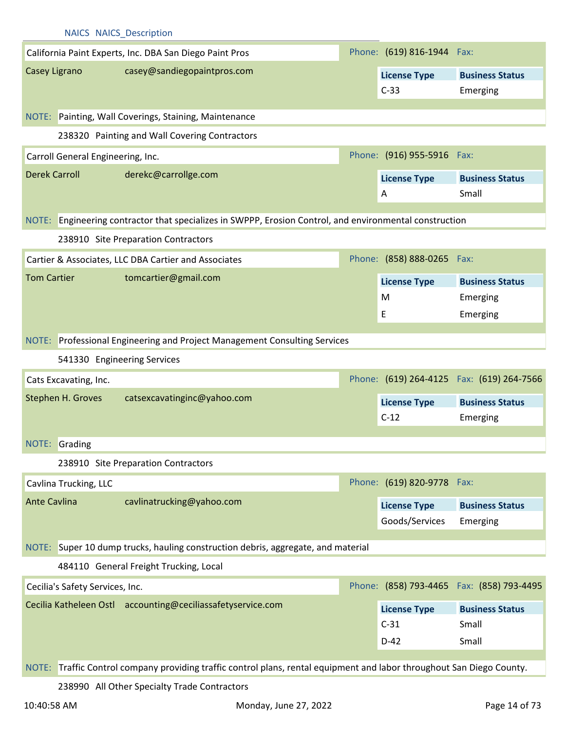|                                   | <b>NAICS NAICS Description</b>                                                                                         |                               |                                            |
|-----------------------------------|------------------------------------------------------------------------------------------------------------------------|-------------------------------|--------------------------------------------|
|                                   | California Paint Experts, Inc. DBA San Diego Paint Pros                                                                | Phone: (619) 816-1944 Fax:    |                                            |
| Casey Ligrano                     | casey@sandiegopaintpros.com                                                                                            | <b>License Type</b>           | <b>Business Status</b>                     |
|                                   |                                                                                                                        | $C-33$                        | Emerging                                   |
|                                   |                                                                                                                        |                               |                                            |
|                                   | NOTE: Painting, Wall Coverings, Staining, Maintenance                                                                  |                               |                                            |
|                                   | 238320 Painting and Wall Covering Contractors                                                                          |                               |                                            |
| Carroll General Engineering, Inc. |                                                                                                                        | Phone: (916) 955-5916 Fax:    |                                            |
| <b>Derek Carroll</b>              | derekc@carrollge.com                                                                                                   | <b>License Type</b>           | <b>Business Status</b>                     |
|                                   |                                                                                                                        | A                             | Small                                      |
|                                   | NOTE: Engineering contractor that specializes in SWPPP, Erosion Control, and environmental construction                |                               |                                            |
|                                   |                                                                                                                        |                               |                                            |
|                                   | 238910 Site Preparation Contractors                                                                                    |                               |                                            |
|                                   | Cartier & Associates, LLC DBA Cartier and Associates                                                                   | Phone: (858) 888-0265 Fax:    |                                            |
| <b>Tom Cartier</b>                | tomcartier@gmail.com                                                                                                   | <b>License Type</b>           | <b>Business Status</b>                     |
|                                   |                                                                                                                        | M                             | Emerging                                   |
|                                   |                                                                                                                        | E                             | Emerging                                   |
|                                   | NOTE: Professional Engineering and Project Management Consulting Services                                              |                               |                                            |
|                                   | 541330 Engineering Services                                                                                            |                               |                                            |
| Cats Excavating, Inc.             |                                                                                                                        |                               | Phone: (619) 264-4125  Fax: (619) 264-7566 |
| Stephen H. Groves                 | catsexcavatinginc@yahoo.com                                                                                            |                               |                                            |
|                                   |                                                                                                                        | <b>License Type</b><br>$C-12$ | <b>Business Status</b>                     |
|                                   |                                                                                                                        |                               | Emerging                                   |
| NOTE: Grading                     |                                                                                                                        |                               |                                            |
|                                   | 238910 Site Preparation Contractors                                                                                    |                               |                                            |
| Cavlina Trucking, LLC             |                                                                                                                        | Phone: (619) 820-9778 Fax:    |                                            |
| <b>Ante Cavlina</b>               | cavlinatrucking@yahoo.com                                                                                              | <b>License Type</b>           | <b>Business Status</b>                     |
|                                   |                                                                                                                        | Goods/Services                | Emerging                                   |
|                                   | NOTE: Super 10 dump trucks, hauling construction debris, aggregate, and material                                       |                               |                                            |
|                                   |                                                                                                                        |                               |                                            |
|                                   | 484110 General Freight Trucking, Local                                                                                 |                               |                                            |
| Cecilia's Safety Services, Inc.   |                                                                                                                        |                               | Phone: (858) 793-4465  Fax: (858) 793-4495 |
|                                   | Cecilia Katheleen Ostl accounting@ceciliassafetyservice.com                                                            | <b>License Type</b>           | <b>Business Status</b>                     |
|                                   |                                                                                                                        | $C-31$                        | Small                                      |
|                                   |                                                                                                                        | $D-42$                        | Small                                      |
|                                   | NOTE: Traffic Control company providing traffic control plans, rental equipment and labor throughout San Diego County. |                               |                                            |
|                                   |                                                                                                                        |                               |                                            |
|                                   | 238990 All Other Specialty Trade Contractors                                                                           |                               |                                            |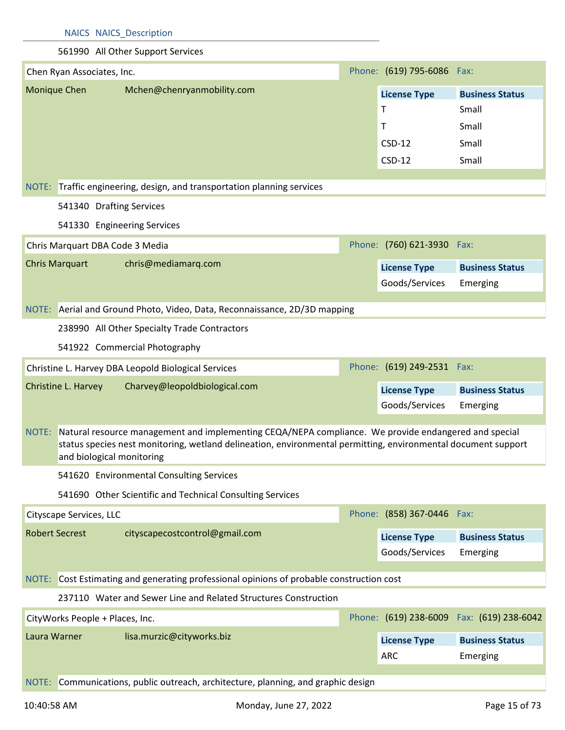#### 561990 All Other Support Services

|              | Chen Ryan Associates, Inc.      |                                                     |                                                                                                                                                                                                                             |  | Phone: (619) 795-6086 Fax:            |                                            |
|--------------|---------------------------------|-----------------------------------------------------|-----------------------------------------------------------------------------------------------------------------------------------------------------------------------------------------------------------------------------|--|---------------------------------------|--------------------------------------------|
|              | Monique Chen                    | Mchen@chenryanmobility.com                          |                                                                                                                                                                                                                             |  | <b>License Type</b>                   | <b>Business Status</b>                     |
|              |                                 |                                                     |                                                                                                                                                                                                                             |  | T                                     | Small                                      |
|              |                                 |                                                     |                                                                                                                                                                                                                             |  | $\mathsf{T}$                          | Small                                      |
|              |                                 |                                                     |                                                                                                                                                                                                                             |  | $CSD-12$                              | Small                                      |
|              |                                 |                                                     |                                                                                                                                                                                                                             |  | $CSD-12$                              | Small                                      |
|              |                                 |                                                     | NOTE: Traffic engineering, design, and transportation planning services                                                                                                                                                     |  |                                       |                                            |
|              |                                 | 541340 Drafting Services                            |                                                                                                                                                                                                                             |  |                                       |                                            |
|              |                                 |                                                     |                                                                                                                                                                                                                             |  |                                       |                                            |
|              |                                 | 541330 Engineering Services                         |                                                                                                                                                                                                                             |  |                                       |                                            |
|              |                                 | Chris Marquart DBA Code 3 Media                     |                                                                                                                                                                                                                             |  | Phone: (760) 621-3930 Fax:            |                                            |
|              | <b>Chris Marquart</b>           | chris@mediamarq.com                                 |                                                                                                                                                                                                                             |  | <b>License Type</b>                   | <b>Business Status</b>                     |
|              |                                 |                                                     |                                                                                                                                                                                                                             |  | Goods/Services                        | Emerging                                   |
|              |                                 |                                                     | NOTE: Aerial and Ground Photo, Video, Data, Reconnaissance, 2D/3D mapping                                                                                                                                                   |  |                                       |                                            |
|              |                                 |                                                     |                                                                                                                                                                                                                             |  |                                       |                                            |
|              |                                 | 238990 All Other Specialty Trade Contractors        |                                                                                                                                                                                                                             |  |                                       |                                            |
|              |                                 | 541922 Commercial Photography                       |                                                                                                                                                                                                                             |  |                                       |                                            |
|              |                                 | Christine L. Harvey DBA Leopold Biological Services |                                                                                                                                                                                                                             |  | Phone: (619) 249-2531 Fax:            |                                            |
|              | Christine L. Harvey             | Charvey@leopoldbiological.com                       |                                                                                                                                                                                                                             |  | <b>License Type</b>                   | <b>Business Status</b>                     |
|              |                                 |                                                     |                                                                                                                                                                                                                             |  | Goods/Services                        | Emerging                                   |
|              |                                 |                                                     | NOTE: Natural resource management and implementing CEQA/NEPA compliance. We provide endangered and special<br>status species nest monitoring, wetland delineation, environmental permitting, environmental document support |  |                                       |                                            |
|              |                                 | and biological monitoring                           |                                                                                                                                                                                                                             |  |                                       |                                            |
|              |                                 | 541620 Environmental Consulting Services            |                                                                                                                                                                                                                             |  |                                       |                                            |
|              |                                 |                                                     | 541690 Other Scientific and Technical Consulting Services                                                                                                                                                                   |  |                                       |                                            |
|              | Cityscape Services, LLC         |                                                     |                                                                                                                                                                                                                             |  | Phone: (858) 367-0446 Fax:            |                                            |
|              | <b>Robert Secrest</b>           | cityscapecostcontrol@gmail.com                      |                                                                                                                                                                                                                             |  |                                       |                                            |
|              |                                 |                                                     |                                                                                                                                                                                                                             |  | <b>License Type</b><br>Goods/Services | <b>Business Status</b>                     |
|              |                                 |                                                     |                                                                                                                                                                                                                             |  |                                       | Emerging                                   |
|              |                                 |                                                     | NOTE: Cost Estimating and generating professional opinions of probable construction cost                                                                                                                                    |  |                                       |                                            |
|              |                                 |                                                     | 237110 Water and Sewer Line and Related Structures Construction                                                                                                                                                             |  |                                       |                                            |
|              | CityWorks People + Places, Inc. |                                                     |                                                                                                                                                                                                                             |  |                                       | Phone: (619) 238-6009  Fax: (619) 238-6042 |
| Laura Warner |                                 | lisa.murzic@cityworks.biz                           |                                                                                                                                                                                                                             |  | <b>License Type</b>                   | <b>Business Status</b>                     |
|              |                                 |                                                     |                                                                                                                                                                                                                             |  | <b>ARC</b>                            | Emerging                                   |
|              |                                 |                                                     |                                                                                                                                                                                                                             |  |                                       |                                            |
|              |                                 |                                                     | NOTE: Communications, public outreach, architecture, planning, and graphic design                                                                                                                                           |  |                                       |                                            |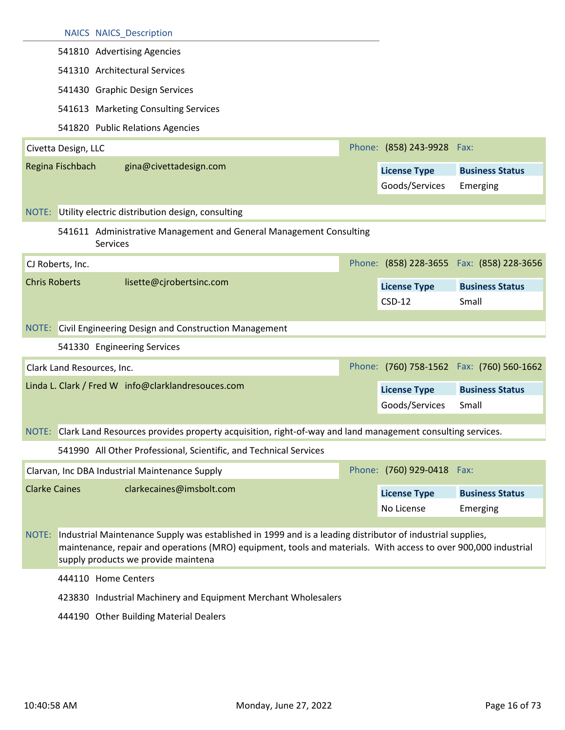|                      |                     | <b>NAICS NAICS Description</b>                                                                                                                         |                                       |                                            |
|----------------------|---------------------|--------------------------------------------------------------------------------------------------------------------------------------------------------|---------------------------------------|--------------------------------------------|
|                      |                     | 541810 Advertising Agencies                                                                                                                            |                                       |                                            |
|                      |                     | 541310 Architectural Services                                                                                                                          |                                       |                                            |
|                      |                     | 541430 Graphic Design Services                                                                                                                         |                                       |                                            |
|                      |                     | 541613 Marketing Consulting Services                                                                                                                   |                                       |                                            |
|                      |                     | 541820 Public Relations Agencies                                                                                                                       |                                       |                                            |
|                      | Civetta Design, LLC |                                                                                                                                                        | Phone: (858) 243-9928                 | Fax:                                       |
|                      | Regina Fischbach    | gina@civettadesign.com                                                                                                                                 | <b>License Type</b><br>Goods/Services | <b>Business Status</b><br>Emerging         |
|                      |                     | NOTE: Utility electric distribution design, consulting                                                                                                 |                                       |                                            |
|                      |                     | 541611 Administrative Management and General Management Consulting<br><b>Services</b>                                                                  |                                       |                                            |
|                      | CJ Roberts, Inc.    |                                                                                                                                                        |                                       | Phone: (858) 228-3655  Fax: (858) 228-3656 |
| <b>Chris Roberts</b> |                     | lisette@cjrobertsinc.com                                                                                                                               | <b>License Type</b><br>$CSD-12$       | <b>Business Status</b><br>Small            |
|                      |                     |                                                                                                                                                        |                                       |                                            |
|                      |                     | NOTE: Civil Engineering Design and Construction Management                                                                                             |                                       |                                            |
|                      |                     | 541330 Engineering Services                                                                                                                            |                                       |                                            |
|                      |                     | Clark Land Resources, Inc.                                                                                                                             |                                       | Phone: (760) 758-1562 Fax: (760) 560-1662  |
|                      |                     | Linda L. Clark / Fred W info@clarklandresouces.com                                                                                                     | <b>License Type</b>                   | <b>Business Status</b>                     |
|                      |                     |                                                                                                                                                        | Goods/Services                        | Small                                      |
|                      |                     | NOTE: Clark Land Resources provides property acquisition, right-of-way and land management consulting services.                                        |                                       |                                            |
|                      |                     | 541990 All Other Professional, Scientific, and Technical Services                                                                                      |                                       |                                            |
|                      |                     | Clarvan, Inc DBA Industrial Maintenance Supply                                                                                                         | Phone: (760) 929-0418 Fax:            |                                            |
| <b>Clarke Caines</b> |                     | clarkecaines@imsbolt.com                                                                                                                               | <b>License Type</b>                   | <b>Business Status</b>                     |
|                      |                     |                                                                                                                                                        | No License                            | Emerging                                   |
|                      |                     |                                                                                                                                                        |                                       |                                            |
|                      |                     | NOTE: Industrial Maintenance Supply was established in 1999 and is a leading distributor of industrial supplies,                                       |                                       |                                            |
|                      |                     | maintenance, repair and operations (MRO) equipment, tools and materials. With access to over 900,000 industrial<br>supply products we provide maintena |                                       |                                            |
|                      |                     | 444110 Home Centers                                                                                                                                    |                                       |                                            |
|                      |                     | 423830 Industrial Machinery and Equipment Merchant Wholesalers                                                                                         |                                       |                                            |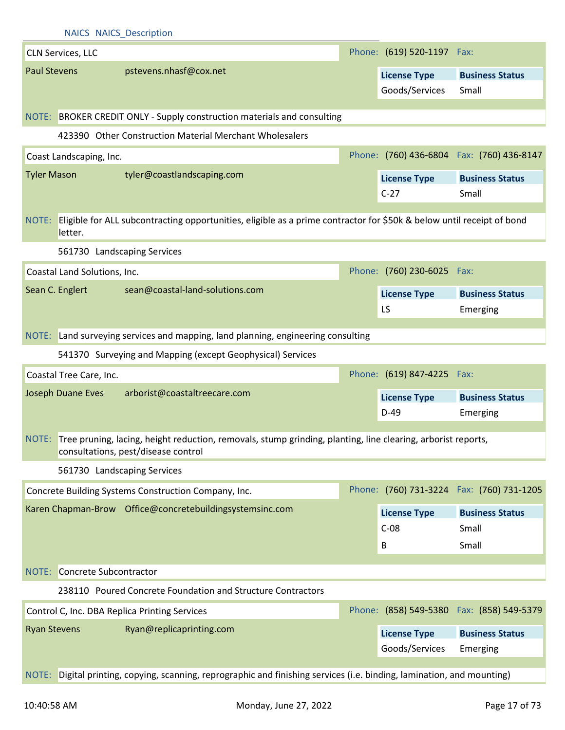|                     | <b>NAICS NAICS Description</b> |                                                                                                                                                           |                            |                                            |
|---------------------|--------------------------------|-----------------------------------------------------------------------------------------------------------------------------------------------------------|----------------------------|--------------------------------------------|
|                     | <b>CLN Services, LLC</b>       |                                                                                                                                                           | Phone: (619) 520-1197 Fax: |                                            |
| <b>Paul Stevens</b> |                                | pstevens.nhasf@cox.net                                                                                                                                    | <b>License Type</b>        | <b>Business Status</b>                     |
|                     |                                |                                                                                                                                                           | Goods/Services             | Small                                      |
|                     |                                |                                                                                                                                                           |                            |                                            |
|                     |                                | NOTE: BROKER CREDIT ONLY - Supply construction materials and consulting                                                                                   |                            |                                            |
|                     |                                | 423390 Other Construction Material Merchant Wholesalers                                                                                                   |                            |                                            |
|                     | Coast Landscaping, Inc.        |                                                                                                                                                           |                            | Phone: (760) 436-6804  Fax: (760) 436-8147 |
| <b>Tyler Mason</b>  |                                | tyler@coastlandscaping.com                                                                                                                                | <b>License Type</b>        | <b>Business Status</b>                     |
|                     |                                |                                                                                                                                                           | $C-27$                     | Small                                      |
| NOTE:               | letter.                        | Eligible for ALL subcontracting opportunities, eligible as a prime contractor for \$50k & below until receipt of bond                                     |                            |                                            |
|                     |                                | 561730 Landscaping Services                                                                                                                               |                            |                                            |
|                     | Coastal Land Solutions, Inc.   |                                                                                                                                                           | Phone: (760) 230-6025 Fax: |                                            |
|                     | Sean C. Englert                | sean@coastal-land-solutions.com                                                                                                                           | <b>License Type</b>        | <b>Business Status</b>                     |
|                     |                                |                                                                                                                                                           | LS                         | Emerging                                   |
|                     |                                |                                                                                                                                                           |                            |                                            |
|                     |                                | NOTE: Land surveying services and mapping, land planning, engineering consulting                                                                          |                            |                                            |
|                     |                                | 541370 Surveying and Mapping (except Geophysical) Services                                                                                                |                            |                                            |
|                     | Coastal Tree Care, Inc.        |                                                                                                                                                           | Phone: (619) 847-4225 Fax: |                                            |
|                     | Joseph Duane Eves              | arborist@coastaltreecare.com                                                                                                                              | <b>License Type</b>        | <b>Business Status</b>                     |
|                     |                                |                                                                                                                                                           | $D-49$                     | Emerging                                   |
|                     |                                | NOTE: Tree pruning, lacing, height reduction, removals, stump grinding, planting, line clearing, arborist reports,<br>consultations, pest/disease control |                            |                                            |
|                     |                                | 561730 Landscaping Services                                                                                                                               |                            |                                            |
|                     |                                | Concrete Building Systems Construction Company, Inc.                                                                                                      |                            | Phone: (760) 731-3224  Fax: (760) 731-1205 |
|                     |                                | Karen Chapman-Brow Office@concretebuildingsystemsinc.com                                                                                                  | <b>License Type</b>        | <b>Business Status</b>                     |
|                     |                                |                                                                                                                                                           | $C-08$                     | Small                                      |
|                     |                                |                                                                                                                                                           | В                          | Small                                      |
|                     |                                |                                                                                                                                                           |                            |                                            |
|                     | NOTE: Concrete Subcontractor   |                                                                                                                                                           |                            |                                            |
|                     |                                | 238110 Poured Concrete Foundation and Structure Contractors                                                                                               |                            |                                            |
|                     |                                | Control C, Inc. DBA Replica Printing Services                                                                                                             |                            | Phone: (858) 549-5380 Fax: (858) 549-5379  |
| <b>Ryan Stevens</b> |                                | Ryan@replicaprinting.com                                                                                                                                  | <b>License Type</b>        | <b>Business Status</b>                     |
|                     |                                |                                                                                                                                                           | Goods/Services             | Emerging                                   |
| NOTE:               |                                | Digital printing, copying, scanning, reprographic and finishing services (i.e. binding, lamination, and mounting)                                         |                            |                                            |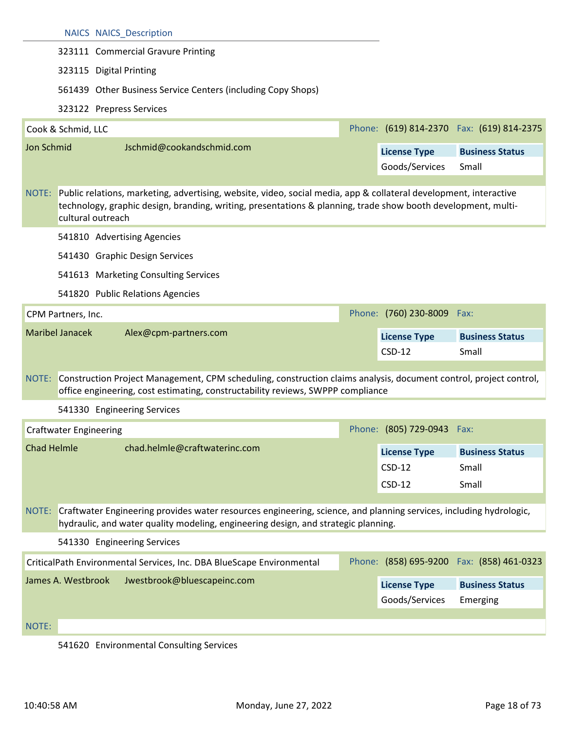|                    |                               | <b>NAICS NAICS Description</b>                                                                                                                                                                                                                                |                                 |                                           |
|--------------------|-------------------------------|---------------------------------------------------------------------------------------------------------------------------------------------------------------------------------------------------------------------------------------------------------------|---------------------------------|-------------------------------------------|
|                    |                               | 323111 Commercial Gravure Printing                                                                                                                                                                                                                            |                                 |                                           |
|                    |                               | 323115 Digital Printing                                                                                                                                                                                                                                       |                                 |                                           |
|                    |                               | 561439 Other Business Service Centers (including Copy Shops)                                                                                                                                                                                                  |                                 |                                           |
|                    |                               | 323122 Prepress Services                                                                                                                                                                                                                                      |                                 |                                           |
|                    | Cook & Schmid, LLC            |                                                                                                                                                                                                                                                               |                                 | Phone: (619) 814-2370 Fax: (619) 814-2375 |
| Jon Schmid         |                               | Jschmid@cookandschmid.com                                                                                                                                                                                                                                     | <b>License Type</b>             | <b>Business Status</b>                    |
|                    |                               |                                                                                                                                                                                                                                                               | Goods/Services                  | Small                                     |
|                    |                               |                                                                                                                                                                                                                                                               |                                 |                                           |
|                    |                               | NOTE: Public relations, marketing, advertising, website, video, social media, app & collateral development, interactive<br>technology, graphic design, branding, writing, presentations & planning, trade show booth development, multi-<br>cultural outreach |                                 |                                           |
|                    |                               | 541810 Advertising Agencies                                                                                                                                                                                                                                   |                                 |                                           |
|                    |                               | 541430 Graphic Design Services                                                                                                                                                                                                                                |                                 |                                           |
|                    |                               | 541613 Marketing Consulting Services                                                                                                                                                                                                                          |                                 |                                           |
|                    |                               | 541820 Public Relations Agencies                                                                                                                                                                                                                              |                                 |                                           |
|                    | CPM Partners, Inc.            |                                                                                                                                                                                                                                                               | Phone: (760) 230-8009           | Fax:                                      |
|                    |                               |                                                                                                                                                                                                                                                               |                                 |                                           |
|                    | <b>Maribel Janacek</b>        | Alex@cpm-partners.com                                                                                                                                                                                                                                         | <b>License Type</b>             | <b>Business Status</b>                    |
|                    |                               |                                                                                                                                                                                                                                                               | $CSD-12$                        | Small                                     |
|                    |                               | NOTE: Construction Project Management, CPM scheduling, construction claims analysis, document control, project control,<br>office engineering, cost estimating, constructability reviews, SWPPP compliance                                                    |                                 |                                           |
|                    |                               | 541330 Engineering Services                                                                                                                                                                                                                                   |                                 |                                           |
|                    | <b>Craftwater Engineering</b> |                                                                                                                                                                                                                                                               | Phone: (805) 729-0943 Fax:      |                                           |
| <b>Chad Helmle</b> |                               | chad.helmle@craftwaterinc.com                                                                                                                                                                                                                                 |                                 |                                           |
|                    |                               |                                                                                                                                                                                                                                                               | <b>License Type</b><br>$CSD-12$ | <b>Business Status</b><br>Small           |
|                    |                               |                                                                                                                                                                                                                                                               | $CSD-12$                        | Small                                     |
| NOTE:              |                               | Craftwater Engineering provides water resources engineering, science, and planning services, including hydrologic,<br>hydraulic, and water quality modeling, engineering design, and strategic planning.                                                      |                                 |                                           |
|                    |                               | 541330 Engineering Services                                                                                                                                                                                                                                   |                                 |                                           |
|                    |                               | CriticalPath Environmental Services, Inc. DBA BlueScape Environmental                                                                                                                                                                                         |                                 | Phone: (858) 695-9200 Fax: (858) 461-0323 |
|                    | James A. Westbrook            | Jwestbrook@bluescapeinc.com                                                                                                                                                                                                                                   | <b>License Type</b>             | <b>Business Status</b>                    |
|                    |                               |                                                                                                                                                                                                                                                               | Goods/Services                  | Emerging                                  |
| NOTE:              |                               |                                                                                                                                                                                                                                                               |                                 |                                           |

#### 541620 Environmental Consulting Services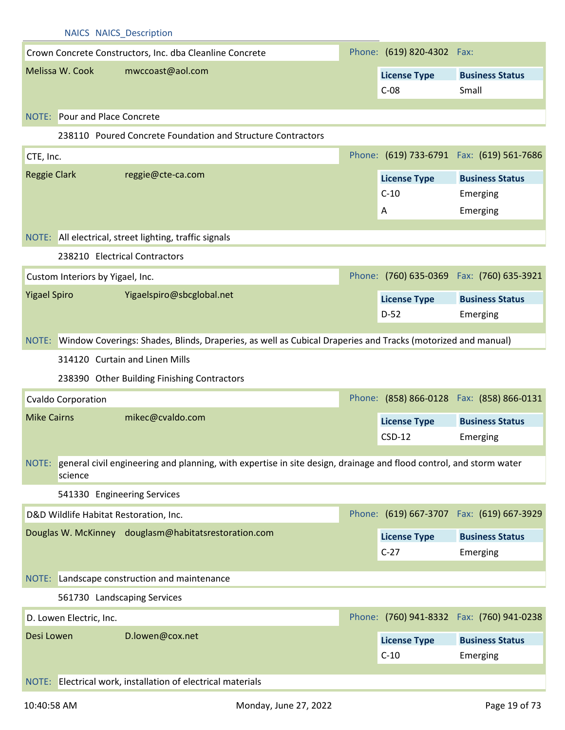|                     | <b>NAICS NAICS Description</b>         |                                                                                                                    |                               |                                            |
|---------------------|----------------------------------------|--------------------------------------------------------------------------------------------------------------------|-------------------------------|--------------------------------------------|
|                     |                                        | Crown Concrete Constructors, Inc. dba Cleanline Concrete                                                           | Phone: (619) 820-4302 Fax:    |                                            |
|                     | Melissa W. Cook                        | mwccoast@aol.com                                                                                                   | <b>License Type</b>           | <b>Business Status</b>                     |
|                     |                                        |                                                                                                                    | $C-08$                        | Small                                      |
|                     | NOTE: Pour and Place Concrete          |                                                                                                                    |                               |                                            |
|                     |                                        | 238110 Poured Concrete Foundation and Structure Contractors                                                        |                               |                                            |
| CTE, Inc.           |                                        |                                                                                                                    |                               | Phone: (619) 733-6791 Fax: (619) 561-7686  |
| <b>Reggie Clark</b> |                                        | reggie@cte-ca.com                                                                                                  |                               |                                            |
|                     |                                        |                                                                                                                    | <b>License Type</b><br>$C-10$ | <b>Business Status</b><br>Emerging         |
|                     |                                        |                                                                                                                    | A                             | Emerging                                   |
|                     |                                        |                                                                                                                    |                               |                                            |
|                     |                                        | NOTE: All electrical, street lighting, traffic signals                                                             |                               |                                            |
|                     |                                        | 238210 Electrical Contractors                                                                                      |                               |                                            |
|                     | Custom Interiors by Yigael, Inc.       |                                                                                                                    |                               | Phone: (760) 635-0369  Fax: (760) 635-3921 |
| <b>Yigael Spiro</b> |                                        | Yigaelspiro@sbcglobal.net                                                                                          | <b>License Type</b>           | <b>Business Status</b>                     |
|                     |                                        |                                                                                                                    | $D-52$                        | Emerging                                   |
|                     |                                        | NOTE: Window Coverings: Shades, Blinds, Draperies, as well as Cubical Draperies and Tracks (motorized and manual)  |                               |                                            |
|                     |                                        |                                                                                                                    |                               |                                            |
|                     |                                        | 314120 Curtain and Linen Mills                                                                                     |                               |                                            |
|                     |                                        | 238390 Other Building Finishing Contractors                                                                        |                               |                                            |
|                     | <b>Cvaldo Corporation</b>              |                                                                                                                    |                               | Phone: (858) 866-0128  Fax: (858) 866-0131 |
| <b>Mike Cairns</b>  |                                        | mikec@cvaldo.com                                                                                                   | <b>License Type</b>           | <b>Business Status</b>                     |
|                     |                                        |                                                                                                                    | $CSD-12$                      | Emerging                                   |
| NOTE:               |                                        | general civil engineering and planning, with expertise in site design, drainage and flood control, and storm water |                               |                                            |
|                     | science                                |                                                                                                                    |                               |                                            |
|                     | 541330 Engineering Services            |                                                                                                                    |                               |                                            |
|                     | D&D Wildlife Habitat Restoration, Inc. |                                                                                                                    |                               | Phone: (619) 667-3707 Fax: (619) 667-3929  |
|                     |                                        | Douglas W. McKinney douglasm@habitatsrestoration.com                                                               | <b>License Type</b>           | <b>Business Status</b>                     |
|                     |                                        |                                                                                                                    | $C-27$                        | Emerging                                   |
|                     |                                        | NOTE: Landscape construction and maintenance                                                                       |                               |                                            |
|                     | 561730 Landscaping Services            |                                                                                                                    |                               |                                            |
|                     |                                        |                                                                                                                    |                               |                                            |
|                     | D. Lowen Electric, Inc.                |                                                                                                                    |                               | Phone: (760) 941-8332  Fax: (760) 941-0238 |
| Desi Lowen          |                                        | D.lowen@cox.net                                                                                                    | <b>License Type</b>           | <b>Business Status</b>                     |
|                     |                                        |                                                                                                                    | $C-10$                        | Emerging                                   |
|                     |                                        | NOTE: Electrical work, installation of electrical materials                                                        |                               |                                            |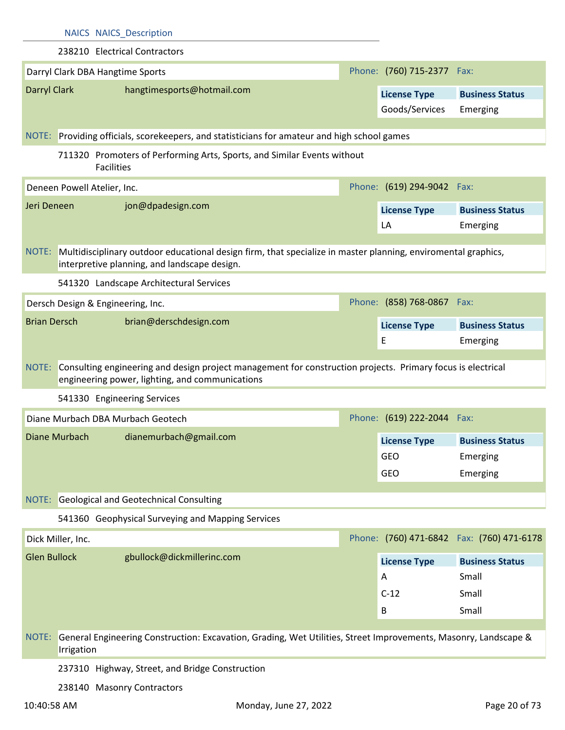|                     |                             | <b>NAICS NAICS Description</b>                                                                                                                                 |                            |                                            |
|---------------------|-----------------------------|----------------------------------------------------------------------------------------------------------------------------------------------------------------|----------------------------|--------------------------------------------|
|                     |                             | 238210 Electrical Contractors                                                                                                                                  |                            |                                            |
|                     |                             | Darryl Clark DBA Hangtime Sports                                                                                                                               | Phone: (760) 715-2377 Fax: |                                            |
| <b>Darryl Clark</b> |                             | hangtimesports@hotmail.com                                                                                                                                     | <b>License Type</b>        | <b>Business Status</b>                     |
|                     |                             |                                                                                                                                                                | Goods/Services             | Emerging                                   |
|                     |                             |                                                                                                                                                                |                            |                                            |
|                     |                             | NOTE: Providing officials, scorekeepers, and statisticians for amateur and high school games                                                                   |                            |                                            |
|                     |                             | 711320 Promoters of Performing Arts, Sports, and Similar Events without<br><b>Facilities</b>                                                                   |                            |                                            |
|                     | Deneen Powell Atelier, Inc. |                                                                                                                                                                | Phone: (619) 294-9042 Fax: |                                            |
| Jeri Deneen         |                             | jon@dpadesign.com                                                                                                                                              | <b>License Type</b>        | <b>Business Status</b>                     |
|                     |                             |                                                                                                                                                                | LA                         | Emerging                                   |
| NOTE:               |                             | Multidisciplinary outdoor educational design firm, that specialize in master planning, enviromental graphics,<br>interpretive planning, and landscape design.  |                            |                                            |
|                     |                             | 541320 Landscape Architectural Services                                                                                                                        |                            |                                            |
|                     |                             | Dersch Design & Engineering, Inc.                                                                                                                              | Phone: (858) 768-0867 Fax: |                                            |
| <b>Brian Dersch</b> |                             | brian@derschdesign.com                                                                                                                                         | <b>License Type</b>        | <b>Business Status</b>                     |
|                     |                             |                                                                                                                                                                | Ε                          | Emerging                                   |
| NOTE:               |                             | Consulting engineering and design project management for construction projects. Primary focus is electrical<br>engineering power, lighting, and communications |                            |                                            |
|                     |                             |                                                                                                                                                                |                            |                                            |
|                     |                             | 541330 Engineering Services                                                                                                                                    |                            |                                            |
|                     |                             | Diane Murbach DBA Murbach Geotech                                                                                                                              | Phone: (619) 222-2044 Fax: |                                            |
|                     |                             | Diane Murbach dianemurbach@gmail.com                                                                                                                           | <b>License Type</b>        | <b>Business Status</b>                     |
|                     |                             |                                                                                                                                                                | GEO                        | Emerging                                   |
|                     |                             |                                                                                                                                                                | GEO                        | Emerging                                   |
|                     |                             |                                                                                                                                                                |                            |                                            |
| NOTE:               |                             | <b>Geological and Geotechnical Consulting</b>                                                                                                                  |                            |                                            |
|                     |                             | 541360 Geophysical Surveying and Mapping Services                                                                                                              |                            |                                            |
|                     | Dick Miller, Inc.           |                                                                                                                                                                |                            | Phone: (760) 471-6842  Fax: (760) 471-6178 |
| <b>Glen Bullock</b> |                             | gbullock@dickmillerinc.com                                                                                                                                     | <b>License Type</b>        | <b>Business Status</b>                     |
|                     |                             |                                                                                                                                                                | A                          | Small                                      |
|                     |                             |                                                                                                                                                                | $C-12$                     | Small                                      |
|                     |                             |                                                                                                                                                                | B                          | Small                                      |
| NOTE:               | Irrigation                  | General Engineering Construction: Excavation, Grading, Wet Utilities, Street Improvements, Masonry, Landscape &                                                |                            |                                            |
|                     |                             | 237310 Highway, Street, and Bridge Construction                                                                                                                |                            |                                            |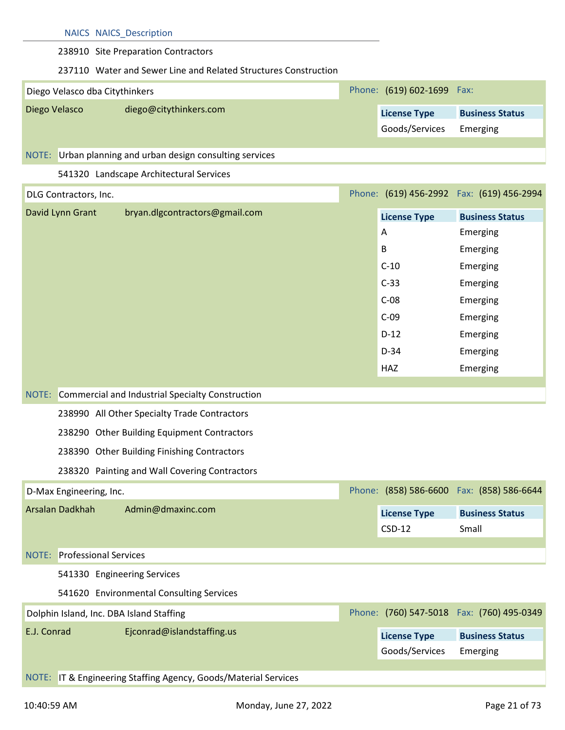## 238910 Site Preparation Contractors

## 237110 Water and Sewer Line and Related Structures Construction

| Diego Velasco dba Citythinkers |                                                      | Phone: (619) 602-1699 Fax:            |                                    |
|--------------------------------|------------------------------------------------------|---------------------------------------|------------------------------------|
| Diego Velasco                  | diego@citythinkers.com                               | <b>License Type</b><br>Goods/Services | <b>Business Status</b><br>Emerging |
| $N\cap TE$                     | Lishan planning and ushan design consulting services |                                       |                                    |

## Urban planning and urban design consulting services

## 541320 Landscape Architectural Services

| DLG Contractors, Inc.                                  |                     | Phone: (619) 456-2992  Fax: (619) 456-2994 |
|--------------------------------------------------------|---------------------|--------------------------------------------|
| bryan.dlgcontractors@gmail.com<br>David Lynn Grant     | <b>License Type</b> | <b>Business Status</b>                     |
|                                                        | A                   | Emerging                                   |
|                                                        | $\mathsf B$         | Emerging                                   |
|                                                        | $C-10$              | Emerging                                   |
|                                                        | $C-33$              | Emerging                                   |
|                                                        | $C-08$              | Emerging                                   |
|                                                        | $C-09$              | Emerging                                   |
|                                                        | $D-12$              | Emerging                                   |
|                                                        | $D-34$              | Emerging                                   |
|                                                        | <b>HAZ</b>          | Emerging                                   |
| NOTE: Commercial and Industrial Specialty Construction |                     |                                            |
| 238990 All Other Specialty Trade Contractors           |                     |                                            |
| 238290 Other Building Equipment Contractors            |                     |                                            |
| 238390 Other Building Finishing Contractors            |                     |                                            |
| 238320 Painting and Wall Covering Contractors          |                     |                                            |
| D-Max Engineering, Inc.                                |                     | Phone: (858) 586-6600 Fax: (858) 586-6644  |
| Arsalan Dadkhah<br>Admin@dmaxinc.com                   | <b>License Type</b> | <b>Business Status</b>                     |
|                                                        | $CSD-12$            | Small                                      |
|                                                        |                     |                                            |
| <b>Professional Services</b><br>NOTE:                  |                     |                                            |

## 541330 Engineering Services

541620 Environmental Consulting Services

| Dolphin Island, Inc. DBA Island Staffing |                            |                                       | Phone: (760) 547-5018 Fax: (760) 495-0349 |
|------------------------------------------|----------------------------|---------------------------------------|-------------------------------------------|
| E.J. Conrad                              | Ejconrad@islandstaffing.us | <b>License Type</b><br>Goods/Services | <b>Business Status</b><br>Emerging        |

#### NOTE: IT & Engineering Staffing Agency, Goods/Material Services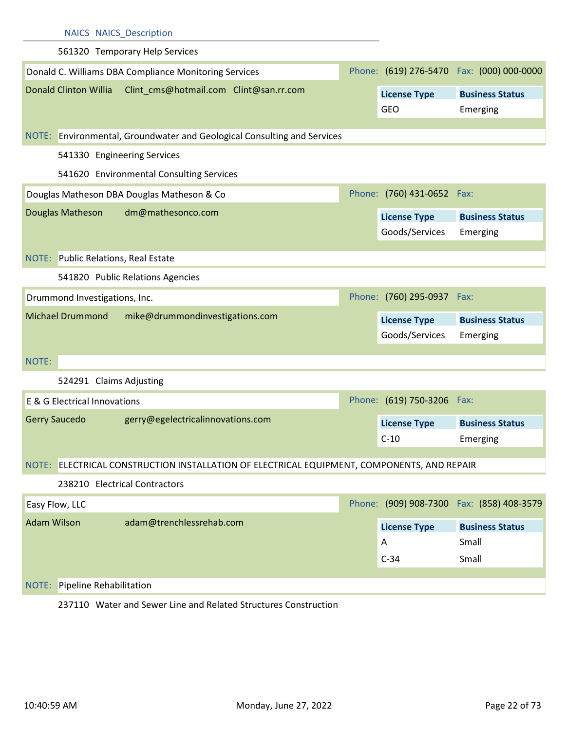|                    | <b>NAICS NAICS_Description</b>             |                                                                                            |                               |                                            |
|--------------------|--------------------------------------------|--------------------------------------------------------------------------------------------|-------------------------------|--------------------------------------------|
|                    |                                            | 561320 Temporary Help Services                                                             |                               |                                            |
|                    |                                            | Donald C. Williams DBA Compliance Monitoring Services                                      |                               | Phone: (619) 276-5470  Fax: (000) 000-0000 |
|                    | <b>Donald Clinton Willia</b>               | Clint_cms@hotmail.com Clint@san.rr.com                                                     | <b>License Type</b>           | <b>Business Status</b>                     |
|                    |                                            |                                                                                            | <b>GEO</b>                    | Emerging                                   |
|                    |                                            | NOTE: Environmental, Groundwater and Geological Consulting and Services                    |                               |                                            |
|                    |                                            |                                                                                            |                               |                                            |
|                    | 541330 Engineering Services                |                                                                                            |                               |                                            |
|                    |                                            | 541620 Environmental Consulting Services                                                   |                               |                                            |
|                    |                                            | Douglas Matheson DBA Douglas Matheson & Co                                                 | Phone: (760) 431-0652 Fax:    |                                            |
|                    | Douglas Matheson                           | dm@mathesonco.com                                                                          | <b>License Type</b>           | <b>Business Status</b>                     |
|                    |                                            |                                                                                            | Goods/Services                | Emerging                                   |
|                    | <b>NOTE:</b> Public Relations, Real Estate |                                                                                            |                               |                                            |
|                    |                                            | 541820 Public Relations Agencies                                                           |                               |                                            |
|                    | Drummond Investigations, Inc.              |                                                                                            | Phone: (760) 295-0937 Fax:    |                                            |
|                    |                                            |                                                                                            |                               |                                            |
|                    |                                            |                                                                                            |                               |                                            |
|                    | <b>Michael Drummond</b>                    | mike@drummondinvestigations.com                                                            | <b>License Type</b>           | <b>Business Status</b>                     |
|                    |                                            |                                                                                            | Goods/Services                | Emerging                                   |
| NOTE:              |                                            |                                                                                            |                               |                                            |
|                    | 524291 Claims Adjusting                    |                                                                                            |                               |                                            |
|                    | E & G Electrical Innovations               |                                                                                            | Phone: (619) 750-3206 Fax:    |                                            |
|                    | <b>Gerry Saucedo</b>                       | gerry@egelectricalinnovations.com                                                          |                               | <b>Business Status</b>                     |
|                    |                                            |                                                                                            | <b>License Type</b><br>$C-10$ | Emerging                                   |
|                    |                                            |                                                                                            |                               |                                            |
|                    |                                            | NOTE: ELECTRICAL CONSTRUCTION INSTALLATION OF ELECTRICAL EQUIPMENT, COMPONENTS, AND REPAIR |                               |                                            |
|                    | 238210 Electrical Contractors              |                                                                                            |                               |                                            |
|                    | Easy Flow, LLC                             |                                                                                            |                               | Phone: (909) 908-7300 Fax: (858) 408-3579  |
| <b>Adam Wilson</b> |                                            | adam@trenchlessrehab.com                                                                   | <b>License Type</b>           | <b>Business Status</b>                     |
|                    |                                            |                                                                                            | A                             | Small                                      |
|                    |                                            |                                                                                            | $C-34$                        | Small                                      |
| NOTE:              | Pipeline Rehabilitation                    |                                                                                            |                               |                                            |

237110 Water and Sewer Line and Related Structures Construction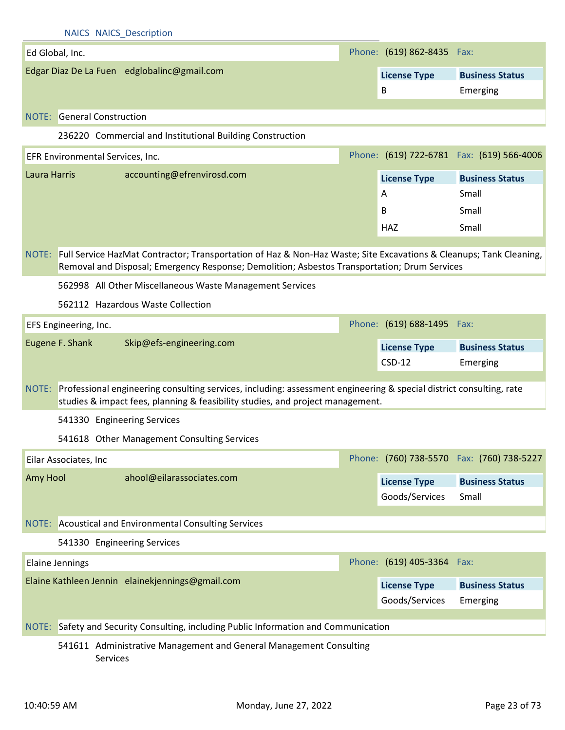| Phone: (619) 862-8435 Fax:<br>Ed Global, Inc.<br>Edgar Diaz De La Fuen edglobalinc@gmail.com<br><b>Business Status</b><br><b>License Type</b><br>B<br>Emerging<br><b>NOTE:</b> General Construction<br>236220 Commercial and Institutional Building Construction<br>Phone: (619) 722-6781 Fax: (619) 566-4006<br>EFR Environmental Services, Inc.<br>accounting@efrenvirosd.com<br>Laura Harris<br><b>License Type</b><br><b>Business Status</b> |
|--------------------------------------------------------------------------------------------------------------------------------------------------------------------------------------------------------------------------------------------------------------------------------------------------------------------------------------------------------------------------------------------------------------------------------------------------|
|                                                                                                                                                                                                                                                                                                                                                                                                                                                  |
|                                                                                                                                                                                                                                                                                                                                                                                                                                                  |
|                                                                                                                                                                                                                                                                                                                                                                                                                                                  |
|                                                                                                                                                                                                                                                                                                                                                                                                                                                  |
|                                                                                                                                                                                                                                                                                                                                                                                                                                                  |
|                                                                                                                                                                                                                                                                                                                                                                                                                                                  |
|                                                                                                                                                                                                                                                                                                                                                                                                                                                  |
|                                                                                                                                                                                                                                                                                                                                                                                                                                                  |
| Small<br>A                                                                                                                                                                                                                                                                                                                                                                                                                                       |
| Small<br>B                                                                                                                                                                                                                                                                                                                                                                                                                                       |
| Small<br><b>HAZ</b>                                                                                                                                                                                                                                                                                                                                                                                                                              |
| NOTE: Full Service HazMat Contractor; Transportation of Haz & Non-Haz Waste; Site Excavations & Cleanups; Tank Cleaning,                                                                                                                                                                                                                                                                                                                         |
| Removal and Disposal; Emergency Response; Demolition; Asbestos Transportation; Drum Services                                                                                                                                                                                                                                                                                                                                                     |
| 562998 All Other Miscellaneous Waste Management Services                                                                                                                                                                                                                                                                                                                                                                                         |
| 562112 Hazardous Waste Collection                                                                                                                                                                                                                                                                                                                                                                                                                |
| Phone: (619) 688-1495 Fax:<br>EFS Engineering, Inc.                                                                                                                                                                                                                                                                                                                                                                                              |
| Eugene F. Shank<br>Skip@efs-engineering.com<br><b>License Type</b><br><b>Business Status</b>                                                                                                                                                                                                                                                                                                                                                     |
| $CSD-12$<br>Emerging                                                                                                                                                                                                                                                                                                                                                                                                                             |
| NOTE: Professional engineering consulting services, including: assessment engineering & special district consulting, rate                                                                                                                                                                                                                                                                                                                        |
| studies & impact fees, planning & feasibility studies, and project management.                                                                                                                                                                                                                                                                                                                                                                   |
| 541330 Engineering Services                                                                                                                                                                                                                                                                                                                                                                                                                      |
| 541618 Other Management Consulting Services                                                                                                                                                                                                                                                                                                                                                                                                      |
| Phone: (760) 738-5570 Fax: (760) 738-5227<br>Eilar Associates, Inc                                                                                                                                                                                                                                                                                                                                                                               |
| ahool@eilarassociates.com<br>Amy Hool<br><b>License Type</b><br><b>Business Status</b>                                                                                                                                                                                                                                                                                                                                                           |
| Goods/Services<br>Small                                                                                                                                                                                                                                                                                                                                                                                                                          |
| NOTE: Acoustical and Environmental Consulting Services                                                                                                                                                                                                                                                                                                                                                                                           |
|                                                                                                                                                                                                                                                                                                                                                                                                                                                  |
| 541330 Engineering Services                                                                                                                                                                                                                                                                                                                                                                                                                      |
|                                                                                                                                                                                                                                                                                                                                                                                                                                                  |
| Phone: (619) 405-3364 Fax:<br><b>Elaine Jennings</b>                                                                                                                                                                                                                                                                                                                                                                                             |
| Elaine Kathleen Jennin elainekjennings@gmail.com<br><b>License Type</b><br><b>Business Status</b>                                                                                                                                                                                                                                                                                                                                                |
| Goods/Services<br>Emerging                                                                                                                                                                                                                                                                                                                                                                                                                       |
| NOTE: Safety and Security Consulting, including Public Information and Communication                                                                                                                                                                                                                                                                                                                                                             |

Services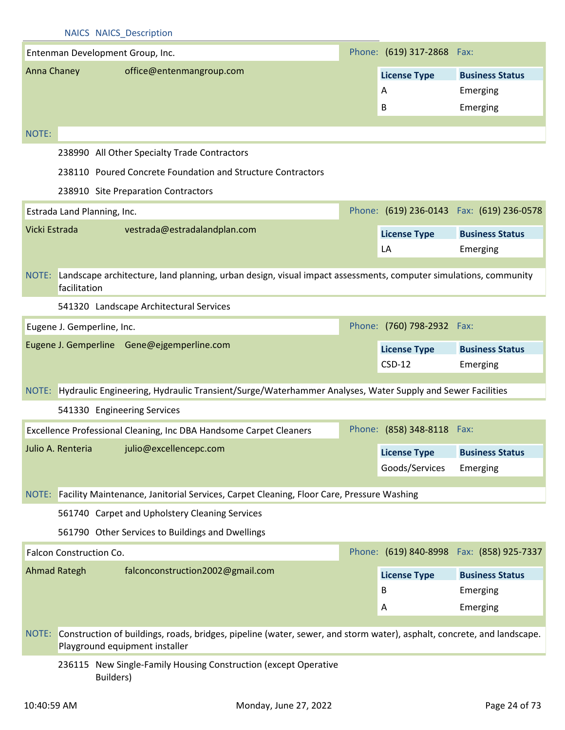|                     |                             | <b>INAICS INAICS DESCRIPTION</b>                 |                                                                                                                        |  |                            |                                            |
|---------------------|-----------------------------|--------------------------------------------------|------------------------------------------------------------------------------------------------------------------------|--|----------------------------|--------------------------------------------|
|                     |                             | Entenman Development Group, Inc.                 |                                                                                                                        |  | Phone: (619) 317-2868 Fax: |                                            |
| Anna Chaney         |                             | office@entenmangroup.com                         |                                                                                                                        |  | <b>License Type</b>        | <b>Business Status</b>                     |
|                     |                             |                                                  |                                                                                                                        |  | Α                          | Emerging                                   |
|                     |                             |                                                  |                                                                                                                        |  | B                          | Emerging                                   |
|                     |                             |                                                  |                                                                                                                        |  |                            |                                            |
| NOTE:               |                             |                                                  |                                                                                                                        |  |                            |                                            |
|                     |                             | 238990 All Other Specialty Trade Contractors     |                                                                                                                        |  |                            |                                            |
|                     |                             |                                                  | 238110 Poured Concrete Foundation and Structure Contractors                                                            |  |                            |                                            |
|                     |                             | 238910 Site Preparation Contractors              |                                                                                                                        |  |                            |                                            |
|                     | Estrada Land Planning, Inc. |                                                  |                                                                                                                        |  |                            | Phone: (619) 236-0143  Fax: (619) 236-0578 |
| Vicki Estrada       |                             | vestrada@estradalandplan.com                     |                                                                                                                        |  | <b>License Type</b>        | <b>Business Status</b>                     |
|                     |                             |                                                  |                                                                                                                        |  | LA                         | Emerging                                   |
|                     |                             |                                                  |                                                                                                                        |  |                            |                                            |
| NOTE:               | facilitation                |                                                  | Landscape architecture, land planning, urban design, visual impact assessments, computer simulations, community        |  |                            |                                            |
|                     |                             | 541320 Landscape Architectural Services          |                                                                                                                        |  |                            |                                            |
|                     | Eugene J. Gemperline, Inc.  |                                                  |                                                                                                                        |  | Phone: (760) 798-2932 Fax: |                                            |
|                     |                             | Eugene J. Gemperline Gene@ejgemperline.com       |                                                                                                                        |  | <b>License Type</b>        | <b>Business Status</b>                     |
|                     |                             |                                                  |                                                                                                                        |  | $CSD-12$                   | Emerging                                   |
|                     |                             |                                                  | NOTE: Hydraulic Engineering, Hydraulic Transient/Surge/Waterhammer Analyses, Water Supply and Sewer Facilities         |  |                            |                                            |
|                     |                             | 541330 Engineering Services                      |                                                                                                                        |  |                            |                                            |
|                     |                             |                                                  | Excellence Professional Cleaning, Inc DBA Handsome Carpet Cleaners                                                     |  | Phone: (858) 348-8118 Fax: |                                            |
|                     |                             | Julio A. Renteria julio@excellencepc.com         |                                                                                                                        |  | <b>License Type</b>        | <b>Business Status</b>                     |
|                     |                             |                                                  |                                                                                                                        |  | Goods/Services             | Emerging                                   |
| NOTE:               |                             |                                                  | Facility Maintenance, Janitorial Services, Carpet Cleaning, Floor Care, Pressure Washing                               |  |                            |                                            |
|                     |                             | 561740 Carpet and Upholstery Cleaning Services   |                                                                                                                        |  |                            |                                            |
|                     |                             | 561790 Other Services to Buildings and Dwellings |                                                                                                                        |  |                            |                                            |
|                     |                             |                                                  |                                                                                                                        |  |                            |                                            |
|                     | Falcon Construction Co.     |                                                  |                                                                                                                        |  |                            | Phone: (619) 840-8998 Fax: (858) 925-7337  |
| <b>Ahmad Rategh</b> |                             | falconconstruction2002@gmail.com                 |                                                                                                                        |  | <b>License Type</b>        | <b>Business Status</b>                     |
|                     |                             |                                                  |                                                                                                                        |  | B                          | Emerging                                   |
|                     |                             |                                                  |                                                                                                                        |  | Α                          | Emerging                                   |
|                     |                             |                                                  |                                                                                                                        |  |                            |                                            |
| NOTE:               |                             | Playground equipment installer                   | Construction of buildings, roads, bridges, pipeline (water, sewer, and storm water), asphalt, concrete, and landscape. |  |                            |                                            |

## 236115 New Single-Family Housing Construction (except Operative Builders)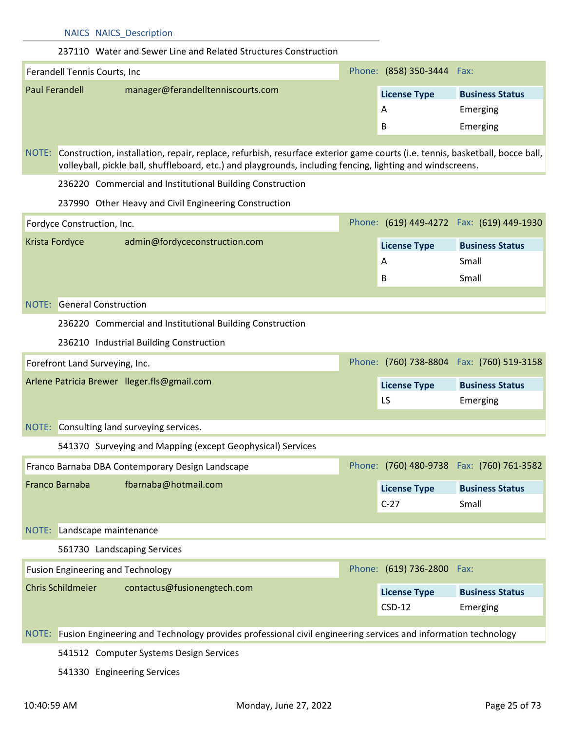## 237110 Water and Sewer Line and Related Structures Construction

| Ferandell Tennis Courts, Inc |                                   |  | Phone: (858) 350-3444 Fax: |                        |
|------------------------------|-----------------------------------|--|----------------------------|------------------------|
| Paul Ferandell               | manager@ferandelltenniscourts.com |  | <b>License Type</b>        | <b>Business Status</b> |
|                              |                                   |  | A                          | Emerging               |
|                              |                                   |  | B                          | Emerging               |

NOTE: Construction, installation, repair, replace, refurbish, resurface exterior game courts (i.e. tennis, basketball, bocce ball, volleyball, pickle ball, shuffleboard, etc.) and playgrounds, including fencing, lighting and windscreens.

236220 Commercial and Institutional Building Construction

237990 Other Heavy and Civil Engineering Construction

| Fordyce Construction, Inc. |                               |  |                     | Phone: (619) 449-4272  Fax: (619) 449-1930 |
|----------------------------|-------------------------------|--|---------------------|--------------------------------------------|
| Krista Fordyce             | admin@fordyceconstruction.com |  | <b>License Type</b> | <b>Business Status</b>                     |
|                            |                               |  | A                   | Small                                      |
|                            |                               |  | B                   | Small                                      |

#### NOTE: General Construction

236220 Commercial and Institutional Building Construction

236210 Industrial Building Construction

| Forefront Land Surveying, Inc.              |                     | Phone: (760) 738-8804 Fax: (760) 519-3158 |
|---------------------------------------------|---------------------|-------------------------------------------|
| Arlene Patricia Brewer Ileger.fls@gmail.com | <b>License Type</b> | <b>Business Status</b>                    |
|                                             | LS                  | Emerging                                  |

## NOTE: Consulting land surveying services.

| 541370 Surveying and Mapping (except Geophysical) Services |  |
|------------------------------------------------------------|--|
|------------------------------------------------------------|--|

|                                        | <b>Franco Barnaba DBA Contemporary Design Landscape</b> |                     | Phone: (760) 480-9738 Fax: (760) 761-3582 |
|----------------------------------------|---------------------------------------------------------|---------------------|-------------------------------------------|
| fbarnaba@hotmail.com<br>Franco Barnaba |                                                         | <b>License Type</b> | <b>Business Status</b>                    |
|                                        |                                                         | $C-27$              | Small                                     |

## NOTE: Landscape maintenance

561730 Landscaping Services

| Fusion Engineering and Technology |                             |  | Phone: (619) 736-2800 Fax:      |                                    |
|-----------------------------------|-----------------------------|--|---------------------------------|------------------------------------|
| <b>Chris Schildmeier</b>          | contactus@fusionengtech.com |  | <b>License Type</b><br>$CSD-12$ | <b>Business Status</b><br>Emerging |

## NOTE: Fusion Engineering and Technology provides professional civil engineering services and information technology

541512 Computer Systems Design Services

541330 Engineering Services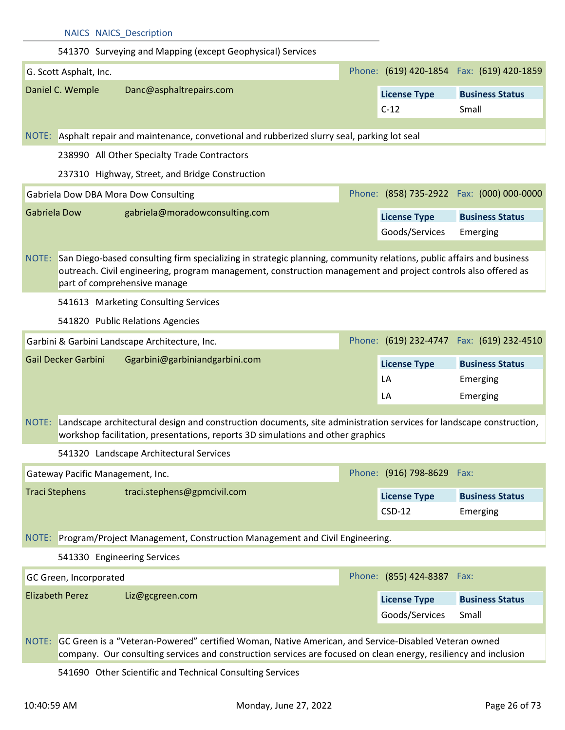|                        | <b>NAICS NAICS Description</b>   |                                                                                                                                                                                                                                                                       |                            |                                            |
|------------------------|----------------------------------|-----------------------------------------------------------------------------------------------------------------------------------------------------------------------------------------------------------------------------------------------------------------------|----------------------------|--------------------------------------------|
|                        |                                  | 541370 Surveying and Mapping (except Geophysical) Services                                                                                                                                                                                                            |                            |                                            |
|                        | G. Scott Asphalt, Inc.           |                                                                                                                                                                                                                                                                       |                            | Phone: (619) 420-1854  Fax: (619) 420-1859 |
|                        | Daniel C. Wemple                 | Danc@asphaltrepairs.com                                                                                                                                                                                                                                               | <b>License Type</b>        | <b>Business Status</b>                     |
|                        |                                  |                                                                                                                                                                                                                                                                       | $C-12$                     | Small                                      |
|                        |                                  |                                                                                                                                                                                                                                                                       |                            |                                            |
|                        |                                  | NOTE: Asphalt repair and maintenance, convetional and rubberized slurry seal, parking lot seal                                                                                                                                                                        |                            |                                            |
|                        |                                  | 238990 All Other Specialty Trade Contractors                                                                                                                                                                                                                          |                            |                                            |
|                        |                                  | 237310 Highway, Street, and Bridge Construction                                                                                                                                                                                                                       |                            |                                            |
|                        |                                  | Gabriela Dow DBA Mora Dow Consulting                                                                                                                                                                                                                                  |                            | Phone: (858) 735-2922 Fax: (000) 000-0000  |
| Gabriela Dow           |                                  | gabriela@moradowconsulting.com                                                                                                                                                                                                                                        | <b>License Type</b>        | <b>Business Status</b>                     |
|                        |                                  |                                                                                                                                                                                                                                                                       | Goods/Services             | Emerging                                   |
| NOTE:                  |                                  | San Diego-based consulting firm specializing in strategic planning, community relations, public affairs and business<br>outreach. Civil engineering, program management, construction management and project controls also offered as<br>part of comprehensive manage |                            |                                            |
|                        |                                  | 541613 Marketing Consulting Services                                                                                                                                                                                                                                  |                            |                                            |
|                        |                                  | 541820 Public Relations Agencies                                                                                                                                                                                                                                      |                            |                                            |
|                        |                                  | Garbini & Garbini Landscape Architecture, Inc.                                                                                                                                                                                                                        |                            | Phone: (619) 232-4747  Fax: (619) 232-4510 |
|                        | <b>Gail Decker Garbini</b>       | Ggarbini@garbiniandgarbini.com                                                                                                                                                                                                                                        | <b>License Type</b>        | <b>Business Status</b>                     |
|                        |                                  |                                                                                                                                                                                                                                                                       | LA                         | Emerging                                   |
|                        |                                  |                                                                                                                                                                                                                                                                       | LA                         | Emerging                                   |
| NOTE:                  |                                  | Landscape architectural design and construction documents, site administration services for landscape construction,<br>workshop facilitation, presentations, reports 3D simulations and other graphics                                                                |                            |                                            |
|                        |                                  | 541320 Landscape Architectural Services                                                                                                                                                                                                                               |                            |                                            |
|                        | Gateway Pacific Management, Inc. |                                                                                                                                                                                                                                                                       | Phone: (916) 798-8629 Fax: |                                            |
| <b>Traci Stephens</b>  |                                  | traci.stephens@gpmcivil.com                                                                                                                                                                                                                                           | <b>License Type</b>        | <b>Business Status</b>                     |
|                        |                                  |                                                                                                                                                                                                                                                                       | $CSD-12$                   | Emerging                                   |
|                        |                                  | NOTE: Program/Project Management, Construction Management and Civil Engineering.                                                                                                                                                                                      |                            |                                            |
|                        | 541330 Engineering Services      |                                                                                                                                                                                                                                                                       |                            |                                            |
|                        | GC Green, Incorporated           |                                                                                                                                                                                                                                                                       | Phone: (855) 424-8387 Fax: |                                            |
| <b>Elizabeth Perez</b> |                                  | Liz@gcgreen.com                                                                                                                                                                                                                                                       | <b>License Type</b>        | <b>Business Status</b>                     |
|                        |                                  |                                                                                                                                                                                                                                                                       | Goods/Services             | Small                                      |
|                        |                                  |                                                                                                                                                                                                                                                                       |                            |                                            |
|                        |                                  | NOTE: GC Green is a "Veteran-Powered" certified Woman, Native American, and Service-Disabled Veteran owned<br>company. Our consulting services and construction services are focused on clean energy, resiliency and inclusion                                        |                            |                                            |

541690 Other Scientific and Technical Consulting Services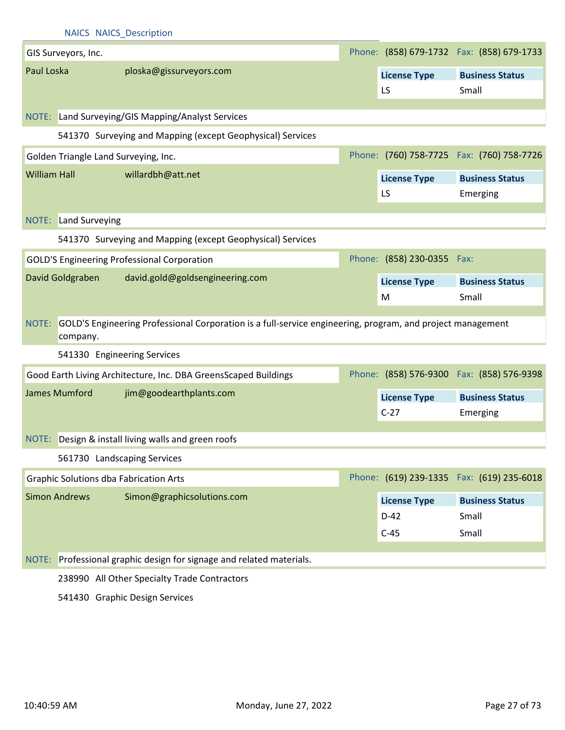|                     |                      | <b>NAICS NAICS_Description</b>                                                                                   |                                         |                                            |
|---------------------|----------------------|------------------------------------------------------------------------------------------------------------------|-----------------------------------------|--------------------------------------------|
|                     | GIS Surveyors, Inc.  |                                                                                                                  |                                         | Phone: (858) 679-1732  Fax: (858) 679-1733 |
| Paul Loska          |                      | ploska@gissurveyors.com                                                                                          | <b>License Type</b><br>LS               | <b>Business Status</b><br>Small            |
|                     |                      | NOTE: Land Surveying/GIS Mapping/Analyst Services                                                                |                                         |                                            |
|                     |                      | 541370 Surveying and Mapping (except Geophysical) Services                                                       |                                         |                                            |
|                     |                      | Golden Triangle Land Surveying, Inc.                                                                             |                                         | Phone: (760) 758-7725  Fax: (760) 758-7726 |
| <b>William Hall</b> |                      | willardbh@att.net                                                                                                | <b>License Type</b><br>LS               | <b>Business Status</b><br>Emerging         |
| NOTE:               | Land Surveying       |                                                                                                                  |                                         |                                            |
|                     |                      | 541370 Surveying and Mapping (except Geophysical) Services                                                       |                                         |                                            |
|                     |                      | <b>GOLD'S Engineering Professional Corporation</b>                                                               | Phone: (858) 230-0355 Fax:              |                                            |
|                     | David Goldgraben     | david.gold@goldsengineering.com                                                                                  | <b>License Type</b><br>M                | <b>Business Status</b><br>Small            |
|                     | company.             | NOTE: GOLD'S Engineering Professional Corporation is a full-service engineering, program, and project management |                                         |                                            |
|                     |                      | 541330 Engineering Services                                                                                      |                                         |                                            |
|                     |                      | Good Earth Living Architecture, Inc. DBA GreensScaped Buildings                                                  |                                         | Phone: (858) 576-9300 Fax: (858) 576-9398  |
|                     | <b>James Mumford</b> | jim@goodearthplants.com                                                                                          | <b>License Type</b>                     | <b>Business Status</b>                     |
|                     |                      |                                                                                                                  | $C-27$                                  | Emerging                                   |
|                     |                      | NOTE: Design & install living walls and green roofs                                                              |                                         |                                            |
|                     |                      | 561730 Landscaping Services                                                                                      |                                         |                                            |
|                     |                      | <b>Graphic Solutions dba Fabrication Arts</b>                                                                    |                                         | Phone: (619) 239-1335  Fax: (619) 235-6018 |
|                     | <b>Simon Andrews</b> | Simon@graphicsolutions.com                                                                                       | <b>License Type</b><br>$D-42$<br>$C-45$ | <b>Business Status</b><br>Small<br>Small   |
| NOTE:               |                      | Professional graphic design for signage and related materials.                                                   |                                         |                                            |
|                     |                      | 238990 All Other Specialty Trade Contractors                                                                     |                                         |                                            |
|                     |                      | 541430 Graphic Design Services                                                                                   |                                         |                                            |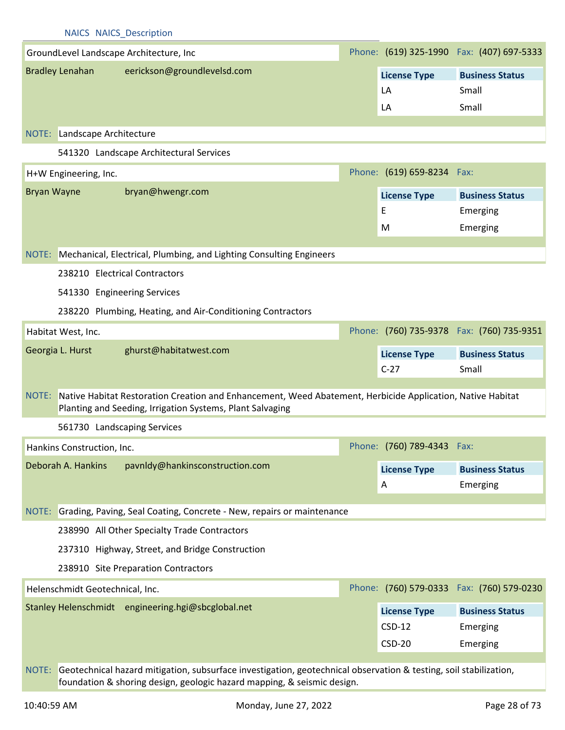## NAICS NAICS\_Description GroundLevel Landscape Architecture, Inc Bradley Lenahan eerickson@groundlevelsd.com (619) 325-1990 Phone: Fax: (407) 697-5333 NOTE: Landscape Architecture **License Type Business Status** LA Small LA Small 541320 Landscape Architectural Services H+W Engineering, Inc. Bryan Wayne bryan@hwengr.com Phone: (619) 659-8234 Fax: NOTE: Mechanical, Electrical, Plumbing, and Lighting Consulting Engineers **License Type Business Status** E Emerging M Emerging 238210 Electrical Contractors 541330 Engineering Services 238220 Plumbing, Heating, and Air-Conditioning Contractors Habitat West, Inc. Georgia L. Hurst ghurst@habitatwest.com Phone: (760) 735-9378 Fax: (760) 735-9351 NOTE: Native Habitat Restoration Creation and Enhancement, Weed Abatement, Herbicide Application, Native Habitat Planting and Seeding, Irrigation Systems, Plant Salvaging **License Type Business Status** C-27 Small 561730 Landscaping Services Hankins Construction, Inc. Deborah A. Hankins pavnldy@hankinsconstruction.com Phone: (760) 789-4343 Fax: NOTE: Grading, Paving, Seal Coating, Concrete - New, repairs or maintenance **License Type Business Status** A Emerging 238990 All Other Specialty Trade Contractors 237310 Highway, Street, and Bridge Construction 238910 Site Preparation Contractors Helenschmidt Geotechnical, Inc. Stanley Helenschmidt engineering.hgi@sbcglobal.net Phone: (760) 579-0333 Fax: (760) 579-0230 NOTE: Geotechnical hazard mitigation, subsurface investigation, geotechnical observation & testing, soil stabilization, **License Type Business Status** CSD-12 Emerging CSD-20 Emerging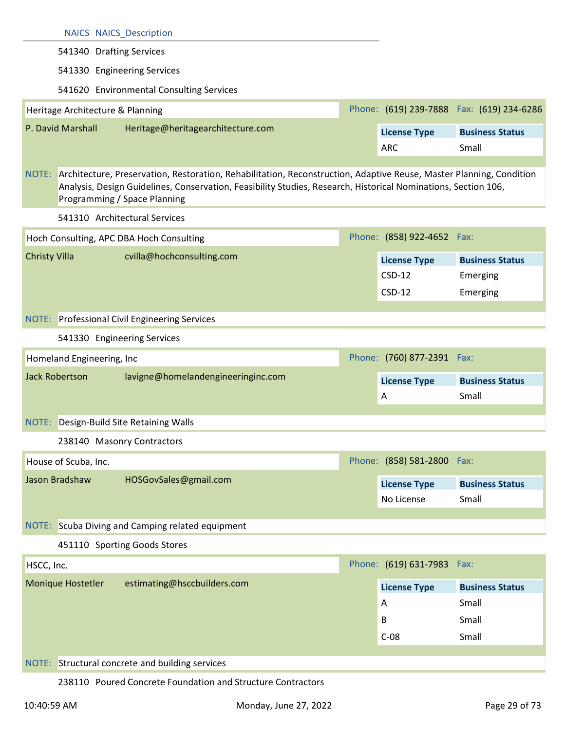|                           | <b>NAICS NAICS Description</b>                                                                                                                                                                                                                                              |                                   |                                            |
|---------------------------|-----------------------------------------------------------------------------------------------------------------------------------------------------------------------------------------------------------------------------------------------------------------------------|-----------------------------------|--------------------------------------------|
|                           | 541340 Drafting Services                                                                                                                                                                                                                                                    |                                   |                                            |
|                           | 541330 Engineering Services                                                                                                                                                                                                                                                 |                                   |                                            |
|                           | 541620 Environmental Consulting Services                                                                                                                                                                                                                                    |                                   |                                            |
|                           | Heritage Architecture & Planning                                                                                                                                                                                                                                            |                                   | Phone: (619) 239-7888  Fax: (619) 234-6286 |
| P. David Marshall         | Heritage@heritagearchitecture.com                                                                                                                                                                                                                                           | <b>License Type</b>               | <b>Business Status</b>                     |
|                           |                                                                                                                                                                                                                                                                             | <b>ARC</b>                        | Small                                      |
|                           | NOTE: Architecture, Preservation, Restoration, Rehabilitation, Reconstruction, Adaptive Reuse, Master Planning, Condition<br>Analysis, Design Guidelines, Conservation, Feasibility Studies, Research, Historical Nominations, Section 106,<br>Programming / Space Planning |                                   |                                            |
|                           | 541310 Architectural Services                                                                                                                                                                                                                                               |                                   |                                            |
|                           | Hoch Consulting, APC DBA Hoch Consulting                                                                                                                                                                                                                                    | Phone: (858) 922-4652 Fax:        |                                            |
| <b>Christy Villa</b>      | cvilla@hochconsulting.com                                                                                                                                                                                                                                                   | <b>License Type</b>               | <b>Business Status</b>                     |
|                           |                                                                                                                                                                                                                                                                             | <b>CSD-12</b>                     | Emerging                                   |
|                           |                                                                                                                                                                                                                                                                             | $CSD-12$                          | Emerging                                   |
|                           | <b>NOTE:</b> Professional Civil Engineering Services                                                                                                                                                                                                                        |                                   |                                            |
|                           | 541330 Engineering Services                                                                                                                                                                                                                                                 |                                   |                                            |
| Homeland Engineering, Inc |                                                                                                                                                                                                                                                                             | Phone: (760) 877-2391 Fax:        |                                            |
| <b>Jack Robertson</b>     | lavigne@homelandengineeringinc.com                                                                                                                                                                                                                                          | <b>License Type</b>               | <b>Business Status</b>                     |
|                           |                                                                                                                                                                                                                                                                             | A                                 | Small                                      |
| NOTE:                     | Design-Build Site Retaining Walls                                                                                                                                                                                                                                           |                                   |                                            |
|                           | 238140 Masonry Contractors                                                                                                                                                                                                                                                  |                                   |                                            |
| House of Scuba, Inc.      |                                                                                                                                                                                                                                                                             | Phone: (858) 581-2800 Fax:        |                                            |
| Jason Bradshaw            | HOSGovSales@gmail.com                                                                                                                                                                                                                                                       |                                   |                                            |
|                           |                                                                                                                                                                                                                                                                             | <b>License Type</b><br>No License | <b>Business Status</b><br>Small            |
|                           |                                                                                                                                                                                                                                                                             |                                   |                                            |
|                           | NOTE: Scuba Diving and Camping related equipment                                                                                                                                                                                                                            |                                   |                                            |
|                           | 451110 Sporting Goods Stores                                                                                                                                                                                                                                                |                                   |                                            |
| HSCC, Inc.                |                                                                                                                                                                                                                                                                             | Phone: (619) 631-7983 Fax:        |                                            |
| Monique Hostetler         | estimating@hsccbuilders.com                                                                                                                                                                                                                                                 | <b>License Type</b>               | <b>Business Status</b>                     |
|                           |                                                                                                                                                                                                                                                                             | Α                                 | Small                                      |
|                           |                                                                                                                                                                                                                                                                             | B                                 | Small                                      |
|                           |                                                                                                                                                                                                                                                                             | $C-08$                            | Small                                      |
|                           | NOTE: Structural concrete and building services                                                                                                                                                                                                                             |                                   |                                            |
|                           |                                                                                                                                                                                                                                                                             |                                   |                                            |

238110 Poured Concrete Foundation and Structure Contractors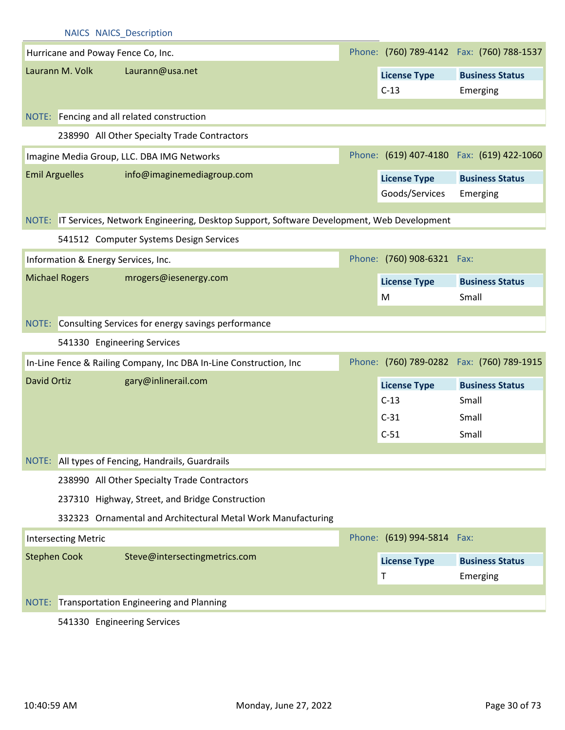|                       | <b>NAICS NAICS Description</b> |                                                                                                |  |                            |                                            |  |  |
|-----------------------|--------------------------------|------------------------------------------------------------------------------------------------|--|----------------------------|--------------------------------------------|--|--|
|                       |                                | Hurricane and Poway Fence Co, Inc.                                                             |  |                            | Phone: (760) 789-4142  Fax: (760) 788-1537 |  |  |
|                       | Laurann M. Volk                | Laurann@usa.net                                                                                |  | <b>License Type</b>        | <b>Business Status</b>                     |  |  |
|                       |                                |                                                                                                |  | $C-13$                     | Emerging                                   |  |  |
|                       |                                |                                                                                                |  |                            |                                            |  |  |
|                       |                                | NOTE: Fencing and all related construction                                                     |  |                            |                                            |  |  |
|                       |                                | 238990 All Other Specialty Trade Contractors                                                   |  |                            |                                            |  |  |
|                       |                                | Imagine Media Group, LLC. DBA IMG Networks                                                     |  |                            | Phone: (619) 407-4180  Fax: (619) 422-1060 |  |  |
| <b>Emil Arguelles</b> |                                | info@imaginemediagroup.com                                                                     |  | <b>License Type</b>        | <b>Business Status</b>                     |  |  |
|                       |                                |                                                                                                |  | Goods/Services             | Emerging                                   |  |  |
|                       |                                | NOTE: IT Services, Network Engineering, Desktop Support, Software Development, Web Development |  |                            |                                            |  |  |
|                       |                                | 541512 Computer Systems Design Services                                                        |  |                            |                                            |  |  |
|                       |                                |                                                                                                |  | Phone: (760) 908-6321 Fax: |                                            |  |  |
|                       |                                | Information & Energy Services, Inc.                                                            |  |                            |                                            |  |  |
|                       | <b>Michael Rogers</b>          | mrogers@iesenergy.com                                                                          |  | <b>License Type</b>        | <b>Business Status</b>                     |  |  |
|                       |                                |                                                                                                |  | M                          | Small                                      |  |  |
|                       |                                | NOTE: Consulting Services for energy savings performance                                       |  |                            |                                            |  |  |
|                       |                                | 541330 Engineering Services                                                                    |  |                            |                                            |  |  |
|                       |                                | In-Line Fence & Railing Company, Inc DBA In-Line Construction, Inc                             |  |                            | Phone: (760) 789-0282  Fax: (760) 789-1915 |  |  |
| <b>David Ortiz</b>    |                                | gary@inlinerail.com                                                                            |  | <b>License Type</b>        | <b>Business Status</b>                     |  |  |
|                       |                                |                                                                                                |  | $C-13$                     | Small                                      |  |  |
|                       |                                |                                                                                                |  | $C-31$                     | Small                                      |  |  |
|                       |                                |                                                                                                |  | $C-51$                     | Small                                      |  |  |
|                       |                                |                                                                                                |  |                            |                                            |  |  |
|                       |                                | NOTE: All types of Fencing, Handrails, Guardrails                                              |  |                            |                                            |  |  |
|                       |                                | 238990 All Other Specialty Trade Contractors                                                   |  |                            |                                            |  |  |
|                       |                                | 237310 Highway, Street, and Bridge Construction                                                |  |                            |                                            |  |  |
|                       |                                | 332323 Ornamental and Architectural Metal Work Manufacturing                                   |  |                            |                                            |  |  |
|                       | <b>Intersecting Metric</b>     |                                                                                                |  | Phone: (619) 994-5814 Fax: |                                            |  |  |
| <b>Stephen Cook</b>   |                                | Steve@intersectingmetrics.com                                                                  |  | <b>License Type</b>        | <b>Business Status</b>                     |  |  |
|                       |                                |                                                                                                |  | Τ                          | Emerging                                   |  |  |
|                       |                                | NOTE: Transportation Engineering and Planning                                                  |  |                            |                                            |  |  |
|                       |                                | 541330 Engineering Services                                                                    |  |                            |                                            |  |  |

541330 Engineering Services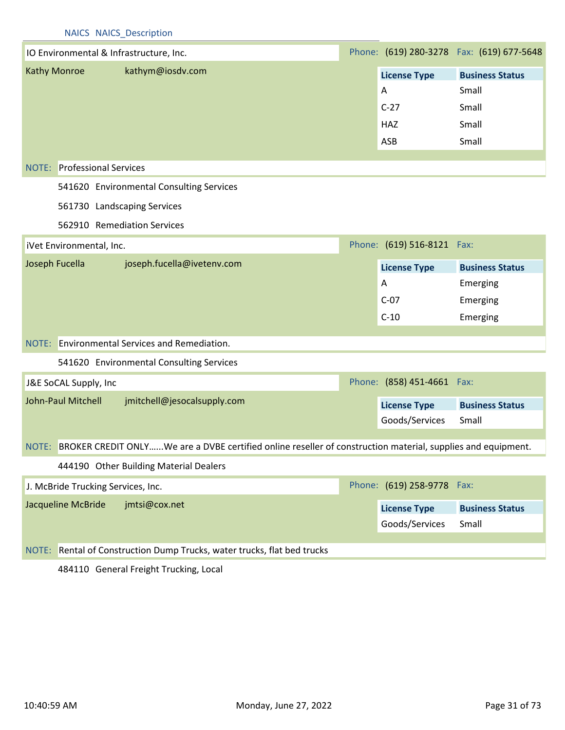## NAICS NAICS\_Description

| IO Environmental & Infrastructure, Inc.                                                                           |  |                            | Phone: (619) 280-3278  Fax: (619) 677-5648 |
|-------------------------------------------------------------------------------------------------------------------|--|----------------------------|--------------------------------------------|
| <b>Kathy Monroe</b><br>kathym@iosdv.com                                                                           |  | <b>License Type</b>        | <b>Business Status</b>                     |
|                                                                                                                   |  | A                          | Small                                      |
|                                                                                                                   |  | $C-27$                     | Small                                      |
|                                                                                                                   |  | <b>HAZ</b>                 | Small                                      |
|                                                                                                                   |  | ASB                        | Small                                      |
|                                                                                                                   |  |                            |                                            |
| <b>NOTE:</b> Professional Services                                                                                |  |                            |                                            |
| 541620 Environmental Consulting Services                                                                          |  |                            |                                            |
| 561730 Landscaping Services                                                                                       |  |                            |                                            |
| 562910 Remediation Services                                                                                       |  |                            |                                            |
| iVet Environmental, Inc.                                                                                          |  | Phone: (619) 516-8121 Fax: |                                            |
| joseph.fucella@ivetenv.com<br>Joseph Fucella                                                                      |  | <b>License Type</b>        | <b>Business Status</b>                     |
|                                                                                                                   |  | A                          | Emerging                                   |
|                                                                                                                   |  | $C-07$                     | Emerging                                   |
|                                                                                                                   |  | $C-10$                     | Emerging                                   |
|                                                                                                                   |  |                            |                                            |
| NOTE: Environmental Services and Remediation.                                                                     |  |                            |                                            |
| 541620 Environmental Consulting Services                                                                          |  |                            |                                            |
| J&E SoCAL Supply, Inc                                                                                             |  | Phone: (858) 451-4661 Fax: |                                            |
| John-Paul Mitchell<br>jmitchell@jesocalsupply.com                                                                 |  | <b>License Type</b>        | <b>Business Status</b>                     |
|                                                                                                                   |  | Goods/Services             | Small                                      |
|                                                                                                                   |  |                            |                                            |
| NOTE: BROKER CREDIT ONLYWe are a DVBE certified online reseller of construction material, supplies and equipment. |  |                            |                                            |
| 444190 Other Building Material Dealers                                                                            |  |                            |                                            |
| J. McBride Trucking Services, Inc.                                                                                |  | Phone: (619) 258-9778      | Fax:                                       |
| Jacqueline McBride<br>jmtsi@cox.net                                                                               |  | <b>License Type</b>        | <b>Business Status</b>                     |
|                                                                                                                   |  | Goods/Services             | Small                                      |
|                                                                                                                   |  |                            |                                            |
| Rental of Construction Dump Trucks, water trucks, flat bed trucks<br>NOTE:                                        |  |                            |                                            |

484110 General Freight Trucking, Local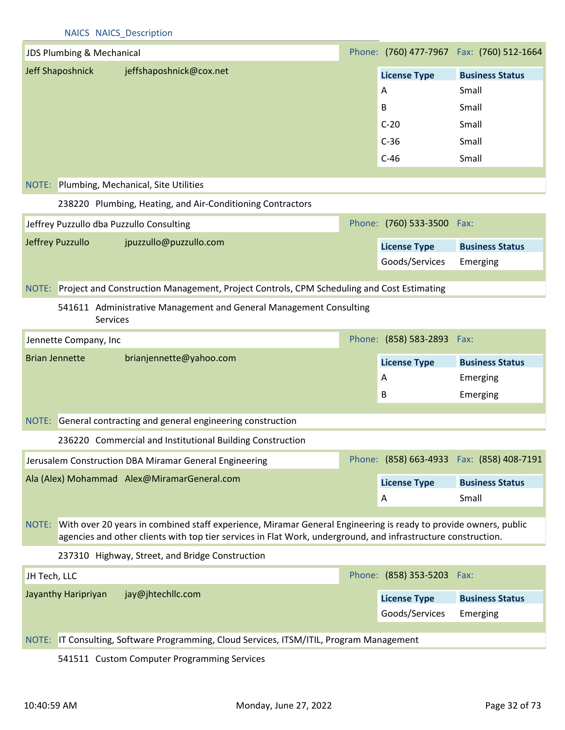| <b>NAICS NAICS Description</b>                                                                  |  |                            |                                           |  |  |  |
|-------------------------------------------------------------------------------------------------|--|----------------------------|-------------------------------------------|--|--|--|
| JDS Plumbing & Mechanical                                                                       |  |                            | Phone: (760) 477-7967 Fax: (760) 512-1664 |  |  |  |
| Jeff Shaposhnick<br>jeffshaposhnick@cox.net                                                     |  | <b>License Type</b>        | <b>Business Status</b>                    |  |  |  |
|                                                                                                 |  | A                          | Small                                     |  |  |  |
|                                                                                                 |  | B                          | Small                                     |  |  |  |
|                                                                                                 |  | $C-20$                     | Small                                     |  |  |  |
|                                                                                                 |  | $C-36$                     | Small                                     |  |  |  |
|                                                                                                 |  | $C-46$                     | Small                                     |  |  |  |
| NOTE: Plumbing, Mechanical, Site Utilities                                                      |  |                            |                                           |  |  |  |
| 238220 Plumbing, Heating, and Air-Conditioning Contractors                                      |  |                            |                                           |  |  |  |
| Jeffrey Puzzullo dba Puzzullo Consulting                                                        |  | Phone: (760) 533-3500 Fax: |                                           |  |  |  |
| Jeffrey Puzzullo<br>jpuzzullo@puzzullo.com                                                      |  | <b>License Type</b>        | <b>Business Status</b>                    |  |  |  |
|                                                                                                 |  | Goods/Services             | Emerging                                  |  |  |  |
| NOTE: Project and Construction Management, Project Controls, CPM Scheduling and Cost Estimating |  |                            |                                           |  |  |  |
|                                                                                                 |  |                            |                                           |  |  |  |
| 541611 Administrative Management and General Management Consulting<br><b>Services</b>           |  |                            |                                           |  |  |  |
| Jennette Company, Inc                                                                           |  | Phone: (858) 583-2893 Fax: |                                           |  |  |  |
| <b>Brian Jennette</b><br>brianjennette@yahoo.com                                                |  | <b>License Type</b>        | <b>Business Status</b>                    |  |  |  |
|                                                                                                 |  | A                          | Emerging                                  |  |  |  |
|                                                                                                 |  | B                          | Emerging                                  |  |  |  |
| NOTE: General contracting and general engineering construction                                  |  |                            |                                           |  |  |  |
|                                                                                                 |  |                            |                                           |  |  |  |
| 236220 Commercial and Institutional Building Construction                                       |  |                            |                                           |  |  |  |

| Jerusalem Construction DBA Miramar General Engineering |                          | Phone: (858) 663-4933  Fax: (858) 408-7191 |
|--------------------------------------------------------|--------------------------|--------------------------------------------|
| Ala (Alex) Mohammad Alex@MiramarGeneral.com            | <b>License Type</b><br>A | <b>Business Status</b><br>Small            |

## NOTE: With over 20 years in combined staff experience, Miramar General Engineering is ready to provide owners, public agencies and other clients with top tier services in Flat Work, underground, and infrastructure construction.

237310 Highway, Street, and Bridge Construction

| JH Tech, LLC        |                   | Phone: (858) 353-5203 Fax:            |                                    |
|---------------------|-------------------|---------------------------------------|------------------------------------|
| Jayanthy Haripriyan | jay@jhtechllc.com | <b>License Type</b><br>Goods/Services | <b>Business Status</b><br>Emerging |

NOTE: IT Consulting, Software Programming, Cloud Services, ITSM/ITIL, Program Management

541511 Custom Computer Programming Services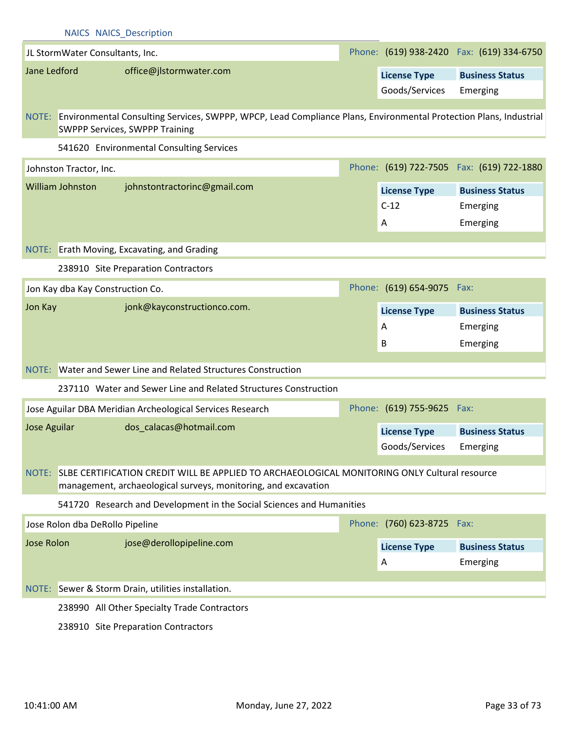| <b>NAICS NAICS Description</b> |                                         |                                                                                                                                                                  |  |                            |                                            |  |
|--------------------------------|-----------------------------------------|------------------------------------------------------------------------------------------------------------------------------------------------------------------|--|----------------------------|--------------------------------------------|--|
|                                | JL StormWater Consultants, Inc.         |                                                                                                                                                                  |  |                            | Phone: (619) 938-2420  Fax: (619) 334-6750 |  |
|                                | Jane Ledford<br>office@jlstormwater.com |                                                                                                                                                                  |  | <b>License Type</b>        | <b>Business Status</b>                     |  |
|                                |                                         |                                                                                                                                                                  |  | Goods/Services             | Emerging                                   |  |
|                                |                                         |                                                                                                                                                                  |  |                            |                                            |  |
|                                |                                         | NOTE: Environmental Consulting Services, SWPPP, WPCP, Lead Compliance Plans, Environmental Protection Plans, Industrial<br><b>SWPPP Services, SWPPP Training</b> |  |                            |                                            |  |
|                                |                                         | 541620 Environmental Consulting Services                                                                                                                         |  |                            |                                            |  |
|                                | Johnston Tractor, Inc.                  |                                                                                                                                                                  |  |                            | Phone: (619) 722-7505 Fax: (619) 722-1880  |  |
|                                | <b>William Johnston</b>                 | johnstontractorinc@gmail.com                                                                                                                                     |  | <b>License Type</b>        | <b>Business Status</b>                     |  |
|                                |                                         |                                                                                                                                                                  |  | $C-12$                     | Emerging                                   |  |
|                                |                                         |                                                                                                                                                                  |  | Α                          | Emerging                                   |  |
|                                |                                         |                                                                                                                                                                  |  |                            |                                            |  |
|                                |                                         | NOTE: Erath Moving, Excavating, and Grading                                                                                                                      |  |                            |                                            |  |
|                                |                                         | 238910 Site Preparation Contractors                                                                                                                              |  |                            |                                            |  |
|                                |                                         | Jon Kay dba Kay Construction Co.                                                                                                                                 |  | Phone: (619) 654-9075 Fax: |                                            |  |
| Jon Kay                        |                                         | jonk@kayconstructionco.com.                                                                                                                                      |  | <b>License Type</b>        | <b>Business Status</b>                     |  |
|                                |                                         |                                                                                                                                                                  |  | A                          | Emerging                                   |  |
|                                |                                         |                                                                                                                                                                  |  | B                          | Emerging                                   |  |
|                                |                                         | NOTE: Water and Sewer Line and Related Structures Construction                                                                                                   |  |                            |                                            |  |
|                                |                                         | 237110 Water and Sewer Line and Related Structures Construction                                                                                                  |  |                            |                                            |  |
|                                |                                         |                                                                                                                                                                  |  |                            |                                            |  |
|                                |                                         | Jose Aguilar DBA Meridian Archeological Services Research                                                                                                        |  | Phone: (619) 755-9625 Fax: |                                            |  |
| Jose Aguilar                   |                                         | dos_calacas@hotmail.com                                                                                                                                          |  | <b>License Type</b>        | <b>Business Status</b>                     |  |
|                                |                                         |                                                                                                                                                                  |  | Goods/Services             | Emerging                                   |  |
|                                |                                         | NOTE: SLBE CERTIFICATION CREDIT WILL BE APPLIED TO ARCHAEOLOGICAL MONITORING ONLY Cultural resource                                                              |  |                            |                                            |  |
|                                |                                         | management, archaeological surveys, monitoring, and excavation                                                                                                   |  |                            |                                            |  |
|                                |                                         | 541720 Research and Development in the Social Sciences and Humanities                                                                                            |  |                            |                                            |  |
|                                | Jose Rolon dba DeRollo Pipeline         |                                                                                                                                                                  |  | Phone: (760) 623-8725 Fax: |                                            |  |
| <b>Jose Rolon</b>              |                                         | jose@derollopipeline.com                                                                                                                                         |  | <b>License Type</b>        | <b>Business Status</b>                     |  |
|                                |                                         |                                                                                                                                                                  |  | A                          | Emerging                                   |  |
|                                |                                         |                                                                                                                                                                  |  |                            |                                            |  |
|                                |                                         | NOTE: Sewer & Storm Drain, utilities installation.                                                                                                               |  |                            |                                            |  |
|                                |                                         |                                                                                                                                                                  |  |                            |                                            |  |
|                                |                                         | 238990 All Other Specialty Trade Contractors                                                                                                                     |  |                            |                                            |  |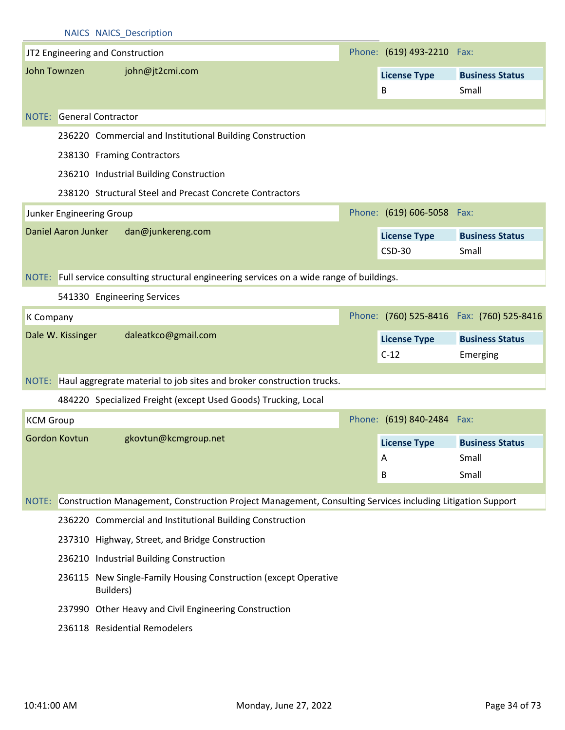|                  |                            |           | <b>NAICS NAICS Description</b>          |                                                           |                                                                                                            |                              |                                            |
|------------------|----------------------------|-----------|-----------------------------------------|-----------------------------------------------------------|------------------------------------------------------------------------------------------------------------|------------------------------|--------------------------------------------|
|                  |                            |           | JT2 Engineering and Construction        |                                                           |                                                                                                            | Phone: (619) 493-2210 Fax:   |                                            |
|                  | John Townzen               |           | john@jt2cmi.com                         |                                                           |                                                                                                            | <b>License Type</b>          | <b>Business Status</b>                     |
|                  |                            |           |                                         |                                                           |                                                                                                            | B                            | Small                                      |
| NOTE:            | <b>General Contractor</b>  |           |                                         |                                                           |                                                                                                            |                              |                                            |
|                  |                            |           |                                         | 236220 Commercial and Institutional Building Construction |                                                                                                            |                              |                                            |
|                  |                            |           | 238130 Framing Contractors              |                                                           |                                                                                                            |                              |                                            |
|                  |                            |           | 236210 Industrial Building Construction |                                                           |                                                                                                            |                              |                                            |
|                  |                            |           |                                         | 238120 Structural Steel and Precast Concrete Contractors  |                                                                                                            |                              |                                            |
|                  | Junker Engineering Group   |           |                                         |                                                           |                                                                                                            | Phone: (619) 606-5058 Fax:   |                                            |
|                  | <b>Daniel Aaron Junker</b> |           | dan@junkereng.com                       |                                                           |                                                                                                            | <b>License Type</b>          | <b>Business Status</b>                     |
|                  |                            |           |                                         |                                                           |                                                                                                            | <b>CSD-30</b>                | Small                                      |
|                  |                            |           |                                         |                                                           |                                                                                                            |                              |                                            |
|                  |                            |           |                                         |                                                           | NOTE: Full service consulting structural engineering services on a wide range of buildings.                |                              |                                            |
|                  |                            |           | 541330 Engineering Services             |                                                           |                                                                                                            |                              |                                            |
| K Company        |                            |           |                                         |                                                           |                                                                                                            |                              | Phone: (760) 525-8416  Fax: (760) 525-8416 |
|                  | Dale W. Kissinger          |           | daleatkco@gmail.com                     |                                                           |                                                                                                            | <b>License Type</b>          | <b>Business Status</b>                     |
|                  |                            |           |                                         |                                                           |                                                                                                            | $C-12$                       | Emerging                                   |
|                  |                            |           |                                         |                                                           | NOTE: Haul aggregrate material to job sites and broker construction trucks.                                |                              |                                            |
|                  |                            |           |                                         |                                                           | 484220 Specialized Freight (except Used Goods) Trucking, Local                                             |                              |                                            |
| <b>KCM Group</b> |                            |           |                                         |                                                           |                                                                                                            | Phone: (619) 840-2484 Fax:   |                                            |
|                  | Gordon Kovtun              |           | gkovtun@kcmgroup.net                    |                                                           |                                                                                                            | License Type Business Status |                                            |
|                  |                            |           |                                         |                                                           |                                                                                                            | A                            | Small                                      |
|                  |                            |           |                                         |                                                           |                                                                                                            | B                            | Small                                      |
| NOTE:            |                            |           |                                         |                                                           | Construction Management, Construction Project Management, Consulting Services including Litigation Support |                              |                                            |
|                  |                            |           |                                         | 236220 Commercial and Institutional Building Construction |                                                                                                            |                              |                                            |
|                  |                            |           |                                         | 237310 Highway, Street, and Bridge Construction           |                                                                                                            |                              |                                            |
|                  |                            |           | 236210 Industrial Building Construction |                                                           |                                                                                                            |                              |                                            |
|                  |                            | Builders) |                                         |                                                           | 236115 New Single-Family Housing Construction (except Operative                                            |                              |                                            |
|                  |                            |           |                                         | 237990 Other Heavy and Civil Engineering Construction     |                                                                                                            |                              |                                            |
|                  |                            |           | 236118 Residential Remodelers           |                                                           |                                                                                                            |                              |                                            |
|                  |                            |           |                                         |                                                           |                                                                                                            |                              |                                            |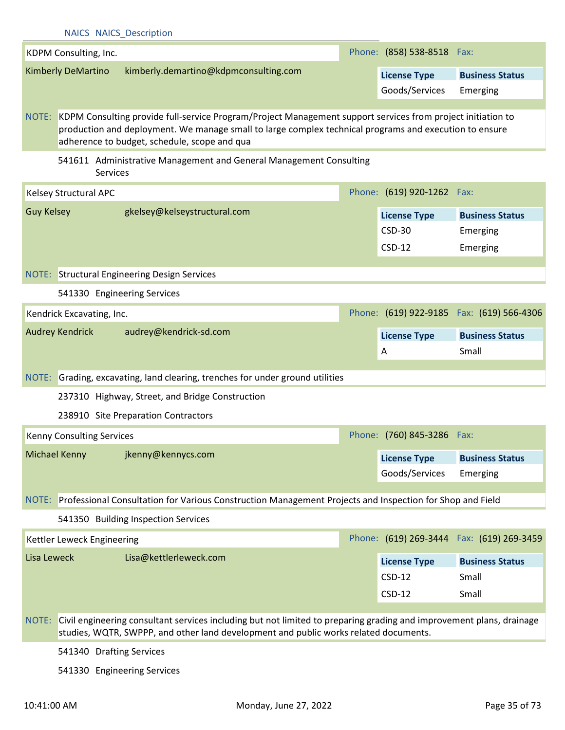|                      | <b>NAICS NAICS Description</b>                                                                                                                                                                                                                                                 |                                                                                                                                                                                                              |  |                            |                                            |  |  |
|----------------------|--------------------------------------------------------------------------------------------------------------------------------------------------------------------------------------------------------------------------------------------------------------------------------|--------------------------------------------------------------------------------------------------------------------------------------------------------------------------------------------------------------|--|----------------------------|--------------------------------------------|--|--|
|                      | KDPM Consulting, Inc.                                                                                                                                                                                                                                                          |                                                                                                                                                                                                              |  | Phone: (858) 538-8518 Fax: |                                            |  |  |
|                      | <b>Kimberly DeMartino</b>                                                                                                                                                                                                                                                      | kimberly.demartino@kdpmconsulting.com                                                                                                                                                                        |  | <b>License Type</b>        | <b>Business Status</b>                     |  |  |
|                      |                                                                                                                                                                                                                                                                                |                                                                                                                                                                                                              |  | Goods/Services             | Emerging                                   |  |  |
|                      |                                                                                                                                                                                                                                                                                |                                                                                                                                                                                                              |  |                            |                                            |  |  |
|                      | KDPM Consulting provide full-service Program/Project Management support services from project initiation to<br>NOTE:<br>production and deployment. We manage small to large complex technical programs and execution to ensure<br>adherence to budget, schedule, scope and qua |                                                                                                                                                                                                              |  |                            |                                            |  |  |
|                      | Services                                                                                                                                                                                                                                                                       | 541611 Administrative Management and General Management Consulting                                                                                                                                           |  |                            |                                            |  |  |
|                      | Kelsey Structural APC                                                                                                                                                                                                                                                          |                                                                                                                                                                                                              |  | Phone: (619) 920-1262 Fax: |                                            |  |  |
| <b>Guy Kelsey</b>    |                                                                                                                                                                                                                                                                                | gkelsey@kelseystructural.com                                                                                                                                                                                 |  | <b>License Type</b>        | <b>Business Status</b>                     |  |  |
|                      |                                                                                                                                                                                                                                                                                |                                                                                                                                                                                                              |  | <b>CSD-30</b>              | Emerging                                   |  |  |
|                      |                                                                                                                                                                                                                                                                                |                                                                                                                                                                                                              |  | $CSD-12$                   | Emerging                                   |  |  |
|                      |                                                                                                                                                                                                                                                                                |                                                                                                                                                                                                              |  |                            |                                            |  |  |
|                      |                                                                                                                                                                                                                                                                                | NOTE: Structural Engineering Design Services                                                                                                                                                                 |  |                            |                                            |  |  |
|                      | 541330 Engineering Services                                                                                                                                                                                                                                                    |                                                                                                                                                                                                              |  |                            |                                            |  |  |
|                      | Kendrick Excavating, Inc.                                                                                                                                                                                                                                                      |                                                                                                                                                                                                              |  |                            | Phone: (619) 922-9185  Fax: (619) 566-4306 |  |  |
|                      | <b>Audrey Kendrick</b>                                                                                                                                                                                                                                                         | audrey@kendrick-sd.com                                                                                                                                                                                       |  | <b>License Type</b>        | <b>Business Status</b>                     |  |  |
|                      |                                                                                                                                                                                                                                                                                |                                                                                                                                                                                                              |  |                            |                                            |  |  |
|                      |                                                                                                                                                                                                                                                                                |                                                                                                                                                                                                              |  | A                          | Small                                      |  |  |
|                      |                                                                                                                                                                                                                                                                                |                                                                                                                                                                                                              |  |                            |                                            |  |  |
| NOTE:                |                                                                                                                                                                                                                                                                                | Grading, excavating, land clearing, trenches for under ground utilities                                                                                                                                      |  |                            |                                            |  |  |
|                      |                                                                                                                                                                                                                                                                                | 237310 Highway, Street, and Bridge Construction                                                                                                                                                              |  |                            |                                            |  |  |
|                      |                                                                                                                                                                                                                                                                                | 238910 Site Preparation Contractors                                                                                                                                                                          |  |                            |                                            |  |  |
|                      | Kenny Consulting Services                                                                                                                                                                                                                                                      |                                                                                                                                                                                                              |  | Phone: (760) 845-3286      | Fax:                                       |  |  |
| <b>Michael Kenny</b> |                                                                                                                                                                                                                                                                                | jkenny@kennycs.com                                                                                                                                                                                           |  | <b>License Type</b>        | <b>Business Status</b>                     |  |  |
|                      |                                                                                                                                                                                                                                                                                |                                                                                                                                                                                                              |  | Goods/Services             | Emerging                                   |  |  |
|                      |                                                                                                                                                                                                                                                                                | NOTE: Professional Consultation for Various Construction Management Projects and Inspection for Shop and Field                                                                                               |  |                            |                                            |  |  |
|                      |                                                                                                                                                                                                                                                                                | 541350 Building Inspection Services                                                                                                                                                                          |  |                            |                                            |  |  |
|                      | Kettler Leweck Engineering                                                                                                                                                                                                                                                     |                                                                                                                                                                                                              |  |                            | Phone: (619) 269-3444  Fax: (619) 269-3459 |  |  |
| Lisa Leweck          |                                                                                                                                                                                                                                                                                | Lisa@kettlerleweck.com                                                                                                                                                                                       |  |                            |                                            |  |  |
|                      |                                                                                                                                                                                                                                                                                |                                                                                                                                                                                                              |  | <b>License Type</b>        | <b>Business Status</b>                     |  |  |
|                      |                                                                                                                                                                                                                                                                                |                                                                                                                                                                                                              |  | $CSD-12$                   | Small                                      |  |  |
|                      |                                                                                                                                                                                                                                                                                |                                                                                                                                                                                                              |  | $CSD-12$                   | Small                                      |  |  |
| NOTE:                |                                                                                                                                                                                                                                                                                | Civil engineering consultant services including but not limited to preparing grading and improvement plans, drainage<br>studies, WQTR, SWPPP, and other land development and public works related documents. |  |                            |                                            |  |  |

541330 Engineering Services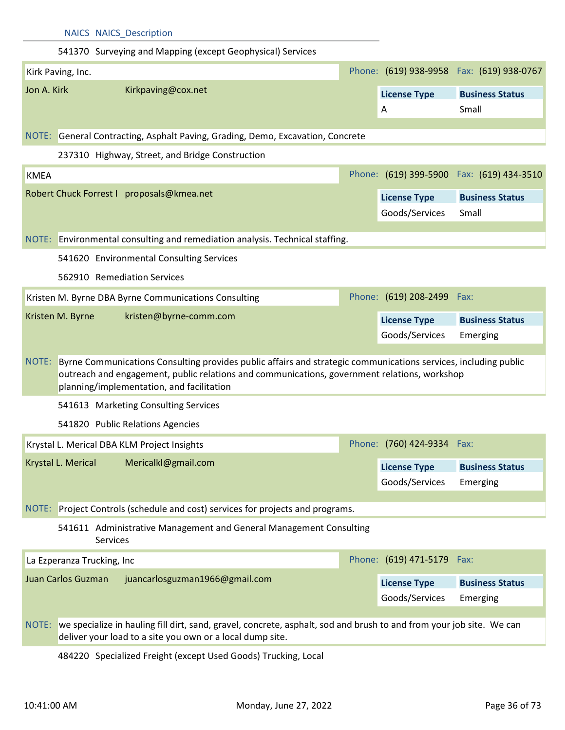|                            | <b>NAICS NAICS_Description</b>                                                                                                                                                                                                                               |                            |                                           |
|----------------------------|--------------------------------------------------------------------------------------------------------------------------------------------------------------------------------------------------------------------------------------------------------------|----------------------------|-------------------------------------------|
|                            | 541370 Surveying and Mapping (except Geophysical) Services                                                                                                                                                                                                   |                            |                                           |
| Kirk Paving, Inc.          |                                                                                                                                                                                                                                                              |                            | Phone: (619) 938-9958 Fax: (619) 938-0767 |
| Jon A. Kirk                | Kirkpaving@cox.net                                                                                                                                                                                                                                           | <b>License Type</b>        | <b>Business Status</b>                    |
|                            |                                                                                                                                                                                                                                                              | A                          | Small                                     |
|                            | NOTE: General Contracting, Asphalt Paving, Grading, Demo, Excavation, Concrete                                                                                                                                                                               |                            |                                           |
|                            | 237310 Highway, Street, and Bridge Construction                                                                                                                                                                                                              |                            |                                           |
| <b>KMEA</b>                |                                                                                                                                                                                                                                                              |                            | Phone: (619) 399-5900 Fax: (619) 434-3510 |
|                            | Robert Chuck Forrest I proposals@kmea.net                                                                                                                                                                                                                    | <b>License Type</b>        | <b>Business Status</b>                    |
|                            |                                                                                                                                                                                                                                                              | Goods/Services             | Small                                     |
|                            |                                                                                                                                                                                                                                                              |                            |                                           |
|                            | NOTE: Environmental consulting and remediation analysis. Technical staffing.                                                                                                                                                                                 |                            |                                           |
|                            | 541620 Environmental Consulting Services                                                                                                                                                                                                                     |                            |                                           |
|                            | 562910 Remediation Services                                                                                                                                                                                                                                  |                            |                                           |
|                            | Kristen M. Byrne DBA Byrne Communications Consulting                                                                                                                                                                                                         | Phone: (619) 208-2499 Fax: |                                           |
| Kristen M. Byrne           | kristen@byrne-comm.com                                                                                                                                                                                                                                       | <b>License Type</b>        | <b>Business Status</b>                    |
|                            |                                                                                                                                                                                                                                                              | Goods/Services             | Emerging                                  |
| NOTE:                      | Byrne Communications Consulting provides public affairs and strategic communications services, including public<br>outreach and engagement, public relations and communications, government relations, workshop<br>planning/implementation, and facilitation |                            |                                           |
|                            | 541613 Marketing Consulting Services                                                                                                                                                                                                                         |                            |                                           |
|                            | 541820 Public Relations Agencies                                                                                                                                                                                                                             |                            |                                           |
|                            | Krystal L. Merical DBA KLM Project Insights                                                                                                                                                                                                                  | Phone: (760) 424-9334      | Fax:                                      |
| Krystal L. Merical         | Mericalkl@gmail.com                                                                                                                                                                                                                                          | <b>License Type</b>        | <b>Business Status</b>                    |
|                            |                                                                                                                                                                                                                                                              | Goods/Services             | Emerging                                  |
| NOTE:                      | Project Controls (schedule and cost) services for projects and programs.                                                                                                                                                                                     |                            |                                           |
|                            | 541611 Administrative Management and General Management Consulting<br>Services                                                                                                                                                                               |                            |                                           |
| La Ezperanza Trucking, Inc |                                                                                                                                                                                                                                                              | Phone: (619) 471-5179      | Fax:                                      |
| Juan Carlos Guzman         | juancarlosguzman1966@gmail.com                                                                                                                                                                                                                               | <b>License Type</b>        | <b>Business Status</b>                    |
|                            |                                                                                                                                                                                                                                                              | Goods/Services             | Emerging                                  |
| NOTE:                      | we specialize in hauling fill dirt, sand, gravel, concrete, asphalt, sod and brush to and from your job site. We can<br>deliver your load to a site you own or a local dump site.                                                                            |                            |                                           |

484220 Specialized Freight (except Used Goods) Trucking, Local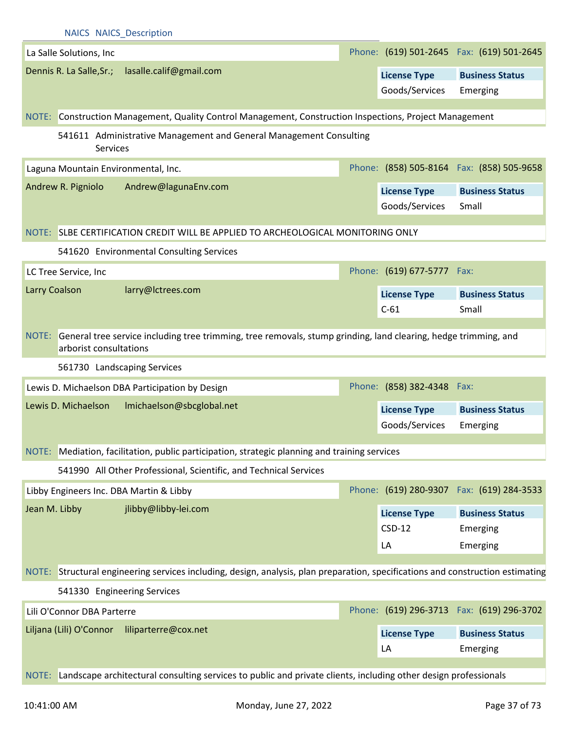|               |                            | <b>NAICS NAICS Description</b>                                                                                                  |                            |                                            |
|---------------|----------------------------|---------------------------------------------------------------------------------------------------------------------------------|----------------------------|--------------------------------------------|
|               | La Salle Solutions, Inc    |                                                                                                                                 |                            | Phone: (619) 501-2645  Fax: (619) 501-2645 |
|               | Dennis R. La Salle, Sr.;   | lasalle.calif@gmail.com                                                                                                         | <b>License Type</b>        | <b>Business Status</b>                     |
|               |                            |                                                                                                                                 | Goods/Services             | Emerging                                   |
|               |                            | NOTE: Construction Management, Quality Control Management, Construction Inspections, Project Management                         |                            |                                            |
|               |                            | 541611 Administrative Management and General Management Consulting                                                              |                            |                                            |
|               |                            | Services                                                                                                                        |                            |                                            |
|               |                            | Laguna Mountain Environmental, Inc.                                                                                             |                            | Phone: (858) 505-8164 Fax: (858) 505-9658  |
|               | Andrew R. Pigniolo         | Andrew@lagunaEnv.com                                                                                                            | <b>License Type</b>        | <b>Business Status</b>                     |
|               |                            |                                                                                                                                 | Goods/Services             | Small                                      |
|               |                            | NOTE: SLBE CERTIFICATION CREDIT WILL BE APPLIED TO ARCHEOLOGICAL MONITORING ONLY                                                |                            |                                            |
|               |                            | 541620 Environmental Consulting Services                                                                                        |                            |                                            |
|               | LC Tree Service, Inc       |                                                                                                                                 | Phone: (619) 677-5777 Fax: |                                            |
| Larry Coalson |                            | larry@lctrees.com                                                                                                               | <b>License Type</b>        | <b>Business Status</b>                     |
|               |                            |                                                                                                                                 | $C-61$                     | Small                                      |
|               |                            |                                                                                                                                 |                            |                                            |
|               | arborist consultations     | NOTE: General tree service including tree trimming, tree removals, stump grinding, land clearing, hedge trimming, and           |                            |                                            |
|               |                            | 561730 Landscaping Services                                                                                                     |                            |                                            |
|               |                            | Lewis D. Michaelson DBA Participation by Design                                                                                 | Phone: (858) 382-4348 Fax: |                                            |
|               | Lewis D. Michaelson        | Imichaelson@sbcglobal.net                                                                                                       | <b>License Type</b>        | <b>Business Status</b>                     |
|               |                            |                                                                                                                                 | Goods/Services             | Emerging                                   |
|               |                            | NOTE: Mediation, facilitation, public participation, strategic planning and training services                                   |                            |                                            |
|               |                            | 541990 All Other Professional, Scientific, and Technical Services                                                               |                            |                                            |
|               |                            |                                                                                                                                 |                            | Phone: (619) 280-9307 Fax: (619) 284-3533  |
|               |                            | Libby Engineers Inc. DBA Martin & Libby                                                                                         |                            |                                            |
| Jean M. Libby |                            | jlibby@libby-lei.com                                                                                                            | <b>License Type</b>        | <b>Business Status</b>                     |
|               |                            |                                                                                                                                 | $CSD-12$                   | Emerging                                   |
|               |                            |                                                                                                                                 | LA                         | Emerging                                   |
|               |                            | NOTE: Structural engineering services including, design, analysis, plan preparation, specifications and construction estimating |                            |                                            |
|               |                            | 541330 Engineering Services                                                                                                     |                            |                                            |
|               | Lili O'Connor DBA Parterre |                                                                                                                                 |                            | Phone: (619) 296-3713  Fax: (619) 296-3702 |
|               | Liljana (Lili) O'Connor    | liliparterre@cox.net                                                                                                            | <b>License Type</b>        | <b>Business Status</b>                     |
|               |                            |                                                                                                                                 | LA                         | Emerging                                   |
|               |                            |                                                                                                                                 |                            |                                            |
| NOTE:         |                            | Landscape architectural consulting services to public and private clients, including other design professionals                 |                            |                                            |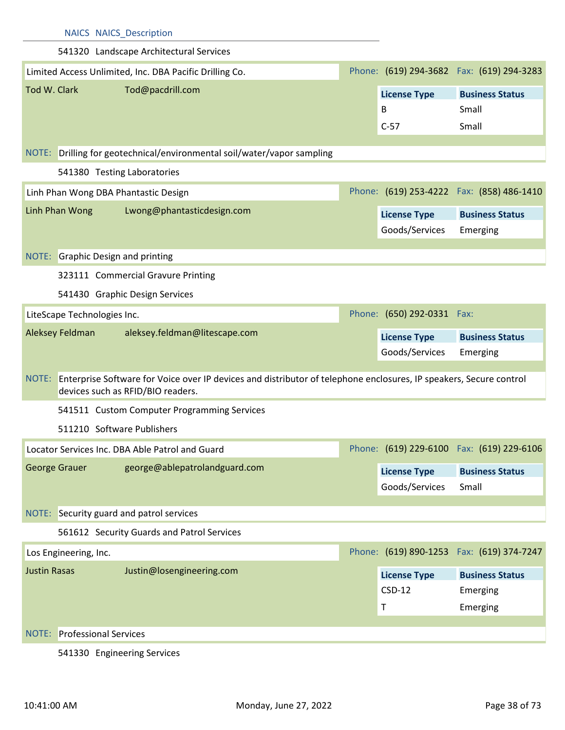|                     | <b>NAICS NAICS Description</b>     |                                                                                                                                                               |                                       |                                            |
|---------------------|------------------------------------|---------------------------------------------------------------------------------------------------------------------------------------------------------------|---------------------------------------|--------------------------------------------|
|                     |                                    | 541320 Landscape Architectural Services                                                                                                                       |                                       |                                            |
|                     |                                    | Limited Access Unlimited, Inc. DBA Pacific Drilling Co.                                                                                                       |                                       | Phone: (619) 294-3682  Fax: (619) 294-3283 |
| Tod W. Clark        |                                    | Tod@pacdrill.com                                                                                                                                              | <b>License Type</b>                   | <b>Business Status</b>                     |
|                     |                                    |                                                                                                                                                               | B                                     | Small                                      |
|                     |                                    |                                                                                                                                                               | $C-57$                                | Small                                      |
|                     |                                    |                                                                                                                                                               |                                       |                                            |
|                     |                                    | NOTE: Drilling for geotechnical/environmental soil/water/vapor sampling                                                                                       |                                       |                                            |
|                     | 541380 Testing Laboratories        |                                                                                                                                                               |                                       |                                            |
|                     |                                    | Linh Phan Wong DBA Phantastic Design                                                                                                                          |                                       | Phone: (619) 253-4222  Fax: (858) 486-1410 |
|                     | Linh Phan Wong                     | Lwong@phantasticdesign.com                                                                                                                                    | <b>License Type</b>                   | <b>Business Status</b>                     |
|                     |                                    |                                                                                                                                                               | Goods/Services                        | Emerging                                   |
|                     | NOTE: Graphic Design and printing  |                                                                                                                                                               |                                       |                                            |
|                     |                                    | 323111 Commercial Gravure Printing                                                                                                                            |                                       |                                            |
|                     |                                    |                                                                                                                                                               |                                       |                                            |
|                     |                                    | 541430 Graphic Design Services                                                                                                                                |                                       |                                            |
|                     | LiteScape Technologies Inc.        |                                                                                                                                                               | Phone: (650) 292-0331 Fax:            |                                            |
|                     | Aleksey Feldman                    | aleksey.feldman@litescape.com                                                                                                                                 | <b>License Type</b>                   | <b>Business Status</b>                     |
|                     |                                    |                                                                                                                                                               | Goods/Services                        | Emerging                                   |
|                     |                                    | NOTE: Enterprise Software for Voice over IP devices and distributor of telephone enclosures, IP speakers, Secure control<br>devices such as RFID/BIO readers. |                                       |                                            |
|                     |                                    | 541511 Custom Computer Programming Services                                                                                                                   |                                       |                                            |
|                     | 511210 Software Publishers         |                                                                                                                                                               |                                       |                                            |
|                     |                                    | Locator Services Inc. DBA Able Patrol and Guard                                                                                                               |                                       | Phone: (619) 229-6100 Fax: (619) 229-6106  |
|                     | George Grauer                      | george@ablepatrolandguard.com                                                                                                                                 |                                       |                                            |
|                     |                                    |                                                                                                                                                               | <b>License Type</b><br>Goods/Services | <b>Business Status</b><br>Small            |
|                     |                                    |                                                                                                                                                               |                                       |                                            |
|                     |                                    | NOTE: Security guard and patrol services                                                                                                                      |                                       |                                            |
|                     |                                    | 561612 Security Guards and Patrol Services                                                                                                                    |                                       |                                            |
|                     | Los Engineering, Inc.              |                                                                                                                                                               |                                       | Phone: (619) 890-1253  Fax: (619) 374-7247 |
| <b>Justin Rasas</b> |                                    | Justin@losengineering.com                                                                                                                                     | <b>License Type</b>                   | <b>Business Status</b>                     |
|                     |                                    |                                                                                                                                                               | $CSD-12$                              | Emerging                                   |
|                     |                                    |                                                                                                                                                               | $\mathsf T$                           | Emerging                                   |
|                     | <b>NOTE:</b> Professional Services |                                                                                                                                                               |                                       |                                            |
|                     |                                    |                                                                                                                                                               |                                       |                                            |

541330 Engineering Services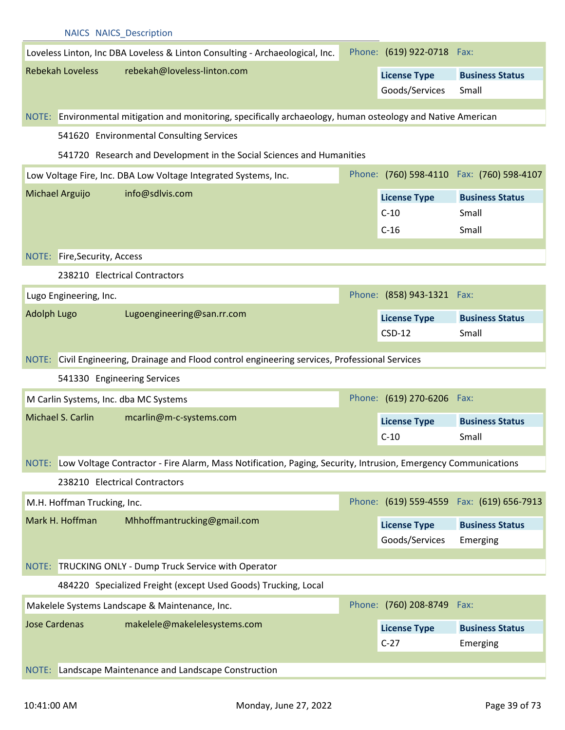|                    | <b>NAICS NAICS Description</b> |                                                                                                                     |                            |                                            |
|--------------------|--------------------------------|---------------------------------------------------------------------------------------------------------------------|----------------------------|--------------------------------------------|
|                    |                                | Loveless Linton, Inc DBA Loveless & Linton Consulting - Archaeological, Inc.                                        | Phone: (619) 922-0718 Fax: |                                            |
|                    | <b>Rebekah Loveless</b>        | rebekah@loveless-linton.com                                                                                         | <b>License Type</b>        | <b>Business Status</b>                     |
|                    |                                |                                                                                                                     | Goods/Services             | Small                                      |
|                    |                                | NOTE: Environmental mitigation and monitoring, specifically archaeology, human osteology and Native American        |                            |                                            |
|                    |                                |                                                                                                                     |                            |                                            |
|                    |                                | 541620 Environmental Consulting Services                                                                            |                            |                                            |
|                    |                                | 541720 Research and Development in the Social Sciences and Humanities                                               |                            |                                            |
|                    |                                | Low Voltage Fire, Inc. DBA Low Voltage Integrated Systems, Inc.                                                     |                            | Phone: (760) 598-4110  Fax: (760) 598-4107 |
|                    | Michael Arguijo                | info@sdlvis.com                                                                                                     | <b>License Type</b>        | <b>Business Status</b>                     |
|                    |                                |                                                                                                                     | $C-10$                     | Small                                      |
|                    |                                |                                                                                                                     | $C-16$                     | Small                                      |
|                    | NOTE: Fire, Security, Access   |                                                                                                                     |                            |                                            |
|                    |                                | 238210 Electrical Contractors                                                                                       |                            |                                            |
|                    | Lugo Engineering, Inc.         |                                                                                                                     | Phone: (858) 943-1321 Fax: |                                            |
| <b>Adolph Lugo</b> |                                | Lugoengineering@san.rr.com                                                                                          |                            |                                            |
|                    |                                |                                                                                                                     | <b>License Type</b>        | <b>Business Status</b>                     |
|                    |                                |                                                                                                                     | $CSD-12$                   | Small                                      |
|                    |                                | NOTE: Civil Engineering, Drainage and Flood control engineering services, Professional Services                     |                            |                                            |
|                    | 541330 Engineering Services    |                                                                                                                     |                            |                                            |
|                    |                                | M Carlin Systems, Inc. dba MC Systems                                                                               | Phone: (619) 270-6206 Fax: |                                            |
|                    | Michael S. Carlin              | mcarlin@m-c-systems.com                                                                                             | <b>License Type</b>        | <b>Business Status</b>                     |
|                    |                                |                                                                                                                     | $C-10$                     | Small                                      |
|                    |                                |                                                                                                                     |                            |                                            |
|                    |                                | NOTE: Low Voltage Contractor - Fire Alarm, Mass Notification, Paging, Security, Intrusion, Emergency Communications |                            |                                            |
|                    |                                | 238210 Electrical Contractors                                                                                       |                            |                                            |
|                    | M.H. Hoffman Trucking, Inc.    |                                                                                                                     |                            | Phone: (619) 559-4559  Fax: (619) 656-7913 |
|                    | Mark H. Hoffman                | Mhhoffmantrucking@gmail.com                                                                                         | <b>License Type</b>        | <b>Business Status</b>                     |
|                    |                                |                                                                                                                     | Goods/Services             | Emerging                                   |
|                    |                                |                                                                                                                     |                            |                                            |
|                    |                                |                                                                                                                     |                            |                                            |
|                    |                                | NOTE: TRUCKING ONLY - Dump Truck Service with Operator                                                              |                            |                                            |
|                    |                                | 484220 Specialized Freight (except Used Goods) Trucking, Local                                                      |                            |                                            |
|                    |                                | Makelele Systems Landscape & Maintenance, Inc.                                                                      | Phone: (760) 208-8749      | Fax:                                       |
|                    | <b>Jose Cardenas</b>           | makelele@makelelesystems.com                                                                                        | <b>License Type</b>        | <b>Business Status</b>                     |
|                    |                                |                                                                                                                     | $C-27$                     | Emerging                                   |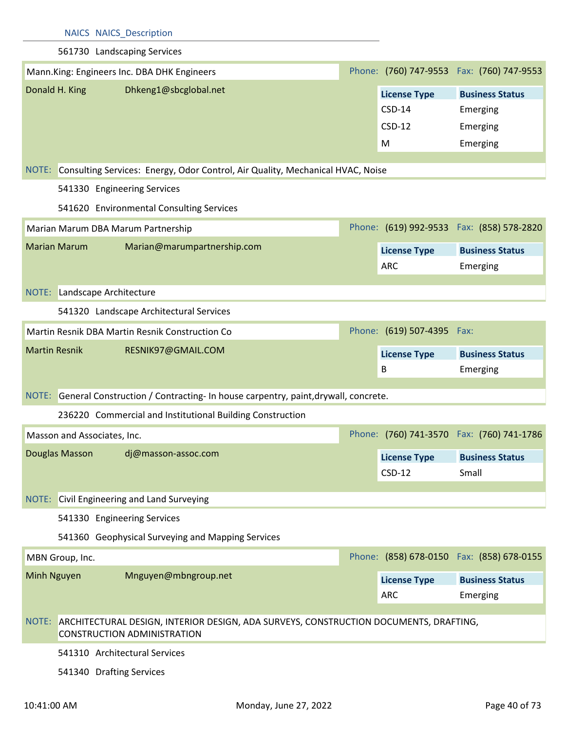|                      |                              | <b>NAICS NAICS Description</b>                                                                                              |                            |                                            |
|----------------------|------------------------------|-----------------------------------------------------------------------------------------------------------------------------|----------------------------|--------------------------------------------|
|                      |                              | 561730 Landscaping Services                                                                                                 |                            |                                            |
|                      |                              | Mann.King: Engineers Inc. DBA DHK Engineers                                                                                 |                            | Phone: (760) 747-9553  Fax: (760) 747-9553 |
| Donald H. King       |                              | Dhkeng1@sbcglobal.net                                                                                                       | <b>License Type</b>        | <b>Business Status</b>                     |
|                      |                              |                                                                                                                             | $CSD-14$                   | Emerging                                   |
|                      |                              |                                                                                                                             | $CSD-12$                   | Emerging                                   |
|                      |                              |                                                                                                                             | M                          | Emerging                                   |
| NOTE:                |                              | Consulting Services: Energy, Odor Control, Air Quality, Mechanical HVAC, Noise                                              |                            |                                            |
|                      |                              | 541330 Engineering Services                                                                                                 |                            |                                            |
|                      |                              | 541620 Environmental Consulting Services                                                                                    |                            |                                            |
|                      |                              | Marian Marum DBA Marum Partnership                                                                                          |                            | Phone: (619) 992-9533  Fax: (858) 578-2820 |
| <b>Marian Marum</b>  |                              | Marian@marumpartnership.com                                                                                                 | <b>License Type</b>        | <b>Business Status</b>                     |
|                      |                              |                                                                                                                             | <b>ARC</b>                 | Emerging                                   |
|                      |                              |                                                                                                                             |                            |                                            |
|                      | NOTE: Landscape Architecture |                                                                                                                             |                            |                                            |
|                      |                              | 541320 Landscape Architectural Services                                                                                     |                            |                                            |
|                      |                              | Martin Resnik DBA Martin Resnik Construction Co                                                                             | Phone: (619) 507-4395 Fax: |                                            |
| <b>Martin Resnik</b> |                              | RESNIK97@GMAIL.COM                                                                                                          | <b>License Type</b>        | <b>Business Status</b>                     |
|                      |                              |                                                                                                                             | B                          | Emerging                                   |
|                      |                              | NOTE: General Construction / Contracting- In house carpentry, paint, drywall, concrete.                                     |                            |                                            |
|                      |                              | 236220 Commercial and Institutional Building Construction                                                                   |                            |                                            |
|                      | Masson and Associates, Inc.  |                                                                                                                             |                            | Phone: (760) 741-3570 Fax: (760) 741-1786  |
| Douglas Masson       |                              | dj@masson-assoc.com                                                                                                         | <b>License Type</b>        | <b>Business Status</b>                     |
|                      |                              |                                                                                                                             | $CSD-12$                   | Small                                      |
|                      |                              |                                                                                                                             |                            |                                            |
| NOTE:                |                              | Civil Engineering and Land Surveying                                                                                        |                            |                                            |
|                      |                              | 541330 Engineering Services                                                                                                 |                            |                                            |
|                      |                              | 541360 Geophysical Surveying and Mapping Services                                                                           |                            |                                            |
| MBN Group, Inc.      |                              |                                                                                                                             |                            |                                            |
| Minh Nguyen          |                              | Mnguyen@mbngroup.net                                                                                                        | <b>License Type</b>        | <b>Business Status</b>                     |
|                      |                              |                                                                                                                             | <b>ARC</b>                 | Emerging                                   |
| NOTE:                |                              | ARCHITECTURAL DESIGN, INTERIOR DESIGN, ADA SURVEYS, CONSTRUCTION DOCUMENTS, DRAFTING,<br><b>CONSTRUCTION ADMINISTRATION</b> |                            |                                            |
|                      |                              | 541310 Architectural Services                                                                                               |                            | Phone: (858) 678-0150  Fax: (858) 678-0155 |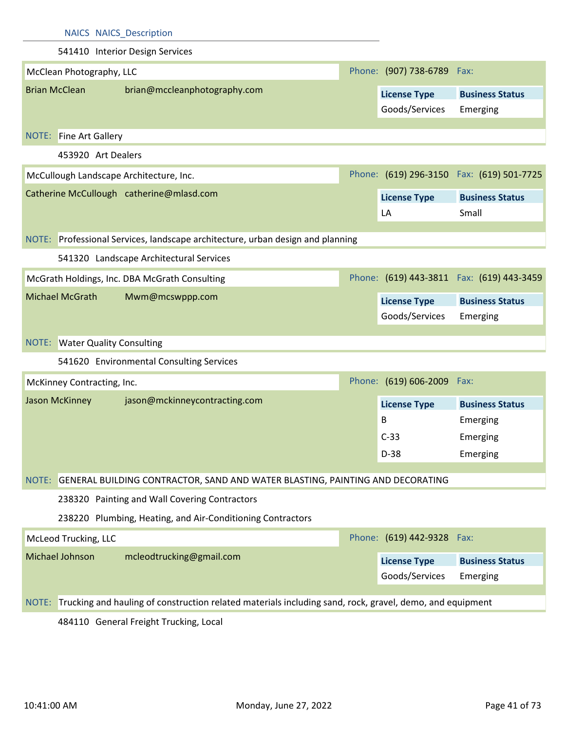|                               | <b>NAICS NAICS_Description</b>                                                                                 |                                       |                                           |
|-------------------------------|----------------------------------------------------------------------------------------------------------------|---------------------------------------|-------------------------------------------|
|                               | 541410 Interior Design Services                                                                                |                                       |                                           |
| McClean Photography, LLC      |                                                                                                                | Phone: (907) 738-6789 Fax:            |                                           |
| <b>Brian McClean</b>          | brian@mccleanphotography.com                                                                                   | <b>License Type</b><br>Goods/Services | <b>Business Status</b><br>Emerging        |
| <b>NOTE:</b> Fine Art Gallery |                                                                                                                |                                       |                                           |
|                               | 453920 Art Dealers                                                                                             |                                       |                                           |
|                               | McCullough Landscape Architecture, Inc.                                                                        |                                       | Phone: (619) 296-3150 Fax: (619) 501-7725 |
|                               | Catherine McCullough catherine@mlasd.com                                                                       | <b>License Type</b>                   | <b>Business Status</b>                    |
|                               |                                                                                                                | LA                                    | Small                                     |
|                               | NOTE: Professional Services, landscape architecture, urban design and planning                                 |                                       |                                           |
|                               | 541320 Landscape Architectural Services                                                                        |                                       |                                           |
|                               |                                                                                                                |                                       |                                           |
|                               | McGrath Holdings, Inc. DBA McGrath Consulting                                                                  |                                       | Phone: (619) 443-3811 Fax: (619) 443-3459 |
| <b>Michael McGrath</b>        | Mwm@mcswppp.com                                                                                                | <b>License Type</b>                   | <b>Business Status</b>                    |
|                               |                                                                                                                |                                       | Emerging                                  |
|                               |                                                                                                                | Goods/Services                        |                                           |
|                               | <b>NOTE:</b> Water Quality Consulting                                                                          |                                       |                                           |
|                               | 541620 Environmental Consulting Services                                                                       |                                       |                                           |
| McKinney Contracting, Inc.    |                                                                                                                | Phone: (619) 606-2009 Fax:            |                                           |
| Jason McKinney                | jason@mckinneycontracting.com                                                                                  |                                       | <b>Business Status</b>                    |
|                               |                                                                                                                | <b>License Type</b><br>B              | Emerging                                  |
|                               |                                                                                                                | $C-33$                                | Emerging                                  |
|                               |                                                                                                                | $D-38$                                | Emerging                                  |
| NOTE:                         |                                                                                                                |                                       |                                           |
|                               | GENERAL BUILDING CONTRACTOR, SAND AND WATER BLASTING, PAINTING AND DECORATING                                  |                                       |                                           |
|                               | 238320 Painting and Wall Covering Contractors                                                                  |                                       |                                           |
| McLeod Trucking, LLC          | 238220 Plumbing, Heating, and Air-Conditioning Contractors                                                     | Phone: (619) 442-9328 Fax:            |                                           |
| Michael Johnson               | mcleodtrucking@gmail.com                                                                                       |                                       |                                           |
|                               |                                                                                                                | <b>License Type</b><br>Goods/Services | <b>Business Status</b><br>Emerging        |
|                               |                                                                                                                |                                       |                                           |
|                               | NOTE: Trucking and hauling of construction related materials including sand, rock, gravel, demo, and equipment |                                       |                                           |

484110 General Freight Trucking, Local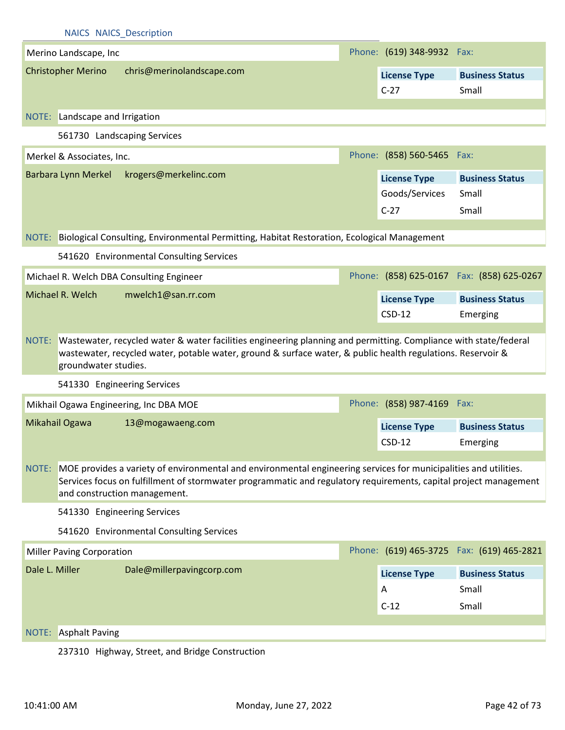|                           | <b>NAICS NAICS Description</b>   |                                                                                                                                                                                                                                                                      |                                                 |                                            |
|---------------------------|----------------------------------|----------------------------------------------------------------------------------------------------------------------------------------------------------------------------------------------------------------------------------------------------------------------|-------------------------------------------------|--------------------------------------------|
|                           | Merino Landscape, Inc            |                                                                                                                                                                                                                                                                      | Phone: (619) 348-9932 Fax:                      |                                            |
| <b>Christopher Merino</b> |                                  | chris@merinolandscape.com                                                                                                                                                                                                                                            | <b>License Type</b><br>$C-27$                   | <b>Business Status</b><br>Small            |
|                           | NOTE: Landscape and Irrigation   |                                                                                                                                                                                                                                                                      |                                                 |                                            |
|                           |                                  | 561730 Landscaping Services                                                                                                                                                                                                                                          |                                                 |                                            |
|                           | Merkel & Associates, Inc.        |                                                                                                                                                                                                                                                                      | Phone: (858) 560-5465 Fax:                      |                                            |
| Barbara Lynn Merkel       |                                  | krogers@merkelinc.com                                                                                                                                                                                                                                                | <b>License Type</b><br>Goods/Services<br>$C-27$ | <b>Business Status</b><br>Small<br>Small   |
| NOTE:                     |                                  | Biological Consulting, Environmental Permitting, Habitat Restoration, Ecological Management                                                                                                                                                                          |                                                 |                                            |
|                           |                                  | 541620 Environmental Consulting Services                                                                                                                                                                                                                             |                                                 |                                            |
|                           |                                  | Michael R. Welch DBA Consulting Engineer                                                                                                                                                                                                                             |                                                 | Phone: (858) 625-0167  Fax: (858) 625-0267 |
| Michael R. Welch          |                                  | mwelch1@san.rr.com                                                                                                                                                                                                                                                   | <b>License Type</b><br>$CSD-12$                 | <b>Business Status</b><br>Emerging         |
|                           |                                  |                                                                                                                                                                                                                                                                      |                                                 |                                            |
| NOTE:                     | groundwater studies.             | Wastewater, recycled water & water facilities engineering planning and permitting. Compliance with state/federal<br>wastewater, recycled water, potable water, ground & surface water, & public health regulations. Reservoir &                                      |                                                 |                                            |
|                           |                                  | 541330 Engineering Services                                                                                                                                                                                                                                          |                                                 |                                            |
|                           |                                  | Mikhail Ogawa Engineering, Inc DBA MOE                                                                                                                                                                                                                               | Phone: (858) 987-4169 Fax:                      |                                            |
| Mikahail Ogawa            |                                  | 13@mogawaeng.com                                                                                                                                                                                                                                                     | <b>License Type</b>                             | <b>Business Status</b>                     |
|                           |                                  |                                                                                                                                                                                                                                                                      | $CSD-12$                                        | Emerging                                   |
| NOTE:                     |                                  | MOE provides a variety of environmental and environmental engineering services for municipalities and utilities.<br>Services focus on fulfillment of stormwater programmatic and regulatory requirements, capital project management<br>and construction management. |                                                 |                                            |
|                           |                                  | 541330 Engineering Services                                                                                                                                                                                                                                          |                                                 |                                            |
|                           |                                  | 541620 Environmental Consulting Services                                                                                                                                                                                                                             |                                                 |                                            |
|                           | <b>Miller Paving Corporation</b> |                                                                                                                                                                                                                                                                      |                                                 | Phone: (619) 465-3725  Fax: (619) 465-2821 |
| Dale L. Miller            |                                  | Dale@millerpavingcorp.com                                                                                                                                                                                                                                            | <b>License Type</b>                             | <b>Business Status</b>                     |
|                           |                                  |                                                                                                                                                                                                                                                                      | A                                               | Small                                      |
|                           |                                  |                                                                                                                                                                                                                                                                      | $C-12$                                          | Small                                      |
| NOTE:                     | <b>Asphalt Paving</b>            |                                                                                                                                                                                                                                                                      |                                                 |                                            |

237310 Highway, Street, and Bridge Construction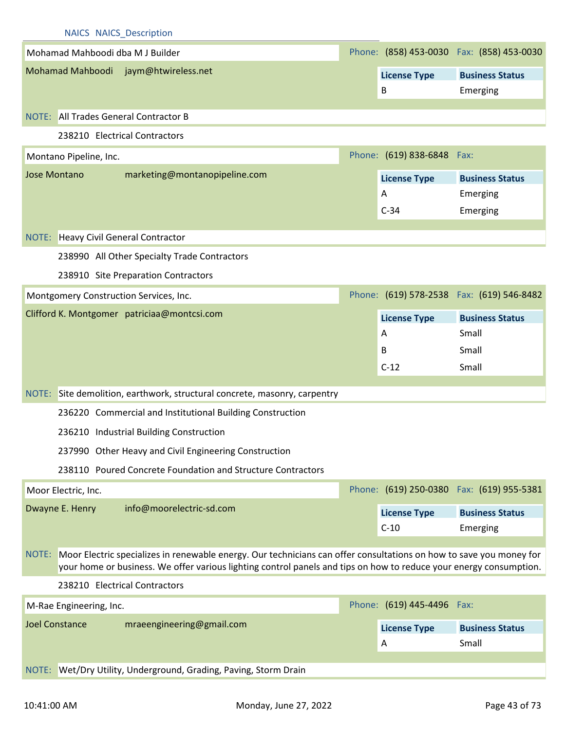|                       |                         | <b>NAICS NAICS Description</b>                        |                                                                                                                                                                                                                                           |                            |                                            |
|-----------------------|-------------------------|-------------------------------------------------------|-------------------------------------------------------------------------------------------------------------------------------------------------------------------------------------------------------------------------------------------|----------------------------|--------------------------------------------|
|                       |                         | Mohamad Mahboodi dba M J Builder                      |                                                                                                                                                                                                                                           |                            | Phone: (858) 453-0030  Fax: (858) 453-0030 |
|                       |                         | Mohamad Mahboodi jaym@htwireless.net                  |                                                                                                                                                                                                                                           | <b>License Type</b>        | <b>Business Status</b>                     |
|                       |                         |                                                       |                                                                                                                                                                                                                                           | B                          | Emerging                                   |
|                       |                         | NOTE: All Trades General Contractor B                 |                                                                                                                                                                                                                                           |                            |                                            |
|                       |                         | 238210 Electrical Contractors                         |                                                                                                                                                                                                                                           |                            |                                            |
|                       | Montano Pipeline, Inc.  |                                                       |                                                                                                                                                                                                                                           | Phone: (619) 838-6848 Fax: |                                            |
| <b>Jose Montano</b>   |                         | marketing@montanopipeline.com                         |                                                                                                                                                                                                                                           |                            |                                            |
|                       |                         |                                                       |                                                                                                                                                                                                                                           | <b>License Type</b><br>Α   | <b>Business Status</b><br>Emerging         |
|                       |                         |                                                       |                                                                                                                                                                                                                                           | $C-34$                     | Emerging                                   |
|                       |                         |                                                       |                                                                                                                                                                                                                                           |                            |                                            |
|                       |                         | NOTE: Heavy Civil General Contractor                  |                                                                                                                                                                                                                                           |                            |                                            |
|                       |                         | 238990 All Other Specialty Trade Contractors          |                                                                                                                                                                                                                                           |                            |                                            |
|                       |                         | 238910 Site Preparation Contractors                   |                                                                                                                                                                                                                                           |                            |                                            |
|                       |                         | Montgomery Construction Services, Inc.                |                                                                                                                                                                                                                                           |                            | Phone: (619) 578-2538  Fax: (619) 546-8482 |
|                       |                         | Clifford K. Montgomer patriciaa@montcsi.com           |                                                                                                                                                                                                                                           | <b>License Type</b>        | <b>Business Status</b>                     |
|                       |                         |                                                       |                                                                                                                                                                                                                                           | A                          | Small                                      |
|                       |                         |                                                       |                                                                                                                                                                                                                                           | B                          | Small                                      |
|                       |                         |                                                       |                                                                                                                                                                                                                                           | $C-12$                     | Small                                      |
| NOTE:                 |                         |                                                       | Site demolition, earthwork, structural concrete, masonry, carpentry                                                                                                                                                                       |                            |                                            |
|                       |                         |                                                       | 236220 Commercial and Institutional Building Construction                                                                                                                                                                                 |                            |                                            |
|                       |                         |                                                       |                                                                                                                                                                                                                                           |                            |                                            |
|                       |                         | 236210 Industrial Building Construction               |                                                                                                                                                                                                                                           |                            |                                            |
|                       |                         | 237990 Other Heavy and Civil Engineering Construction |                                                                                                                                                                                                                                           |                            |                                            |
|                       |                         |                                                       | 238110 Poured Concrete Foundation and Structure Contractors                                                                                                                                                                               |                            |                                            |
| Moor Electric, Inc.   |                         |                                                       |                                                                                                                                                                                                                                           |                            | Phone: (619) 250-0380  Fax: (619) 955-5381 |
| Dwayne E. Henry       |                         | info@moorelectric-sd.com                              |                                                                                                                                                                                                                                           | <b>License Type</b>        | <b>Business Status</b>                     |
|                       |                         |                                                       |                                                                                                                                                                                                                                           | $C-10$                     | Emerging                                   |
| NOTE:                 |                         |                                                       | Moor Electric specializes in renewable energy. Our technicians can offer consultations on how to save you money for<br>your home or business. We offer various lighting control panels and tips on how to reduce your energy consumption. |                            |                                            |
|                       |                         | 238210 Electrical Contractors                         |                                                                                                                                                                                                                                           |                            |                                            |
|                       | M-Rae Engineering, Inc. |                                                       |                                                                                                                                                                                                                                           | Phone: (619) 445-4496 Fax: |                                            |
| <b>Joel Constance</b> |                         | mraeengineering@gmail.com                             |                                                                                                                                                                                                                                           | <b>License Type</b>        | <b>Business Status</b>                     |
|                       |                         |                                                       |                                                                                                                                                                                                                                           | A                          | Small                                      |
|                       |                         |                                                       |                                                                                                                                                                                                                                           |                            |                                            |
| NOTE:                 |                         |                                                       | Wet/Dry Utility, Underground, Grading, Paving, Storm Drain                                                                                                                                                                                |                            |                                            |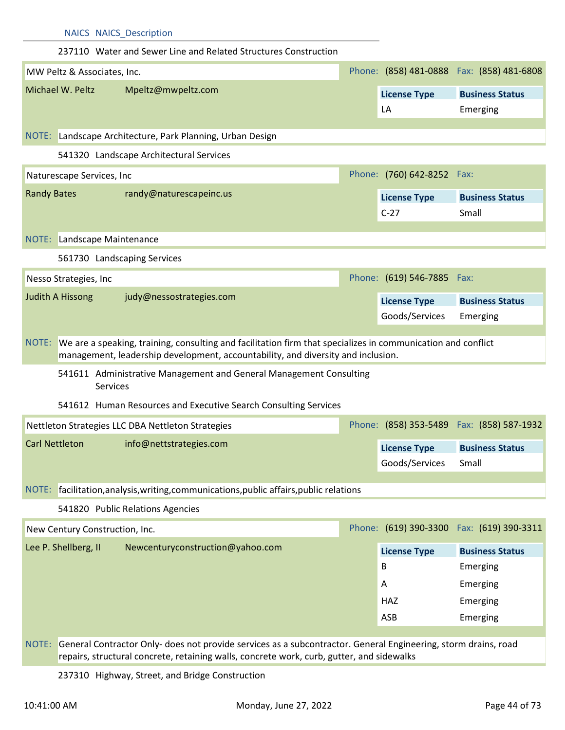|                       |                           | <b>NAICS NAICS Description</b>                                                                                                                                                                         |                                       |                                            |
|-----------------------|---------------------------|--------------------------------------------------------------------------------------------------------------------------------------------------------------------------------------------------------|---------------------------------------|--------------------------------------------|
|                       |                           | 237110 Water and Sewer Line and Related Structures Construction                                                                                                                                        |                                       |                                            |
|                       |                           | MW Peltz & Associates, Inc.                                                                                                                                                                            |                                       | Phone: (858) 481-0888  Fax: (858) 481-6808 |
|                       | Michael W. Peltz          | Mpeltz@mwpeltz.com                                                                                                                                                                                     | <b>License Type</b>                   | <b>Business Status</b>                     |
|                       |                           |                                                                                                                                                                                                        | LA                                    | Emerging                                   |
|                       |                           |                                                                                                                                                                                                        |                                       |                                            |
|                       |                           | NOTE: Landscape Architecture, Park Planning, Urban Design                                                                                                                                              |                                       |                                            |
|                       |                           | 541320 Landscape Architectural Services                                                                                                                                                                |                                       |                                            |
|                       | Naturescape Services, Inc |                                                                                                                                                                                                        | Phone: (760) 642-8252 Fax:            |                                            |
| <b>Randy Bates</b>    |                           | randy@naturescapeinc.us                                                                                                                                                                                | <b>License Type</b>                   | <b>Business Status</b>                     |
|                       |                           |                                                                                                                                                                                                        | $C-27$                                | Small                                      |
|                       |                           | NOTE: Landscape Maintenance                                                                                                                                                                            |                                       |                                            |
|                       |                           | 561730 Landscaping Services                                                                                                                                                                            |                                       |                                            |
|                       | Nesso Strategies, Inc     |                                                                                                                                                                                                        | Phone: (619) 546-7885 Fax:            |                                            |
|                       | <b>Judith A Hissong</b>   | judy@nessostrategies.com                                                                                                                                                                               |                                       |                                            |
|                       |                           |                                                                                                                                                                                                        | <b>License Type</b><br>Goods/Services | <b>Business Status</b>                     |
|                       |                           |                                                                                                                                                                                                        |                                       | Emerging                                   |
|                       |                           | NOTE: We are a speaking, training, consulting and facilitation firm that specializes in communication and conflict<br>management, leadership development, accountability, and diversity and inclusion. |                                       |                                            |
|                       |                           | 541611 Administrative Management and General Management Consulting                                                                                                                                     |                                       |                                            |
|                       |                           | Services                                                                                                                                                                                               |                                       |                                            |
|                       |                           | 541612 Human Resources and Executive Search Consulting Services                                                                                                                                        |                                       |                                            |
|                       |                           | Nettleton Strategies LLC DBA Nettleton Strategies                                                                                                                                                      |                                       | Phone: (858) 353-5489  Fax: (858) 587-1932 |
| <b>Carl Nettleton</b> |                           | info@nettstrategies.com                                                                                                                                                                                | <b>License Type</b>                   | <b>Business Status</b>                     |
|                       |                           |                                                                                                                                                                                                        | Goods/Services                        | Small                                      |
|                       |                           |                                                                                                                                                                                                        |                                       |                                            |
|                       |                           | NOTE: facilitation, analysis, writing, communications, public affairs, public relations                                                                                                                |                                       |                                            |
|                       |                           | 541820 Public Relations Agencies                                                                                                                                                                       |                                       |                                            |
|                       |                           | New Century Construction, Inc.                                                                                                                                                                         |                                       | Phone: (619) 390-3300 Fax: (619) 390-3311  |
|                       | Lee P. Shellberg, II      | Newcenturyconstruction@yahoo.com                                                                                                                                                                       | <b>License Type</b>                   | <b>Business Status</b>                     |
|                       |                           |                                                                                                                                                                                                        | B                                     | Emerging                                   |
|                       |                           |                                                                                                                                                                                                        | A                                     | Emerging                                   |
|                       |                           |                                                                                                                                                                                                        | <b>HAZ</b>                            | Emerging                                   |
|                       |                           |                                                                                                                                                                                                        | ASB                                   | Emerging                                   |

237310 Highway, Street, and Bridge Construction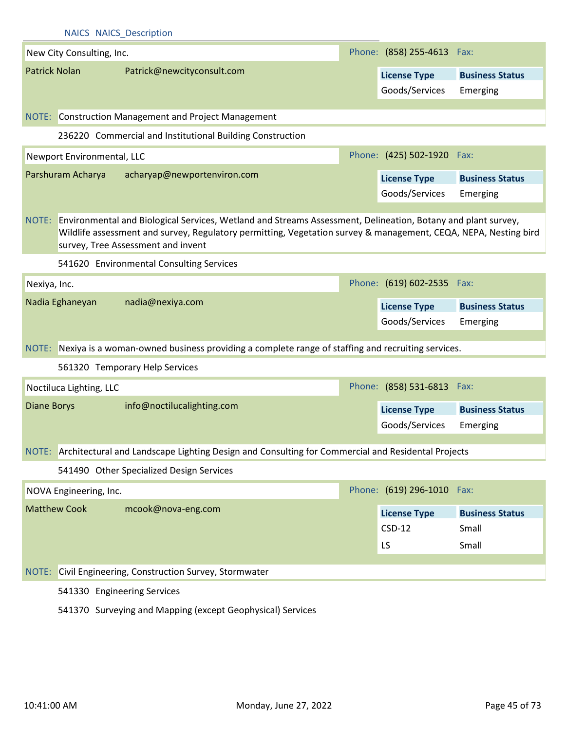|                      | <b>NAICS NAICS Description</b> |                                                                                                                                                                                                                                                                             |                                       |                        |
|----------------------|--------------------------------|-----------------------------------------------------------------------------------------------------------------------------------------------------------------------------------------------------------------------------------------------------------------------------|---------------------------------------|------------------------|
|                      | New City Consulting, Inc.      |                                                                                                                                                                                                                                                                             | Phone: (858) 255-4613 Fax:            |                        |
| <b>Patrick Nolan</b> |                                | Patrick@newcityconsult.com                                                                                                                                                                                                                                                  | <b>License Type</b>                   | <b>Business Status</b> |
|                      |                                |                                                                                                                                                                                                                                                                             | Goods/Services                        | Emerging               |
|                      |                                | NOTE: Construction Management and Project Management                                                                                                                                                                                                                        |                                       |                        |
|                      |                                | 236220 Commercial and Institutional Building Construction                                                                                                                                                                                                                   |                                       |                        |
|                      | Newport Environmental, LLC     |                                                                                                                                                                                                                                                                             | Phone: (425) 502-1920 Fax:            |                        |
|                      | Parshuram Acharya              | acharyap@newportenviron.com                                                                                                                                                                                                                                                 |                                       |                        |
|                      |                                |                                                                                                                                                                                                                                                                             | <b>License Type</b><br>Goods/Services | <b>Business Status</b> |
|                      |                                |                                                                                                                                                                                                                                                                             |                                       | Emerging               |
|                      |                                | NOTE: Environmental and Biological Services, Wetland and Streams Assessment, Delineation, Botany and plant survey,<br>Wildlife assessment and survey, Regulatory permitting, Vegetation survey & management, CEQA, NEPA, Nesting bird<br>survey, Tree Assessment and invent |                                       |                        |
|                      |                                | 541620 Environmental Consulting Services                                                                                                                                                                                                                                    |                                       |                        |
| Nexiya, Inc.         |                                |                                                                                                                                                                                                                                                                             | Phone: (619) 602-2535 Fax:            |                        |
|                      | Nadia Eghaneyan                | nadia@nexiya.com                                                                                                                                                                                                                                                            | <b>License Type</b>                   | <b>Business Status</b> |
|                      |                                |                                                                                                                                                                                                                                                                             | Goods/Services                        | Emerging               |
|                      |                                | NOTE: Nexiya is a woman-owned business providing a complete range of staffing and recruiting services.                                                                                                                                                                      |                                       |                        |
|                      |                                |                                                                                                                                                                                                                                                                             |                                       |                        |
|                      |                                | 561320 Temporary Help Services                                                                                                                                                                                                                                              |                                       |                        |
|                      | Noctiluca Lighting, LLC        |                                                                                                                                                                                                                                                                             | Phone: (858) 531-6813                 | Fax:                   |
| <b>Diane Borys</b>   |                                | info@noctilucalighting.com                                                                                                                                                                                                                                                  | <b>License Type</b>                   | <b>Business Status</b> |
|                      |                                |                                                                                                                                                                                                                                                                             | Goods/Services                        | Emerging               |
|                      |                                | NOTE: Architectural and Landscape Lighting Design and Consulting for Commercial and Residental Projects                                                                                                                                                                     |                                       |                        |
|                      |                                | 541490 Other Specialized Design Services                                                                                                                                                                                                                                    |                                       |                        |
|                      | NOVA Engineering, Inc.         |                                                                                                                                                                                                                                                                             | Phone: (619) 296-1010 Fax:            |                        |
|                      | <b>Matthew Cook</b>            | mcook@nova-eng.com                                                                                                                                                                                                                                                          | <b>License Type</b>                   | <b>Business Status</b> |
|                      |                                |                                                                                                                                                                                                                                                                             | $CSD-12$                              | Small                  |
|                      |                                |                                                                                                                                                                                                                                                                             | LS                                    | Small                  |
|                      |                                | NOTE: Civil Engineering, Construction Survey, Stormwater                                                                                                                                                                                                                    |                                       |                        |
|                      | 541330 Engineering Services    |                                                                                                                                                                                                                                                                             |                                       |                        |
|                      |                                | 541370 Surveying and Mapping (except Geophysical) Services                                                                                                                                                                                                                  |                                       |                        |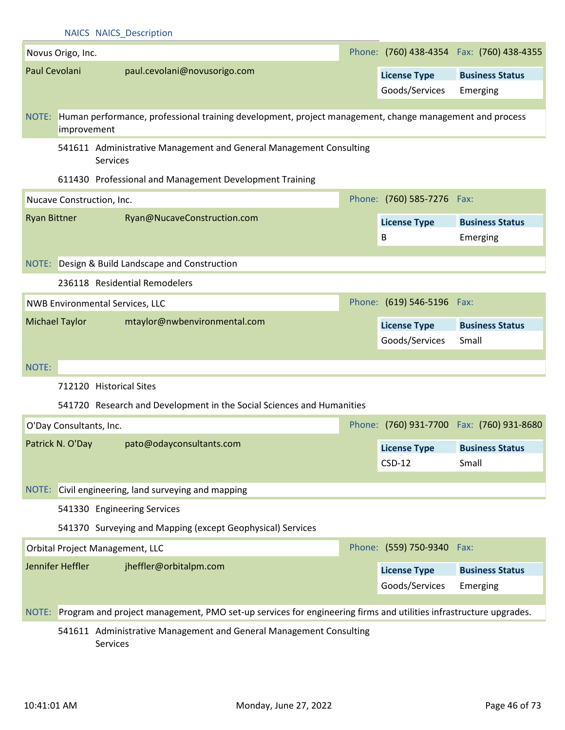|                     |                         | <b>NAICS NAICS Description</b>                                                                                         |                            |                                            |
|---------------------|-------------------------|------------------------------------------------------------------------------------------------------------------------|----------------------------|--------------------------------------------|
|                     | Novus Origo, Inc.       |                                                                                                                        |                            | Phone: (760) 438-4354  Fax: (760) 438-4355 |
| Paul Cevolani       |                         | paul.cevolani@novusorigo.com                                                                                           | <b>License Type</b>        | <b>Business Status</b>                     |
|                     |                         |                                                                                                                        | Goods/Services             | Emerging                                   |
|                     |                         | NOTE: Human performance, professional training development, project management, change management and process          |                            |                                            |
|                     | improvement             |                                                                                                                        |                            |                                            |
|                     |                         | 541611 Administrative Management and General Management Consulting<br>Services                                         |                            |                                            |
|                     |                         | 611430 Professional and Management Development Training                                                                |                            |                                            |
|                     |                         | Nucave Construction, Inc.                                                                                              | Phone: (760) 585-7276 Fax: |                                            |
| <b>Ryan Bittner</b> |                         | Ryan@NucaveConstruction.com                                                                                            | <b>License Type</b>        | <b>Business Status</b>                     |
|                     |                         |                                                                                                                        | B                          | Emerging                                   |
|                     |                         | NOTE: Design & Build Landscape and Construction                                                                        |                            |                                            |
|                     |                         | 236118 Residential Remodelers                                                                                          |                            |                                            |
|                     |                         |                                                                                                                        |                            |                                            |
|                     |                         | <b>NWB Environmental Services, LLC</b>                                                                                 | Phone: (619) 546-5196 Fax: |                                            |
|                     | <b>Michael Taylor</b>   | mtaylor@nwbenvironmental.com                                                                                           | <b>License Type</b>        | <b>Business Status</b>                     |
|                     |                         |                                                                                                                        | Goods/Services             | Small                                      |
| NOTE:               |                         |                                                                                                                        |                            |                                            |
|                     |                         | 712120 Historical Sites                                                                                                |                            |                                            |
|                     |                         | 541720 Research and Development in the Social Sciences and Humanities                                                  |                            |                                            |
|                     | O'Day Consultants, Inc. |                                                                                                                        |                            | Phone: (760) 931-7700 Fax: (760) 931-8680  |
|                     | Patrick N. O'Day        | pato@odayconsultants.com                                                                                               | <b>License Type</b>        | <b>Business Status</b>                     |
|                     |                         |                                                                                                                        | $CSD-12$                   | Small                                      |
|                     |                         | Civil engineering, land surveying and mapping                                                                          |                            |                                            |
| NOTE:               |                         |                                                                                                                        |                            |                                            |
|                     |                         | 541330 Engineering Services                                                                                            |                            |                                            |
|                     |                         | 541370 Surveying and Mapping (except Geophysical) Services                                                             |                            |                                            |
|                     |                         | Orbital Project Management, LLC                                                                                        | Phone: (559) 750-9340 Fax: |                                            |
|                     | Jennifer Heffler        | jheffler@orbitalpm.com                                                                                                 | <b>License Type</b>        | <b>Business Status</b>                     |
|                     |                         |                                                                                                                        | Goods/Services             | Emerging                                   |
|                     |                         | NOTE: Program and project management, PMO set-up services for engineering firms and utilities infrastructure upgrades. |                            |                                            |
|                     |                         | 541611 Administrative Management and General Management Consulting                                                     |                            |                                            |

Services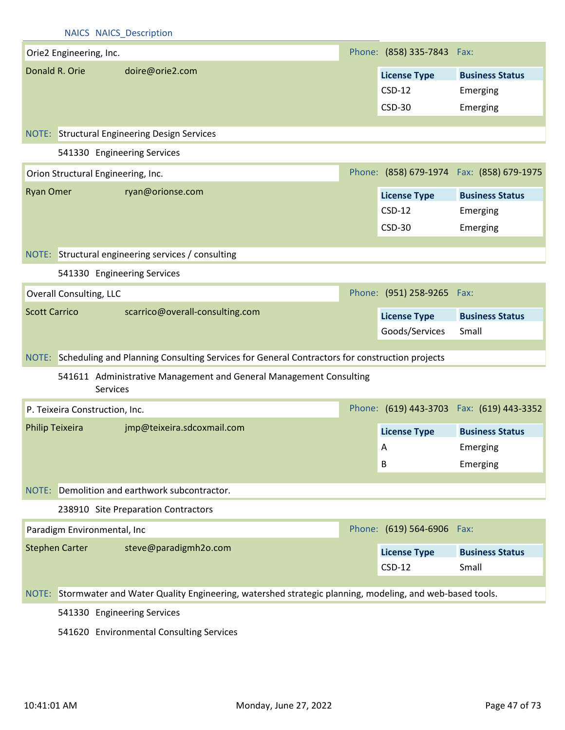| <b>NAICS NAICS Description</b> |  |
|--------------------------------|--|
|--------------------------------|--|

|                        | Orie2 Engineering, Inc. |                                                                                                              | Phone: (858) 335-7843 Fax: |                                           |
|------------------------|-------------------------|--------------------------------------------------------------------------------------------------------------|----------------------------|-------------------------------------------|
|                        | Donald R. Orie          | doire@orie2.com                                                                                              | <b>License Type</b>        | <b>Business Status</b>                    |
|                        |                         |                                                                                                              | $CSD-12$                   | Emerging                                  |
|                        |                         |                                                                                                              | <b>CSD-30</b>              | Emerging                                  |
|                        |                         |                                                                                                              |                            |                                           |
|                        |                         | <b>NOTE:</b> Structural Engineering Design Services                                                          |                            |                                           |
|                        |                         | 541330 Engineering Services                                                                                  |                            |                                           |
|                        |                         | Orion Structural Engineering, Inc.                                                                           |                            | Phone: (858) 679-1974 Fax: (858) 679-1975 |
| <b>Ryan Omer</b>       |                         | ryan@orionse.com                                                                                             | <b>License Type</b>        | <b>Business Status</b>                    |
|                        |                         |                                                                                                              | $CSD-12$                   | Emerging                                  |
|                        |                         |                                                                                                              | <b>CSD-30</b>              | Emerging                                  |
|                        |                         |                                                                                                              |                            |                                           |
|                        |                         | NOTE: Structural engineering services / consulting                                                           |                            |                                           |
|                        |                         | 541330 Engineering Services                                                                                  |                            |                                           |
|                        | Overall Consulting, LLC |                                                                                                              | Phone: (951) 258-9265 Fax: |                                           |
|                        | <b>Scott Carrico</b>    | scarrico@overall-consulting.com                                                                              | <b>License Type</b>        | <b>Business Status</b>                    |
|                        |                         |                                                                                                              | Goods/Services             | Small                                     |
|                        |                         |                                                                                                              |                            |                                           |
|                        |                         | NOTE: Scheduling and Planning Consulting Services for General Contractors for construction projects          |                            |                                           |
|                        |                         | 541611 Administrative Management and General Management Consulting<br>Services                               |                            |                                           |
|                        |                         | P. Teixeira Construction, Inc.                                                                               |                            | Phone: (619) 443-3703 Fax: (619) 443-3352 |
| <b>Philip Teixeira</b> |                         | jmp@teixeira.sdcoxmail.com                                                                                   | <b>License Type</b>        | <b>Business Status</b>                    |
|                        |                         |                                                                                                              | A                          | Emerging                                  |
|                        |                         |                                                                                                              | В                          | Emerging                                  |
|                        |                         |                                                                                                              |                            |                                           |
| NOTE:                  |                         | Demolition and earthwork subcontractor.                                                                      |                            |                                           |
|                        |                         | 238910 Site Preparation Contractors                                                                          |                            |                                           |
|                        |                         | Paradigm Environmental, Inc                                                                                  | Phone: (619) 564-6906 Fax: |                                           |
|                        | <b>Stephen Carter</b>   | steve@paradigmh2o.com                                                                                        | <b>License Type</b>        | <b>Business Status</b>                    |
|                        |                         |                                                                                                              | $CSD-12$                   | Small                                     |
|                        |                         |                                                                                                              |                            |                                           |
|                        |                         | NOTE: Stormwater and Water Quality Engineering, watershed strategic planning, modeling, and web-based tools. |                            |                                           |
|                        |                         | 541330 Engineering Services                                                                                  |                            |                                           |
|                        |                         | 541620 Environmental Consulting Services                                                                     |                            |                                           |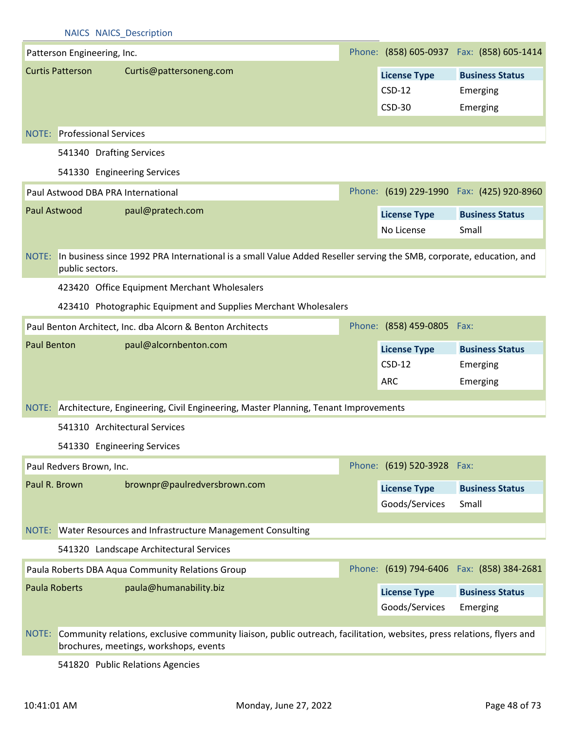|                         | <b>NAICS NAICS Description</b>                                                                                                         |  |                                       |                                            |  |  |
|-------------------------|----------------------------------------------------------------------------------------------------------------------------------------|--|---------------------------------------|--------------------------------------------|--|--|
|                         | Patterson Engineering, Inc.                                                                                                            |  |                                       | Phone: (858) 605-0937  Fax: (858) 605-1414 |  |  |
| <b>Curtis Patterson</b> | Curtis@pattersoneng.com                                                                                                                |  | <b>License Type</b>                   | <b>Business Status</b>                     |  |  |
|                         |                                                                                                                                        |  | $CSD-12$                              | Emerging                                   |  |  |
|                         |                                                                                                                                        |  | $CSD-30$                              | Emerging                                   |  |  |
|                         | <b>NOTE:</b> Professional Services                                                                                                     |  |                                       |                                            |  |  |
|                         | 541340 Drafting Services                                                                                                               |  |                                       |                                            |  |  |
|                         | 541330 Engineering Services                                                                                                            |  |                                       |                                            |  |  |
|                         | Paul Astwood DBA PRA International                                                                                                     |  |                                       | Phone: (619) 229-1990  Fax: (425) 920-8960 |  |  |
| Paul Astwood            | paul@pratech.com                                                                                                                       |  |                                       |                                            |  |  |
|                         |                                                                                                                                        |  | <b>License Type</b><br>No License     | <b>Business Status</b><br>Small            |  |  |
|                         |                                                                                                                                        |  |                                       |                                            |  |  |
| NOTE:                   | In business since 1992 PRA International is a small Value Added Reseller serving the SMB, corporate, education, and<br>public sectors. |  |                                       |                                            |  |  |
|                         | 423420 Office Equipment Merchant Wholesalers                                                                                           |  |                                       |                                            |  |  |
|                         | 423410 Photographic Equipment and Supplies Merchant Wholesalers                                                                        |  |                                       |                                            |  |  |
|                         | Paul Benton Architect, Inc. dba Alcorn & Benton Architects                                                                             |  | Phone: (858) 459-0805                 | Fax:                                       |  |  |
| <b>Paul Benton</b>      | paul@alcornbenton.com                                                                                                                  |  | <b>License Type</b>                   | <b>Business Status</b>                     |  |  |
|                         |                                                                                                                                        |  | $CSD-12$                              | Emerging                                   |  |  |
|                         |                                                                                                                                        |  |                                       |                                            |  |  |
|                         |                                                                                                                                        |  |                                       |                                            |  |  |
|                         |                                                                                                                                        |  | <b>ARC</b>                            | Emerging                                   |  |  |
|                         | NOTE: Architecture, Engineering, Civil Engineering, Master Planning, Tenant Improvements                                               |  |                                       |                                            |  |  |
|                         | 541310 Architectural Services                                                                                                          |  |                                       |                                            |  |  |
|                         | 541330 Engineering Services                                                                                                            |  |                                       |                                            |  |  |
|                         | Paul Redvers Brown, Inc.                                                                                                               |  | Phone: (619) 520-3928                 | Fax:                                       |  |  |
| Paul R. Brown           | brownpr@paulredversbrown.com                                                                                                           |  | <b>License Type</b>                   | <b>Business Status</b>                     |  |  |
|                         |                                                                                                                                        |  | Goods/Services                        | Small                                      |  |  |
|                         | NOTE: Water Resources and Infrastructure Management Consulting                                                                         |  |                                       |                                            |  |  |
|                         | 541320 Landscape Architectural Services                                                                                                |  |                                       |                                            |  |  |
|                         | Paula Roberts DBA Aqua Community Relations Group                                                                                       |  |                                       | Phone: (619) 794-6406  Fax: (858) 384-2681 |  |  |
| <b>Paula Roberts</b>    | paula@humanability.biz                                                                                                                 |  |                                       | <b>Business Status</b>                     |  |  |
|                         |                                                                                                                                        |  | <b>License Type</b><br>Goods/Services | Emerging                                   |  |  |
| NOTE:                   | Community relations, exclusive community liaison, public outreach, facilitation, websites, press relations, flyers and                 |  |                                       |                                            |  |  |

541820 Public Relations Agencies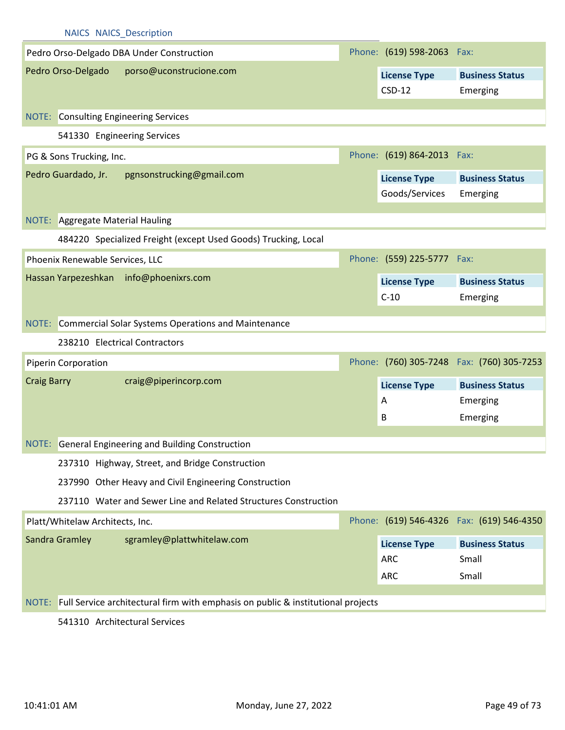|                    | <b>NAICS NAICS Description</b>                                                         |                                       |                                            |
|--------------------|----------------------------------------------------------------------------------------|---------------------------------------|--------------------------------------------|
|                    | Pedro Orso-Delgado DBA Under Construction                                              | Phone: (619) 598-2063 Fax:            |                                            |
|                    | Pedro Orso-Delgado<br>porso@uconstrucione.com                                          | <b>License Type</b><br>$CSD-12$       | <b>Business Status</b><br>Emerging         |
|                    | NOTE: Consulting Engineering Services                                                  |                                       |                                            |
|                    | 541330 Engineering Services                                                            |                                       |                                            |
|                    | PG & Sons Trucking, Inc.                                                               | Phone: (619) 864-2013 Fax:            |                                            |
|                    | Pedro Guardado, Jr.<br>pgnsonstrucking@gmail.com                                       | <b>License Type</b><br>Goods/Services | <b>Business Status</b><br>Emerging         |
|                    | NOTE: Aggregate Material Hauling                                                       |                                       |                                            |
|                    | 484220 Specialized Freight (except Used Goods) Trucking, Local                         |                                       |                                            |
|                    | Phoenix Renewable Services, LLC                                                        | Phone: (559) 225-5777 Fax:            |                                            |
|                    | Hassan Yarpezeshkan info@phoenixrs.com                                                 | <b>License Type</b>                   | <b>Business Status</b>                     |
|                    |                                                                                        | $C-10$                                | Emerging                                   |
|                    | NOTE: Commercial Solar Systems Operations and Maintenance                              |                                       |                                            |
|                    | 238210 Electrical Contractors                                                          |                                       |                                            |
|                    | Piperin Corporation                                                                    |                                       | Phone: (760) 305-7248  Fax: (760) 305-7253 |
| <b>Craig Barry</b> | craig@piperincorp.com                                                                  | <b>License Type</b>                   | <b>Business Status</b>                     |
|                    |                                                                                        |                                       |                                            |
|                    |                                                                                        | $\mathsf{A}$                          | Emerging                                   |
|                    |                                                                                        | B                                     | Emerging                                   |
|                    | NOTE: General Engineering and Building Construction                                    |                                       |                                            |
|                    | 237310 Highway, Street, and Bridge Construction                                        |                                       |                                            |
|                    | 237990 Other Heavy and Civil Engineering Construction                                  |                                       |                                            |
|                    | 237110 Water and Sewer Line and Related Structures Construction                        |                                       |                                            |
|                    | Platt/Whitelaw Architects, Inc.                                                        |                                       | Phone: (619) 546-4326  Fax: (619) 546-4350 |
|                    | Sandra Gramley<br>sgramley@plattwhitelaw.com                                           | <b>License Type</b>                   | <b>Business Status</b>                     |
|                    |                                                                                        | <b>ARC</b>                            | Small                                      |
|                    |                                                                                        | <b>ARC</b>                            | Small                                      |
|                    | NOTE: Full Service architectural firm with emphasis on public & institutional projects |                                       |                                            |

541310 Architectural Services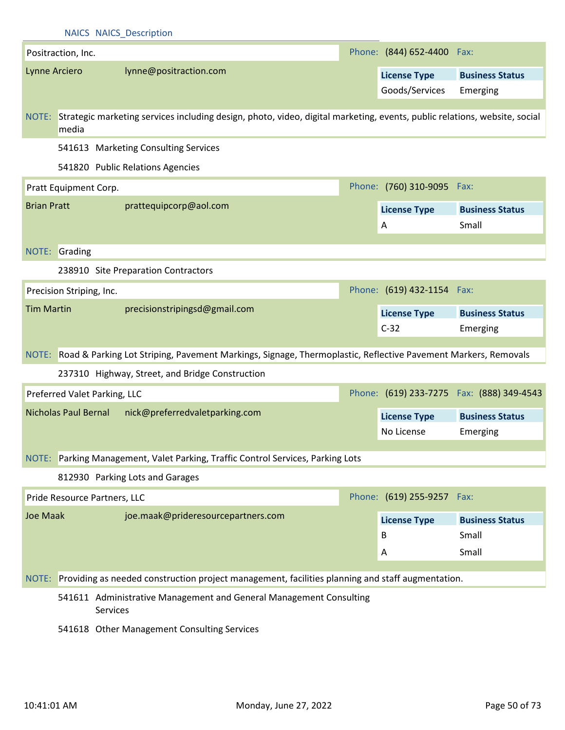|                    |                             | <b>NAICS NAICS Description</b>                                                                                                  |                                   |                                            |
|--------------------|-----------------------------|---------------------------------------------------------------------------------------------------------------------------------|-----------------------------------|--------------------------------------------|
|                    | Positraction, Inc.          |                                                                                                                                 | Phone: (844) 652-4400 Fax:        |                                            |
| Lynne Arciero      |                             | lynne@positraction.com                                                                                                          | <b>License Type</b>               | <b>Business Status</b>                     |
|                    |                             |                                                                                                                                 | Goods/Services                    | Emerging                                   |
|                    |                             |                                                                                                                                 |                                   |                                            |
|                    | media                       | NOTE: Strategic marketing services including design, photo, video, digital marketing, events, public relations, website, social |                                   |                                            |
|                    |                             | 541613 Marketing Consulting Services                                                                                            |                                   |                                            |
|                    |                             | 541820 Public Relations Agencies                                                                                                |                                   |                                            |
|                    | Pratt Equipment Corp.       |                                                                                                                                 | Phone: (760) 310-9095 Fax:        |                                            |
| <b>Brian Pratt</b> |                             | prattequipcorp@aol.com                                                                                                          | <b>License Type</b>               | <b>Business Status</b>                     |
|                    |                             |                                                                                                                                 | A                                 | Small                                      |
|                    |                             |                                                                                                                                 |                                   |                                            |
|                    | NOTE: Grading               |                                                                                                                                 |                                   |                                            |
|                    |                             | 238910 Site Preparation Contractors                                                                                             |                                   |                                            |
|                    | Precision Striping, Inc.    |                                                                                                                                 | Phone: (619) 432-1154 Fax:        |                                            |
| <b>Tim Martin</b>  |                             | precisionstripingsd@gmail.com                                                                                                   | <b>License Type</b>               | <b>Business Status</b>                     |
|                    |                             |                                                                                                                                 | $C-32$                            | Emerging                                   |
|                    |                             | NOTE: Road & Parking Lot Striping, Pavement Markings, Signage, Thermoplastic, Reflective Pavement Markers, Removals             |                                   |                                            |
|                    |                             | 237310 Highway, Street, and Bridge Construction                                                                                 |                                   |                                            |
|                    |                             | Preferred Valet Parking, LLC                                                                                                    |                                   | Phone: (619) 233-7275  Fax: (888) 349-4543 |
|                    | <b>Nicholas Paul Bernal</b> | nick@preferredvaletparking.com                                                                                                  |                                   |                                            |
|                    |                             |                                                                                                                                 | <b>License Type</b><br>No License | <b>Business Status</b><br>Emerging         |
|                    |                             |                                                                                                                                 |                                   |                                            |
|                    |                             | NOTE: Parking Management, Valet Parking, Traffic Control Services, Parking Lots                                                 |                                   |                                            |
|                    |                             | 812930 Parking Lots and Garages                                                                                                 |                                   |                                            |
|                    |                             | Pride Resource Partners, LLC                                                                                                    | Phone: (619) 255-9257             | Fax:                                       |
| <b>Joe Maak</b>    |                             | joe.maak@prideresourcepartners.com                                                                                              | <b>License Type</b>               | <b>Business Status</b>                     |
|                    |                             |                                                                                                                                 | B                                 | Small                                      |
|                    |                             |                                                                                                                                 | А                                 | Small                                      |
| NOTE:              |                             | Providing as needed construction project management, facilities planning and staff augmentation.                                |                                   |                                            |
|                    |                             |                                                                                                                                 |                                   |                                            |
|                    |                             | 541611 Administrative Management and General Management Consulting<br>Services                                                  |                                   |                                            |

541618 Other Management Consulting Services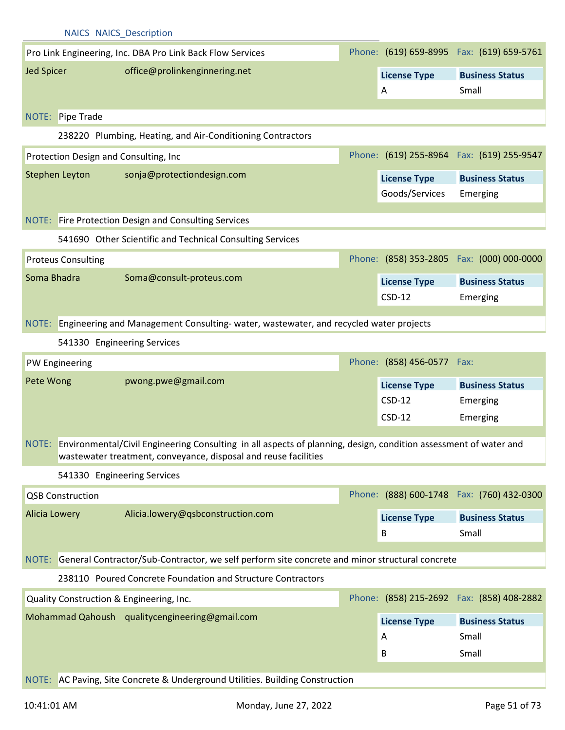|                      | <b>NAICS NAICS Description</b>        |                                                                                                                                                                                           |                            |                                            |
|----------------------|---------------------------------------|-------------------------------------------------------------------------------------------------------------------------------------------------------------------------------------------|----------------------------|--------------------------------------------|
|                      |                                       | Pro Link Engineering, Inc. DBA Pro Link Back Flow Services                                                                                                                                |                            | Phone: (619) 659-8995  Fax: (619) 659-5761 |
| <b>Jed Spicer</b>    |                                       | office@prolinkenginnering.net                                                                                                                                                             | <b>License Type</b>        | <b>Business Status</b>                     |
|                      |                                       |                                                                                                                                                                                           | A                          | Small                                      |
|                      | NOTE: Pipe Trade                      |                                                                                                                                                                                           |                            |                                            |
|                      |                                       | 238220 Plumbing, Heating, and Air-Conditioning Contractors                                                                                                                                |                            |                                            |
|                      | Protection Design and Consulting, Inc |                                                                                                                                                                                           |                            | Phone: (619) 255-8964 Fax: (619) 255-9547  |
|                      | Stephen Leyton                        | sonja@protectiondesign.com                                                                                                                                                                | <b>License Type</b>        | <b>Business Status</b>                     |
|                      |                                       |                                                                                                                                                                                           | Goods/Services             | Emerging                                   |
|                      |                                       |                                                                                                                                                                                           |                            |                                            |
|                      |                                       | NOTE: Fire Protection Design and Consulting Services                                                                                                                                      |                            |                                            |
|                      |                                       | 541690 Other Scientific and Technical Consulting Services                                                                                                                                 |                            |                                            |
|                      | <b>Proteus Consulting</b>             |                                                                                                                                                                                           |                            | Phone: (858) 353-2805  Fax: (000) 000-0000 |
| Soma Bhadra          |                                       | Soma@consult-proteus.com                                                                                                                                                                  | <b>License Type</b>        | <b>Business Status</b>                     |
|                      |                                       |                                                                                                                                                                                           | $CSD-12$                   | Emerging                                   |
|                      |                                       | NOTE: Engineering and Management Consulting-water, wastewater, and recycled water projects                                                                                                |                            |                                            |
|                      | 541330 Engineering Services           |                                                                                                                                                                                           |                            |                                            |
|                      | PW Engineering                        |                                                                                                                                                                                           | Phone: (858) 456-0577 Fax: |                                            |
| Pete Wong            |                                       | pwong.pwe@gmail.com                                                                                                                                                                       | <b>License Type</b>        | <b>Business Status</b>                     |
|                      |                                       |                                                                                                                                                                                           | $CSD-12$                   | Emerging                                   |
|                      |                                       |                                                                                                                                                                                           | $CSD-12$                   | Emerging                                   |
|                      |                                       | NOTE: Environmental/Civil Engineering Consulting in all aspects of planning, design, condition assessment of water and<br>wastewater treatment, conveyance, disposal and reuse facilities |                            |                                            |
|                      | 541330 Engineering Services           |                                                                                                                                                                                           |                            |                                            |
|                      | <b>QSB Construction</b>               |                                                                                                                                                                                           |                            | Phone: (888) 600-1748 Fax: (760) 432-0300  |
| <b>Alicia Lowery</b> |                                       | Alicia.lowery@qsbconstruction.com                                                                                                                                                         | <b>License Type</b>        | <b>Business Status</b>                     |
|                      |                                       |                                                                                                                                                                                           | В                          | Small                                      |
|                      |                                       | NOTE: General Contractor/Sub-Contractor, we self perform site concrete and minor structural concrete                                                                                      |                            |                                            |
|                      |                                       | 238110 Poured Concrete Foundation and Structure Contractors                                                                                                                               |                            |                                            |
|                      |                                       | Quality Construction & Engineering, Inc.                                                                                                                                                  |                            | Phone: (858) 215-2692  Fax: (858) 408-2882 |
|                      |                                       | Mohammad Qahoush qualitycengineering@gmail.com                                                                                                                                            | <b>License Type</b>        | <b>Business Status</b>                     |
|                      |                                       |                                                                                                                                                                                           | A                          | Small                                      |
|                      |                                       |                                                                                                                                                                                           | B                          | Small                                      |
|                      |                                       | NOTE: AC Paving, Site Concrete & Underground Utilities. Building Construction                                                                                                             |                            |                                            |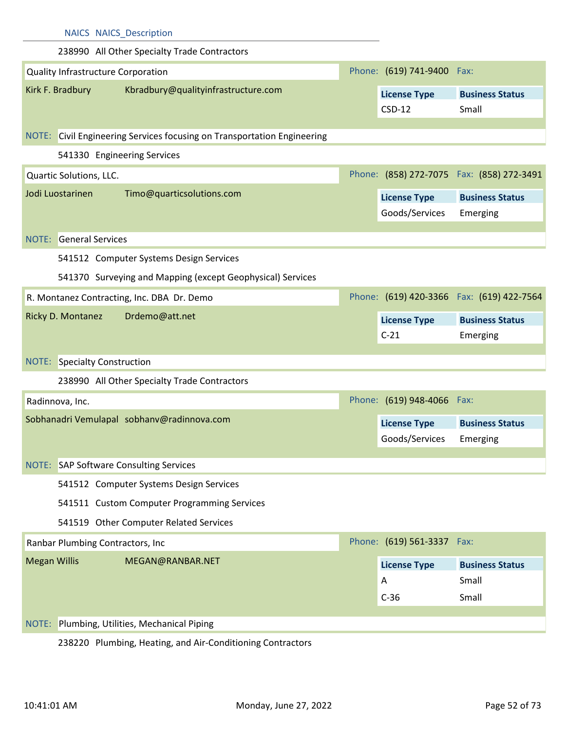| <b>NAICS NAICS Description</b>                                          |                            |                                            |
|-------------------------------------------------------------------------|----------------------------|--------------------------------------------|
| 238990 All Other Specialty Trade Contractors                            |                            |                                            |
| Quality Infrastructure Corporation                                      | Phone: (619) 741-9400 Fax: |                                            |
| Kirk F. Bradbury<br>Kbradbury@qualityinfrastructure.com                 | <b>License Type</b>        | <b>Business Status</b>                     |
|                                                                         | $CSD-12$                   | Small                                      |
| NOTE: Civil Engineering Services focusing on Transportation Engineering |                            |                                            |
| 541330 Engineering Services                                             |                            |                                            |
| Quartic Solutions, LLC.                                                 |                            | Phone: (858) 272-7075  Fax: (858) 272-3491 |
| Jodi Luostarinen<br>Timo@quarticsolutions.com                           | <b>License Type</b>        | <b>Business Status</b>                     |
|                                                                         | Goods/Services             | Emerging                                   |
| <b>General Services</b><br>NOTE:                                        |                            |                                            |
| 541512 Computer Systems Design Services                                 |                            |                                            |
| 541370 Surveying and Mapping (except Geophysical) Services              |                            |                                            |
| R. Montanez Contracting, Inc. DBA Dr. Demo                              |                            | Phone: (619) 420-3366  Fax: (619) 422-7564 |
| Drdemo@att.net<br>Ricky D. Montanez                                     | <b>License Type</b>        | <b>Business Status</b>                     |
|                                                                         |                            |                                            |
|                                                                         | $C-21$                     |                                            |
|                                                                         |                            | Emerging                                   |
| <b>NOTE:</b> Specialty Construction                                     |                            |                                            |
| 238990 All Other Specialty Trade Contractors                            |                            |                                            |
| Radinnova, Inc.                                                         | Phone: (619) 948-4066 Fax: |                                            |
| Sobhanadri Vemulapal sobhanv@radinnova.com                              | <b>License Type</b>        | <b>Business Status</b>                     |
|                                                                         | Goods/Services Emerging    |                                            |
| NOTE: SAP Software Consulting Services                                  |                            |                                            |
| 541512 Computer Systems Design Services                                 |                            |                                            |
| 541511 Custom Computer Programming Services                             |                            |                                            |
| 541519 Other Computer Related Services                                  |                            |                                            |
| Ranbar Plumbing Contractors, Inc                                        | Phone: (619) 561-3337 Fax: |                                            |
| <b>Megan Willis</b><br>MEGAN@RANBAR.NET                                 |                            | <b>Business Status</b>                     |
|                                                                         | <b>License Type</b><br>A   | Small                                      |
|                                                                         | $C-36$                     | Small                                      |
| Plumbing, Utilities, Mechanical Piping<br>NOTE:                         |                            |                                            |

238220 Plumbing, Heating, and Air-Conditioning Contractors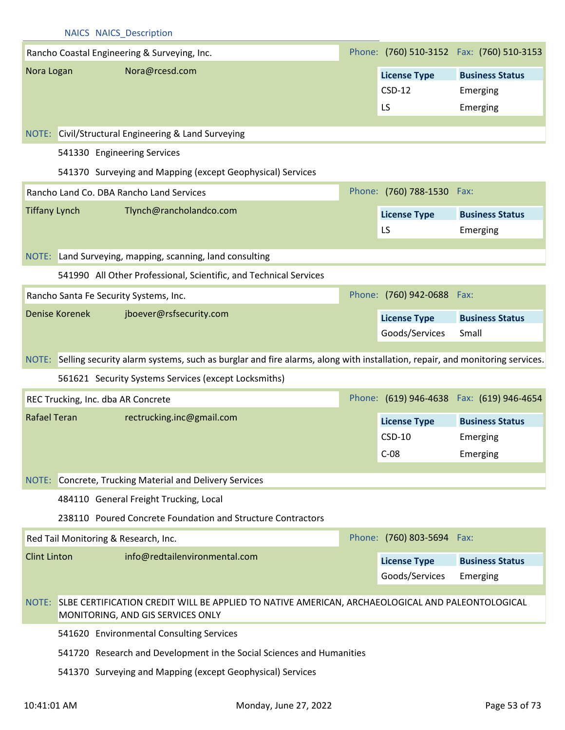|                      |                       | Rancho Coastal Engineering & Surveying, Inc.                                                                                                |                                           | Phone: (760) 510-3152  Fax: (760) 510-3153     |
|----------------------|-----------------------|---------------------------------------------------------------------------------------------------------------------------------------------|-------------------------------------------|------------------------------------------------|
| Nora Logan           |                       | Nora@rcesd.com                                                                                                                              | <b>License Type</b><br>$CSD-12$<br>LS     | <b>Business Status</b><br>Emerging<br>Emerging |
|                      |                       | NOTE: Civil/Structural Engineering & Land Surveying                                                                                         |                                           |                                                |
|                      |                       | 541330 Engineering Services                                                                                                                 |                                           |                                                |
|                      |                       | 541370 Surveying and Mapping (except Geophysical) Services                                                                                  |                                           |                                                |
|                      |                       | Rancho Land Co. DBA Rancho Land Services                                                                                                    | Phone: (760) 788-1530 Fax:                |                                                |
| <b>Tiffany Lynch</b> |                       | Tlynch@rancholandco.com                                                                                                                     | <b>License Type</b><br>LS                 | <b>Business Status</b><br>Emerging             |
|                      |                       | NOTE: Land Surveying, mapping, scanning, land consulting                                                                                    |                                           |                                                |
|                      |                       | 541990 All Other Professional, Scientific, and Technical Services                                                                           |                                           |                                                |
|                      |                       | Rancho Santa Fe Security Systems, Inc.                                                                                                      | Phone: (760) 942-0688 Fax:                |                                                |
|                      | <b>Denise Korenek</b> | jboever@rsfsecurity.com                                                                                                                     | <b>License Type</b><br>Goods/Services     | <b>Business Status</b><br>Small                |
|                      |                       | NOTE: Selling security alarm systems, such as burglar and fire alarms, along with installation, repair, and monitoring services.            |                                           |                                                |
|                      |                       | 561621 Security Systems Services (except Locksmiths)                                                                                        |                                           |                                                |
|                      |                       | REC Trucking, Inc. dba AR Concrete                                                                                                          |                                           | Phone: (619) 946-4638 Fax: (619) 946-4654      |
| Rafael Teran         |                       | rectrucking.inc@gmail.com                                                                                                                   | <b>License Type</b><br>$CSD-10$<br>$C-08$ | <b>Business Status</b><br>Emerging<br>Emerging |
| NOTE:                |                       | Concrete, Trucking Material and Delivery Services                                                                                           |                                           |                                                |
|                      |                       | 484110 General Freight Trucking, Local                                                                                                      |                                           |                                                |
|                      |                       | 238110 Poured Concrete Foundation and Structure Contractors                                                                                 |                                           |                                                |
|                      |                       | Red Tail Monitoring & Research, Inc.                                                                                                        | Phone: (760) 803-5694 Fax:                |                                                |
| <b>Clint Linton</b>  |                       | info@redtailenvironmental.com                                                                                                               | <b>License Type</b><br>Goods/Services     | <b>Business Status</b><br>Emerging             |
|                      |                       | NOTE: SLBE CERTIFICATION CREDIT WILL BE APPLIED TO NATIVE AMERICAN, ARCHAEOLOGICAL AND PALEONTOLOGICAL<br>MONITORING, AND GIS SERVICES ONLY |                                           |                                                |
|                      |                       | 541620 Environmental Consulting Services                                                                                                    |                                           |                                                |
|                      |                       | 541720 Research and Development in the Social Sciences and Humanities                                                                       |                                           |                                                |
|                      |                       | 541370 Surveying and Mapping (except Geophysical) Services                                                                                  |                                           |                                                |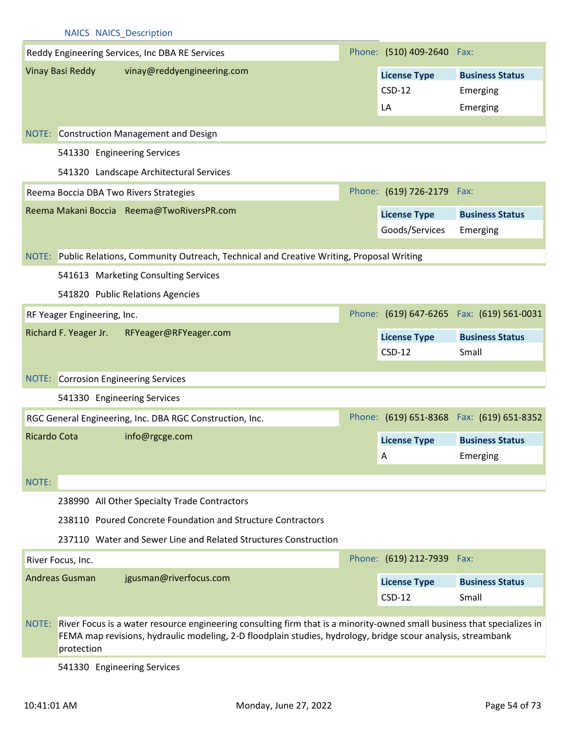|              |                             | <b>NAICS NAICS Description</b>                                                                                                                                                                                                          |                            |                                            |
|--------------|-----------------------------|-----------------------------------------------------------------------------------------------------------------------------------------------------------------------------------------------------------------------------------------|----------------------------|--------------------------------------------|
|              |                             | Reddy Engineering Services, Inc DBA RE Services                                                                                                                                                                                         | Phone: (510) 409-2640 Fax: |                                            |
|              | <b>Vinay Basi Reddy</b>     | vinay@reddyengineering.com                                                                                                                                                                                                              | <b>License Type</b>        | <b>Business Status</b>                     |
|              |                             |                                                                                                                                                                                                                                         | $CSD-12$                   | Emerging                                   |
|              |                             |                                                                                                                                                                                                                                         | LA                         | Emerging                                   |
|              |                             |                                                                                                                                                                                                                                         |                            |                                            |
|              |                             | NOTE: Construction Management and Design                                                                                                                                                                                                |                            |                                            |
|              |                             | 541330 Engineering Services                                                                                                                                                                                                             |                            |                                            |
|              |                             | 541320 Landscape Architectural Services                                                                                                                                                                                                 |                            |                                            |
|              |                             | Reema Boccia DBA Two Rivers Strategies                                                                                                                                                                                                  | Phone: (619) 726-2179 Fax: |                                            |
|              |                             | Reema Makani Boccia Reema@TwoRiversPR.com                                                                                                                                                                                               | <b>License Type</b>        | <b>Business Status</b>                     |
|              |                             |                                                                                                                                                                                                                                         | Goods/Services             | Emerging                                   |
|              |                             | NOTE: Public Relations, Community Outreach, Technical and Creative Writing, Proposal Writing                                                                                                                                            |                            |                                            |
|              |                             | 541613 Marketing Consulting Services                                                                                                                                                                                                    |                            |                                            |
|              |                             | 541820 Public Relations Agencies                                                                                                                                                                                                        |                            |                                            |
|              | RF Yeager Engineering, Inc. |                                                                                                                                                                                                                                         |                            | Phone: (619) 647-6265  Fax: (619) 561-0031 |
|              | Richard F. Yeager Jr.       | RFYeager@RFYeager.com                                                                                                                                                                                                                   | <b>License Type</b>        | <b>Business Status</b>                     |
|              |                             |                                                                                                                                                                                                                                         | $CSD-12$                   | Small                                      |
|              |                             | <b>NOTE:</b> Corrosion Engineering Services                                                                                                                                                                                             |                            |                                            |
|              |                             | 541330 Engineering Services                                                                                                                                                                                                             |                            |                                            |
|              |                             |                                                                                                                                                                                                                                         |                            |                                            |
|              |                             | RGC General Engineering, Inc. DBA RGC Construction, Inc.                                                                                                                                                                                |                            | Phone: (619) 651-8368 Fax: (619) 651-8352  |
| Ricardo Cota |                             | info@rgcge.com                                                                                                                                                                                                                          | <b>License Type</b>        | <b>Business Status</b>                     |
|              |                             |                                                                                                                                                                                                                                         | A                          | Emerging                                   |
| NOTE:        |                             |                                                                                                                                                                                                                                         |                            |                                            |
|              |                             | 238990 All Other Specialty Trade Contractors                                                                                                                                                                                            |                            |                                            |
|              |                             | 238110 Poured Concrete Foundation and Structure Contractors                                                                                                                                                                             |                            |                                            |
|              |                             | 237110 Water and Sewer Line and Related Structures Construction                                                                                                                                                                         |                            |                                            |
|              | River Focus, Inc.           |                                                                                                                                                                                                                                         | Phone: (619) 212-7939 Fax: |                                            |
|              | <b>Andreas Gusman</b>       | jgusman@riverfocus.com                                                                                                                                                                                                                  | <b>License Type</b>        | <b>Business Status</b>                     |
|              |                             |                                                                                                                                                                                                                                         | $CSD-12$                   | Small                                      |
| NOTE:        | protection                  | River Focus is a water resource engineering consulting firm that is a minority-owned small business that specializes in<br>FEMA map revisions, hydraulic modeling, 2-D floodplain studies, hydrology, bridge scour analysis, streambank |                            |                                            |

541330 Engineering Services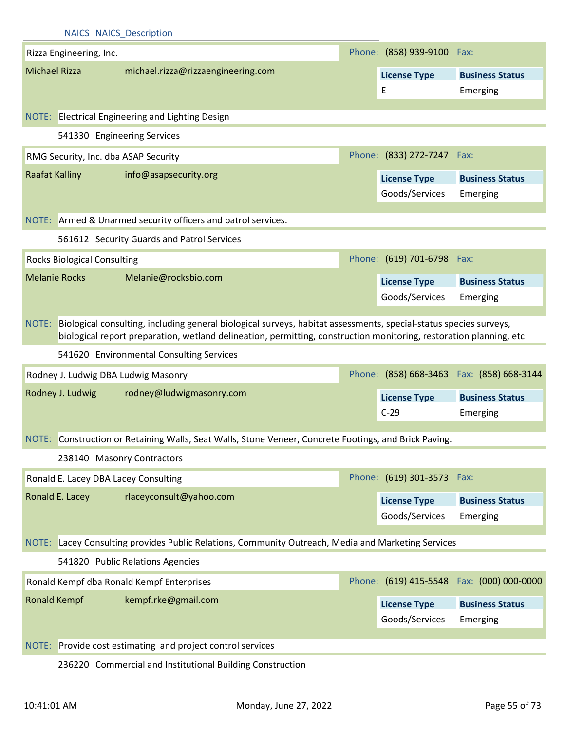|                                    | <b>NAICS NAICS Description</b>                                                                                                                                                                                                          |                            |                                            |
|------------------------------------|-----------------------------------------------------------------------------------------------------------------------------------------------------------------------------------------------------------------------------------------|----------------------------|--------------------------------------------|
| Rizza Engineering, Inc.            |                                                                                                                                                                                                                                         | Phone: (858) 939-9100 Fax: |                                            |
| <b>Michael Rizza</b>               | michael.rizza@rizzaengineering.com                                                                                                                                                                                                      | <b>License Type</b>        | <b>Business Status</b>                     |
|                                    |                                                                                                                                                                                                                                         | Ε                          | Emerging                                   |
|                                    |                                                                                                                                                                                                                                         |                            |                                            |
|                                    | NOTE: Electrical Engineering and Lighting Design                                                                                                                                                                                        |                            |                                            |
|                                    | 541330 Engineering Services                                                                                                                                                                                                             |                            |                                            |
|                                    | RMG Security, Inc. dba ASAP Security                                                                                                                                                                                                    | Phone: (833) 272-7247 Fax: |                                            |
| Raafat Kalliny                     | info@asapsecurity.org                                                                                                                                                                                                                   | <b>License Type</b>        | <b>Business Status</b>                     |
|                                    |                                                                                                                                                                                                                                         | Goods/Services             | Emerging                                   |
|                                    | NOTE: Armed & Unarmed security officers and patrol services.                                                                                                                                                                            |                            |                                            |
|                                    |                                                                                                                                                                                                                                         |                            |                                            |
|                                    | 561612 Security Guards and Patrol Services                                                                                                                                                                                              |                            |                                            |
| <b>Rocks Biological Consulting</b> |                                                                                                                                                                                                                                         | Phone: (619) 701-6798 Fax: |                                            |
| <b>Melanie Rocks</b>               | Melanie@rocksbio.com                                                                                                                                                                                                                    | <b>License Type</b>        | <b>Business Status</b>                     |
|                                    |                                                                                                                                                                                                                                         | Goods/Services             | Emerging                                   |
| NOTE:                              | Biological consulting, including general biological surveys, habitat assessments, special-status species surveys,<br>biological report preparation, wetland delineation, permitting, construction monitoring, restoration planning, etc |                            |                                            |
|                                    | 541620 Environmental Consulting Services                                                                                                                                                                                                |                            |                                            |
|                                    | Rodney J. Ludwig DBA Ludwig Masonry                                                                                                                                                                                                     |                            | Phone: (858) 668-3463  Fax: (858) 668-3144 |
| Rodney J. Ludwig                   | rodney@ludwigmasonry.com                                                                                                                                                                                                                | <b>License Type</b>        | <b>Business Status</b>                     |
|                                    |                                                                                                                                                                                                                                         | $C-29$                     | Emerging                                   |
|                                    | NOTE: Construction or Retaining Walls, Seat Walls, Stone Veneer, Concrete Footings, and Brick Paving.                                                                                                                                   |                            |                                            |
|                                    | 238140 Masonry Contractors                                                                                                                                                                                                              |                            |                                            |
|                                    | Ronald E. Lacey DBA Lacey Consulting                                                                                                                                                                                                    | Phone: (619) 301-3573 Fax: |                                            |
| Ronald E. Lacey                    | rlaceyconsult@yahoo.com                                                                                                                                                                                                                 | <b>License Type</b>        | <b>Business Status</b>                     |
|                                    |                                                                                                                                                                                                                                         | Goods/Services             | Emerging                                   |
|                                    |                                                                                                                                                                                                                                         |                            |                                            |
| NOTE:                              | Lacey Consulting provides Public Relations, Community Outreach, Media and Marketing Services                                                                                                                                            |                            |                                            |
|                                    | 541820 Public Relations Agencies                                                                                                                                                                                                        |                            |                                            |
|                                    | Ronald Kempf dba Ronald Kempf Enterprises                                                                                                                                                                                               |                            | Phone: (619) 415-5548 Fax: (000) 000-0000  |
| <b>Ronald Kempf</b>                | kempf.rke@gmail.com                                                                                                                                                                                                                     | <b>License Type</b>        | <b>Business Status</b>                     |
|                                    |                                                                                                                                                                                                                                         | Goods/Services             | Emerging                                   |
|                                    |                                                                                                                                                                                                                                         |                            |                                            |
| NOTE:                              | Provide cost estimating and project control services                                                                                                                                                                                    |                            |                                            |
|                                    | 236220 Commercial and Institutional Building Construction                                                                                                                                                                               |                            |                                            |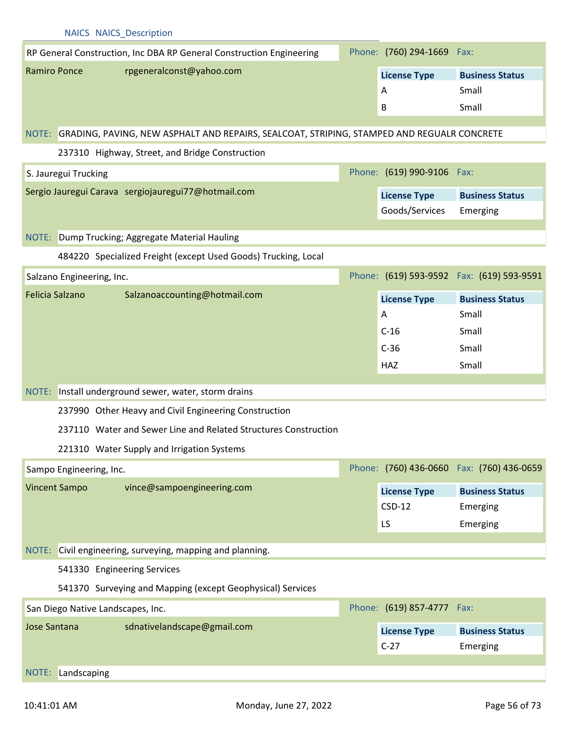|                        | <b>NAICS NAICS Description</b>    |                                                                                                  |                            |                                            |
|------------------------|-----------------------------------|--------------------------------------------------------------------------------------------------|----------------------------|--------------------------------------------|
|                        |                                   | RP General Construction, Inc DBA RP General Construction Engineering                             | Phone: (760) 294-1669 Fax: |                                            |
| <b>Ramiro Ponce</b>    |                                   | rpgeneralconst@yahoo.com                                                                         | <b>License Type</b>        | <b>Business Status</b>                     |
|                        |                                   |                                                                                                  | A                          | Small                                      |
|                        |                                   |                                                                                                  | B                          | Small                                      |
|                        |                                   | NOTE: GRADING, PAVING, NEW ASPHALT AND REPAIRS, SEALCOAT, STRIPING, STAMPED AND REGUALR CONCRETE |                            |                                            |
|                        |                                   | 237310 Highway, Street, and Bridge Construction                                                  |                            |                                            |
|                        | S. Jauregui Trucking              |                                                                                                  | Phone: (619) 990-9106 Fax: |                                            |
|                        |                                   | Sergio Jauregui Carava sergiojauregui77@hotmail.com                                              | <b>License Type</b>        | <b>Business Status</b>                     |
|                        |                                   |                                                                                                  | Goods/Services             | Emerging                                   |
|                        |                                   | NOTE: Dump Trucking; Aggregate Material Hauling                                                  |                            |                                            |
|                        |                                   | 484220 Specialized Freight (except Used Goods) Trucking, Local                                   |                            |                                            |
|                        |                                   |                                                                                                  |                            |                                            |
|                        | Salzano Engineering, Inc.         |                                                                                                  |                            | Phone: (619) 593-9592  Fax: (619) 593-9591 |
| <b>Felicia Salzano</b> |                                   | Salzanoaccounting@hotmail.com                                                                    | <b>License Type</b>        | <b>Business Status</b>                     |
|                        |                                   |                                                                                                  | A                          | Small                                      |
|                        |                                   |                                                                                                  | $C-16$                     | Small                                      |
|                        |                                   |                                                                                                  | $C-36$                     | Small                                      |
|                        |                                   |                                                                                                  | <b>HAZ</b>                 | Small                                      |
|                        |                                   | NOTE: Install underground sewer, water, storm drains                                             |                            |                                            |
|                        |                                   | 237990 Other Heavy and Civil Engineering Construction                                            |                            |                                            |
|                        |                                   | 237110 Water and Sewer Line and Related Structures Construction                                  |                            |                                            |
|                        |                                   | 221310 Water Supply and Irrigation Systems                                                       |                            |                                            |
|                        | Sampo Engineering, Inc.           |                                                                                                  |                            | Phone: (760) 436-0660 Fax: (760) 436-0659  |
| <b>Vincent Sampo</b>   |                                   | vince@sampoengineering.com                                                                       | <b>License Type</b>        | <b>Business Status</b>                     |
|                        |                                   |                                                                                                  | $CSD-12$                   | Emerging                                   |
|                        |                                   |                                                                                                  | LS                         | Emerging                                   |
|                        |                                   | NOTE: Civil engineering, surveying, mapping and planning.                                        |                            |                                            |
|                        | 541330 Engineering Services       |                                                                                                  |                            |                                            |
|                        |                                   | 541370 Surveying and Mapping (except Geophysical) Services                                       |                            |                                            |
|                        | San Diego Native Landscapes, Inc. |                                                                                                  | Phone: (619) 857-4777 Fax: |                                            |
| <b>Jose Santana</b>    |                                   | sdnativelandscape@gmail.com                                                                      | <b>License Type</b>        | <b>Business Status</b>                     |
|                        |                                   |                                                                                                  | $C-27$                     | Emerging                                   |
|                        |                                   |                                                                                                  |                            |                                            |
|                        | NOTE: Landscaping                 |                                                                                                  |                            |                                            |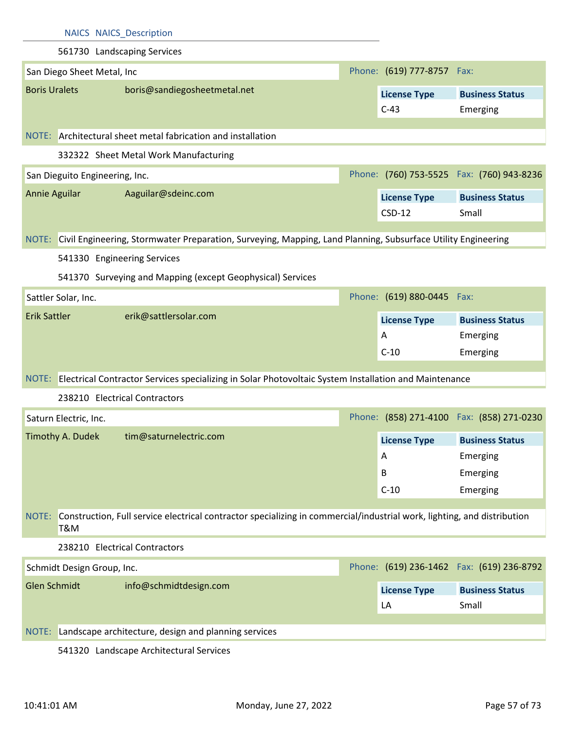| <b>NAICS NAICS_Description</b>                                                                                                          |                            |                                            |
|-----------------------------------------------------------------------------------------------------------------------------------------|----------------------------|--------------------------------------------|
| 561730 Landscaping Services                                                                                                             |                            |                                            |
| San Diego Sheet Metal, Inc                                                                                                              | Phone: (619) 777-8757 Fax: |                                            |
| <b>Boris Uralets</b><br>boris@sandiegosheetmetal.net                                                                                    | <b>License Type</b>        | <b>Business Status</b>                     |
|                                                                                                                                         | $C-43$                     | Emerging                                   |
|                                                                                                                                         |                            |                                            |
| NOTE: Architectural sheet metal fabrication and installation                                                                            |                            |                                            |
| 332322 Sheet Metal Work Manufacturing                                                                                                   |                            |                                            |
| San Dieguito Engineering, Inc.                                                                                                          |                            | Phone: (760) 753-5525  Fax: (760) 943-8236 |
| Annie Aguilar<br>Aaguilar@sdeinc.com                                                                                                    | <b>License Type</b>        | <b>Business Status</b>                     |
|                                                                                                                                         | $CSD-12$                   | Small                                      |
| NOTE: Civil Engineering, Stormwater Preparation, Surveying, Mapping, Land Planning, Subsurface Utility Engineering                      |                            |                                            |
| 541330 Engineering Services                                                                                                             |                            |                                            |
|                                                                                                                                         |                            |                                            |
| 541370 Surveying and Mapping (except Geophysical) Services                                                                              |                            |                                            |
| Sattler Solar, Inc.                                                                                                                     | Phone: (619) 880-0445 Fax: |                                            |
| erik@sattlersolar.com<br><b>Erik Sattler</b>                                                                                            | <b>License Type</b>        | <b>Business Status</b>                     |
|                                                                                                                                         | A                          | Emerging                                   |
|                                                                                                                                         | $C-10$                     | Emerging                                   |
| NOTE: Electrical Contractor Services specializing in Solar Photovoltaic System Installation and Maintenance                             |                            |                                            |
| 238210 Electrical Contractors                                                                                                           |                            |                                            |
| Saturn Electric, Inc.                                                                                                                   |                            | Phone: (858) 271-4100 Fax: (858) 271-0230  |
|                                                                                                                                         |                            |                                            |
| Timothy A. Dudek<br>tim@saturnelectric.com                                                                                              |                            | License Type Business Status               |
|                                                                                                                                         | A                          | Emerging                                   |
|                                                                                                                                         | B                          | Emerging                                   |
|                                                                                                                                         | $C-10$                     | Emerging                                   |
| Construction, Full service electrical contractor specializing in commercial/industrial work, lighting, and distribution<br>NOTE:<br>T&M |                            |                                            |
| 238210 Electrical Contractors                                                                                                           |                            |                                            |
| Schmidt Design Group, Inc.                                                                                                              |                            | Phone: (619) 236-1462  Fax: (619) 236-8792 |
| <b>Glen Schmidt</b><br>info@schmidtdesign.com                                                                                           | <b>License Type</b>        | <b>Business Status</b>                     |
|                                                                                                                                         | LA                         | Small                                      |
| Landscape architecture, design and planning services<br>NOTE:                                                                           |                            |                                            |
|                                                                                                                                         |                            |                                            |

541320 Landscape Architectural Services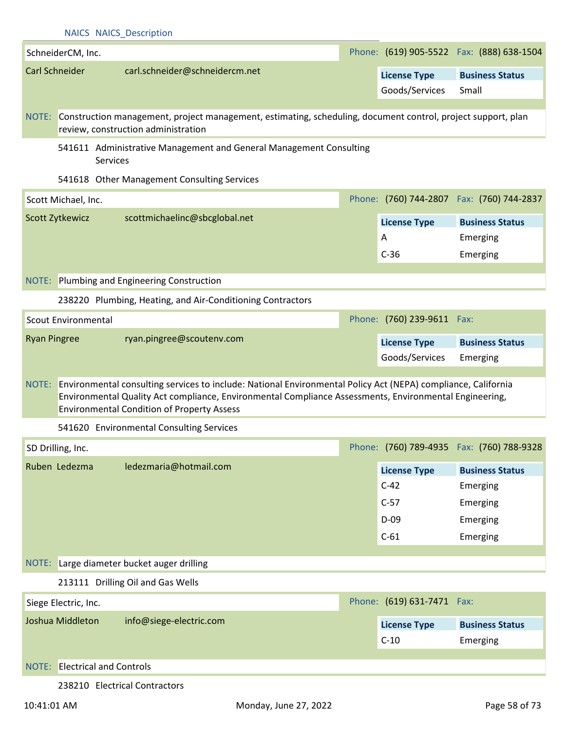|                       | <b>NAICS NAICS Description</b>              |                                                                                                                                                                                                                                                                                    |  |                               |                                            |  |  |  |
|-----------------------|---------------------------------------------|------------------------------------------------------------------------------------------------------------------------------------------------------------------------------------------------------------------------------------------------------------------------------------|--|-------------------------------|--------------------------------------------|--|--|--|
|                       | SchneiderCM, Inc.                           |                                                                                                                                                                                                                                                                                    |  |                               | Phone: (619) 905-5522  Fax: (888) 638-1504 |  |  |  |
| <b>Carl Schneider</b> |                                             | carl.schneider@schneidercm.net                                                                                                                                                                                                                                                     |  | <b>License Type</b>           | <b>Business Status</b>                     |  |  |  |
|                       |                                             |                                                                                                                                                                                                                                                                                    |  | Goods/Services                | Small                                      |  |  |  |
|                       |                                             |                                                                                                                                                                                                                                                                                    |  |                               |                                            |  |  |  |
|                       |                                             | NOTE: Construction management, project management, estimating, scheduling, document control, project support, plan<br>review, construction administration                                                                                                                          |  |                               |                                            |  |  |  |
|                       | Services                                    | 541611 Administrative Management and General Management Consulting                                                                                                                                                                                                                 |  |                               |                                            |  |  |  |
|                       | 541618 Other Management Consulting Services |                                                                                                                                                                                                                                                                                    |  |                               |                                            |  |  |  |
|                       | Scott Michael, Inc.                         |                                                                                                                                                                                                                                                                                    |  |                               | Phone: (760) 744-2807 Fax: (760) 744-2837  |  |  |  |
|                       | Scott Zytkewicz                             | scottmichaelinc@sbcglobal.net                                                                                                                                                                                                                                                      |  | <b>License Type</b>           | <b>Business Status</b>                     |  |  |  |
|                       |                                             |                                                                                                                                                                                                                                                                                    |  | A                             | Emerging                                   |  |  |  |
|                       |                                             |                                                                                                                                                                                                                                                                                    |  | $C-36$                        | Emerging                                   |  |  |  |
|                       |                                             | <b>NOTE:</b> Plumbing and Engineering Construction                                                                                                                                                                                                                                 |  |                               |                                            |  |  |  |
|                       |                                             | 238220 Plumbing, Heating, and Air-Conditioning Contractors                                                                                                                                                                                                                         |  |                               |                                            |  |  |  |
|                       | <b>Scout Environmental</b>                  |                                                                                                                                                                                                                                                                                    |  | Phone: (760) 239-9611 Fax:    |                                            |  |  |  |
| <b>Ryan Pingree</b>   |                                             | ryan.pingree@scoutenv.com                                                                                                                                                                                                                                                          |  |                               |                                            |  |  |  |
|                       |                                             |                                                                                                                                                                                                                                                                                    |  | <b>License Type</b>           | <b>Business Status</b>                     |  |  |  |
|                       |                                             |                                                                                                                                                                                                                                                                                    |  | Goods/Services                | Emerging                                   |  |  |  |
|                       |                                             | NOTE: Environmental consulting services to include: National Environmental Policy Act (NEPA) compliance, California<br>Environmental Quality Act compliance, Environmental Compliance Assessments, Environmental Engineering,<br><b>Environmental Condition of Property Assess</b> |  |                               |                                            |  |  |  |
|                       |                                             | 541620 Environmental Consulting Services                                                                                                                                                                                                                                           |  |                               |                                            |  |  |  |
|                       | SD Drilling, Inc.                           |                                                                                                                                                                                                                                                                                    |  |                               | Phone: (760) 789-4935  Fax: (760) 788-9328 |  |  |  |
|                       | Ruben Ledezma                               | ledezmaria@hotmail.com                                                                                                                                                                                                                                                             |  | <b>License Type</b>           | <b>Business Status</b>                     |  |  |  |
|                       |                                             |                                                                                                                                                                                                                                                                                    |  | $C-42$                        | Emerging                                   |  |  |  |
|                       |                                             |                                                                                                                                                                                                                                                                                    |  | $C-57$                        | Emerging                                   |  |  |  |
|                       |                                             |                                                                                                                                                                                                                                                                                    |  | $D-09$                        | Emerging                                   |  |  |  |
|                       |                                             |                                                                                                                                                                                                                                                                                    |  | $C-61$                        | Emerging                                   |  |  |  |
|                       |                                             | NOTE: Large diameter bucket auger drilling                                                                                                                                                                                                                                         |  |                               |                                            |  |  |  |
|                       |                                             | 213111 Drilling Oil and Gas Wells                                                                                                                                                                                                                                                  |  |                               |                                            |  |  |  |
|                       | Siege Electric, Inc.                        |                                                                                                                                                                                                                                                                                    |  | Phone: (619) 631-7471 Fax:    |                                            |  |  |  |
|                       | Joshua Middleton                            | info@siege-electric.com                                                                                                                                                                                                                                                            |  |                               | <b>Business Status</b>                     |  |  |  |
|                       |                                             |                                                                                                                                                                                                                                                                                    |  | <b>License Type</b><br>$C-10$ | Emerging                                   |  |  |  |
|                       |                                             |                                                                                                                                                                                                                                                                                    |  |                               |                                            |  |  |  |
| NOTE:                 | <b>Electrical and Controls</b>              |                                                                                                                                                                                                                                                                                    |  |                               |                                            |  |  |  |
|                       |                                             | 238210 Electrical Contractors                                                                                                                                                                                                                                                      |  |                               |                                            |  |  |  |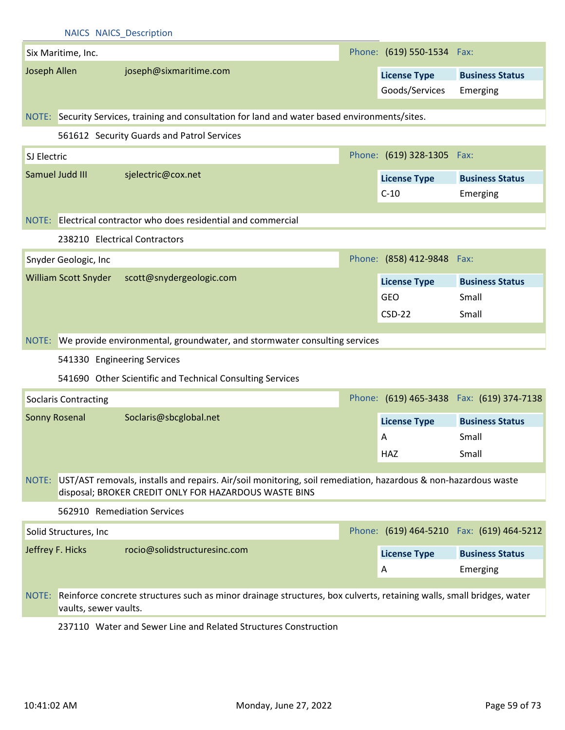|              |                             | <b>NAICS NAICS Description</b>                                                                                                                                          |                            |                                            |
|--------------|-----------------------------|-------------------------------------------------------------------------------------------------------------------------------------------------------------------------|----------------------------|--------------------------------------------|
|              | Six Maritime, Inc.          |                                                                                                                                                                         | Phone: (619) 550-1534 Fax: |                                            |
| Joseph Allen |                             | joseph@sixmaritime.com                                                                                                                                                  | <b>License Type</b>        | <b>Business Status</b>                     |
|              |                             |                                                                                                                                                                         | Goods/Services             | Emerging                                   |
|              |                             |                                                                                                                                                                         |                            |                                            |
|              |                             | NOTE: Security Services, training and consultation for land and water based environments/sites.                                                                         |                            |                                            |
|              |                             | 561612 Security Guards and Patrol Services                                                                                                                              |                            |                                            |
| SJ Electric  |                             |                                                                                                                                                                         | Phone: (619) 328-1305 Fax: |                                            |
|              | Samuel Judd III             | sjelectric@cox.net                                                                                                                                                      | <b>License Type</b>        | <b>Business Status</b>                     |
|              |                             |                                                                                                                                                                         | $C-10$                     | Emerging                                   |
|              |                             | NOTE: Electrical contractor who does residential and commercial                                                                                                         |                            |                                            |
|              |                             | 238210 Electrical Contractors                                                                                                                                           |                            |                                            |
|              |                             |                                                                                                                                                                         |                            |                                            |
|              | Snyder Geologic, Inc        |                                                                                                                                                                         | Phone: (858) 412-9848 Fax: |                                            |
|              | <b>William Scott Snyder</b> | scott@snydergeologic.com                                                                                                                                                | <b>License Type</b>        | <b>Business Status</b>                     |
|              |                             |                                                                                                                                                                         | <b>GEO</b>                 | Small                                      |
|              |                             |                                                                                                                                                                         | $CSD-22$                   | Small                                      |
|              |                             | NOTE: We provide environmental, groundwater, and stormwater consulting services                                                                                         |                            |                                            |
|              |                             |                                                                                                                                                                         |                            |                                            |
|              | 541330 Engineering Services |                                                                                                                                                                         |                            |                                            |
|              |                             | 541690 Other Scientific and Technical Consulting Services                                                                                                               |                            |                                            |
|              |                             |                                                                                                                                                                         |                            |                                            |
|              | <b>Soclaris Contracting</b> |                                                                                                                                                                         |                            | Phone: (619) 465-3438  Fax: (619) 374-7138 |
|              | <b>Sonny Rosenal</b>        | Soclaris@sbcglobal.net                                                                                                                                                  | <b>License Type</b>        | <b>Business Status</b>                     |
|              |                             |                                                                                                                                                                         | A                          | Small                                      |
|              |                             |                                                                                                                                                                         | HAZ                        | Small                                      |
|              |                             |                                                                                                                                                                         |                            |                                            |
| NOTE:        |                             | UST/AST removals, installs and repairs. Air/soil monitoring, soil remediation, hazardous & non-hazardous waste<br>disposal; BROKER CREDIT ONLY FOR HAZARDOUS WASTE BINS |                            |                                            |
|              |                             | 562910 Remediation Services                                                                                                                                             |                            |                                            |
|              | Solid Structures, Inc       |                                                                                                                                                                         |                            | Phone: (619) 464-5210 Fax: (619) 464-5212  |
|              | Jeffrey F. Hicks            | rocio@solidstructuresinc.com                                                                                                                                            | <b>License Type</b>        | <b>Business Status</b>                     |
|              |                             |                                                                                                                                                                         | A                          | Emerging                                   |
|              |                             |                                                                                                                                                                         |                            |                                            |
|              | vaults, sewer vaults.       | NOTE: Reinforce concrete structures such as minor drainage structures, box culverts, retaining walls, small bridges, water                                              |                            |                                            |

237110 Water and Sewer Line and Related Structures Construction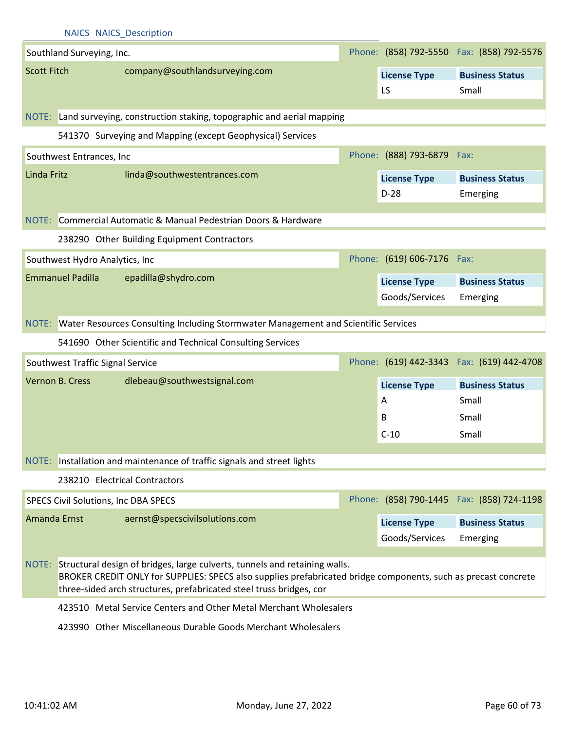|                    |                                  | <b>NAICS NAICS Description</b>              |                                                                                                                                                                                                                                                                           |  |                            |                                            |
|--------------------|----------------------------------|---------------------------------------------|---------------------------------------------------------------------------------------------------------------------------------------------------------------------------------------------------------------------------------------------------------------------------|--|----------------------------|--------------------------------------------|
|                    | Southland Surveying, Inc.        |                                             |                                                                                                                                                                                                                                                                           |  |                            | Phone: (858) 792-5550 Fax: (858) 792-5576  |
| <b>Scott Fitch</b> |                                  |                                             | company@southlandsurveying.com                                                                                                                                                                                                                                            |  | <b>License Type</b>        | <b>Business Status</b>                     |
|                    |                                  |                                             |                                                                                                                                                                                                                                                                           |  | LS.                        | Small                                      |
|                    |                                  |                                             | NOTE: Land surveying, construction staking, topographic and aerial mapping                                                                                                                                                                                                |  |                            |                                            |
|                    |                                  |                                             |                                                                                                                                                                                                                                                                           |  |                            |                                            |
|                    |                                  |                                             | 541370 Surveying and Mapping (except Geophysical) Services                                                                                                                                                                                                                |  |                            |                                            |
|                    | Southwest Entrances, Inc         |                                             |                                                                                                                                                                                                                                                                           |  | Phone: (888) 793-6879 Fax: |                                            |
| Linda Fritz        |                                  | linda@southwestentrances.com                |                                                                                                                                                                                                                                                                           |  | <b>License Type</b>        | <b>Business Status</b>                     |
|                    |                                  |                                             |                                                                                                                                                                                                                                                                           |  | $D-28$                     | Emerging                                   |
| NOTE:              |                                  |                                             | Commercial Automatic & Manual Pedestrian Doors & Hardware                                                                                                                                                                                                                 |  |                            |                                            |
|                    |                                  | 238290 Other Building Equipment Contractors |                                                                                                                                                                                                                                                                           |  |                            |                                            |
|                    | Southwest Hydro Analytics, Inc   |                                             |                                                                                                                                                                                                                                                                           |  | Phone: (619) 606-7176 Fax: |                                            |
|                    | <b>Emmanuel Padilla</b>          | epadilla@shydro.com                         |                                                                                                                                                                                                                                                                           |  |                            |                                            |
|                    |                                  |                                             |                                                                                                                                                                                                                                                                           |  | <b>License Type</b>        | <b>Business Status</b>                     |
|                    |                                  |                                             |                                                                                                                                                                                                                                                                           |  | Goods/Services             | Emerging                                   |
|                    |                                  |                                             | NOTE: Water Resources Consulting Including Stormwater Management and Scientific Services                                                                                                                                                                                  |  |                            |                                            |
|                    |                                  |                                             | 541690 Other Scientific and Technical Consulting Services                                                                                                                                                                                                                 |  |                            |                                            |
|                    | Southwest Traffic Signal Service |                                             |                                                                                                                                                                                                                                                                           |  |                            | Phone: (619) 442-3343  Fax: (619) 442-4708 |
|                    | Vernon B. Cress                  | dlebeau@southwestsignal.com                 |                                                                                                                                                                                                                                                                           |  | <b>License Type</b>        | <b>Business Status</b>                     |
|                    |                                  |                                             |                                                                                                                                                                                                                                                                           |  | A                          | Small                                      |
|                    |                                  |                                             |                                                                                                                                                                                                                                                                           |  | B                          | Small                                      |
|                    |                                  |                                             |                                                                                                                                                                                                                                                                           |  | $C-10$                     | Small                                      |
|                    |                                  |                                             | NOTE: Installation and maintenance of traffic signals and street lights                                                                                                                                                                                                   |  |                            |                                            |
|                    |                                  | 238210 Electrical Contractors               |                                                                                                                                                                                                                                                                           |  |                            |                                            |
|                    |                                  |                                             |                                                                                                                                                                                                                                                                           |  |                            |                                            |
|                    |                                  | SPECS Civil Solutions, Inc DBA SPECS        |                                                                                                                                                                                                                                                                           |  |                            | Phone: (858) 790-1445  Fax: (858) 724-1198 |
|                    | Amanda Ernst                     | aernst@specscivilsolutions.com              |                                                                                                                                                                                                                                                                           |  | <b>License Type</b>        | <b>Business Status</b>                     |
|                    |                                  |                                             |                                                                                                                                                                                                                                                                           |  | Goods/Services             | Emerging                                   |
|                    |                                  |                                             | NOTE: Structural design of bridges, large culverts, tunnels and retaining walls.<br>BROKER CREDIT ONLY for SUPPLIES: SPECS also supplies prefabricated bridge components, such as precast concrete<br>three-sided arch structures, prefabricated steel truss bridges, cor |  |                            |                                            |
|                    |                                  |                                             | 423510 Metal Service Centers and Other Metal Merchant Wholesalers                                                                                                                                                                                                         |  |                            |                                            |
|                    |                                  |                                             | 423990 Other Miscellaneous Durable Goods Merchant Wholesalers                                                                                                                                                                                                             |  |                            |                                            |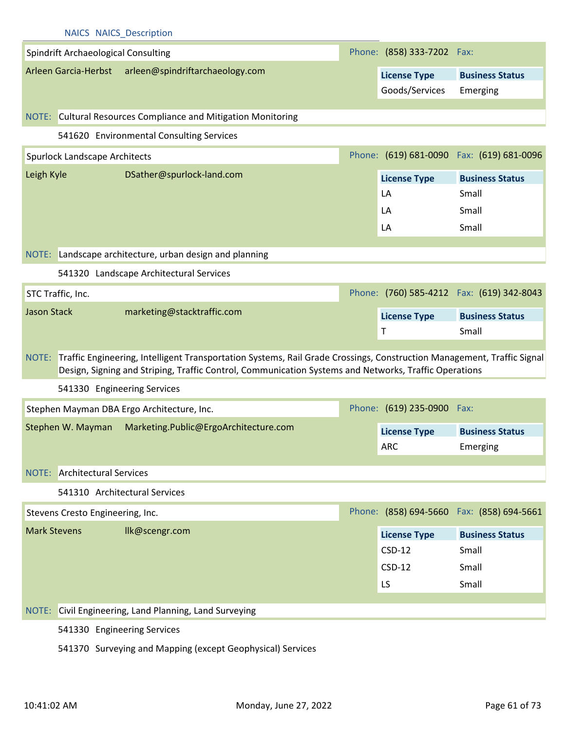|                     | <b>NAICS NAICS Description</b>             |                                                                                                                                                                                                                                       |                            |                                            |
|---------------------|--------------------------------------------|---------------------------------------------------------------------------------------------------------------------------------------------------------------------------------------------------------------------------------------|----------------------------|--------------------------------------------|
|                     | <b>Spindrift Archaeological Consulting</b> |                                                                                                                                                                                                                                       | Phone: (858) 333-7202 Fax: |                                            |
|                     |                                            | Arleen Garcia-Herbst arleen@spindriftarchaeology.com                                                                                                                                                                                  | <b>License Type</b>        | <b>Business Status</b>                     |
|                     |                                            |                                                                                                                                                                                                                                       | Goods/Services             | Emerging                                   |
|                     |                                            |                                                                                                                                                                                                                                       |                            |                                            |
|                     |                                            | NOTE: Cultural Resources Compliance and Mitigation Monitoring                                                                                                                                                                         |                            |                                            |
|                     |                                            | 541620 Environmental Consulting Services                                                                                                                                                                                              |                            |                                            |
|                     | Spurlock Landscape Architects              |                                                                                                                                                                                                                                       |                            | Phone: (619) 681-0090  Fax: (619) 681-0096 |
| Leigh Kyle          |                                            | DSather@spurlock-land.com                                                                                                                                                                                                             | <b>License Type</b>        | <b>Business Status</b>                     |
|                     |                                            |                                                                                                                                                                                                                                       | LA                         | Small                                      |
|                     |                                            |                                                                                                                                                                                                                                       | LA                         | Small                                      |
|                     |                                            |                                                                                                                                                                                                                                       | LA                         | Small                                      |
|                     |                                            | NOTE: Landscape architecture, urban design and planning                                                                                                                                                                               |                            |                                            |
|                     |                                            | 541320 Landscape Architectural Services                                                                                                                                                                                               |                            |                                            |
|                     | STC Traffic, Inc.                          |                                                                                                                                                                                                                                       |                            | Phone: (760) 585-4212  Fax: (619) 342-8043 |
| <b>Jason Stack</b>  |                                            | marketing@stacktraffic.com                                                                                                                                                                                                            | <b>License Type</b>        | <b>Business Status</b>                     |
|                     |                                            |                                                                                                                                                                                                                                       | Τ                          | Small                                      |
|                     |                                            | NOTE: Traffic Engineering, Intelligent Transportation Systems, Rail Grade Crossings, Construction Management, Traffic Signal<br>Design, Signing and Striping, Traffic Control, Communication Systems and Networks, Traffic Operations |                            |                                            |
|                     | 541330 Engineering Services                |                                                                                                                                                                                                                                       |                            |                                            |
|                     |                                            | Stephen Mayman DBA Ergo Architecture, Inc.                                                                                                                                                                                            | Phone: (619) 235-0900 Fax: |                                            |
|                     | Stephen W. Mayman                          | Marketing.Public@ErgoArchitecture.com                                                                                                                                                                                                 | <b>License Type</b>        | <b>Business Status</b>                     |
|                     |                                            |                                                                                                                                                                                                                                       | <b>ARC</b>                 | Emerging                                   |
|                     | <b>NOTE:</b> Architectural Services        |                                                                                                                                                                                                                                       |                            |                                            |
|                     |                                            | 541310 Architectural Services                                                                                                                                                                                                         |                            |                                            |
|                     | Stevens Cresto Engineering, Inc.           |                                                                                                                                                                                                                                       |                            | Phone: (858) 694-5660 Fax: (858) 694-5661  |
| <b>Mark Stevens</b> |                                            | Ilk@scengr.com                                                                                                                                                                                                                        | <b>License Type</b>        | <b>Business Status</b>                     |
|                     |                                            |                                                                                                                                                                                                                                       | $CSD-12$                   | Small                                      |
|                     |                                            |                                                                                                                                                                                                                                       | $CSD-12$                   | Small                                      |
|                     |                                            |                                                                                                                                                                                                                                       | LS                         | Small                                      |
|                     |                                            |                                                                                                                                                                                                                                       |                            |                                            |
| NOTE:               |                                            | Civil Engineering, Land Planning, Land Surveying                                                                                                                                                                                      |                            |                                            |
|                     | 541330 Engineering Services                |                                                                                                                                                                                                                                       |                            |                                            |
|                     |                                            | 541370 Surveying and Mapping (except Geophysical) Services                                                                                                                                                                            |                            |                                            |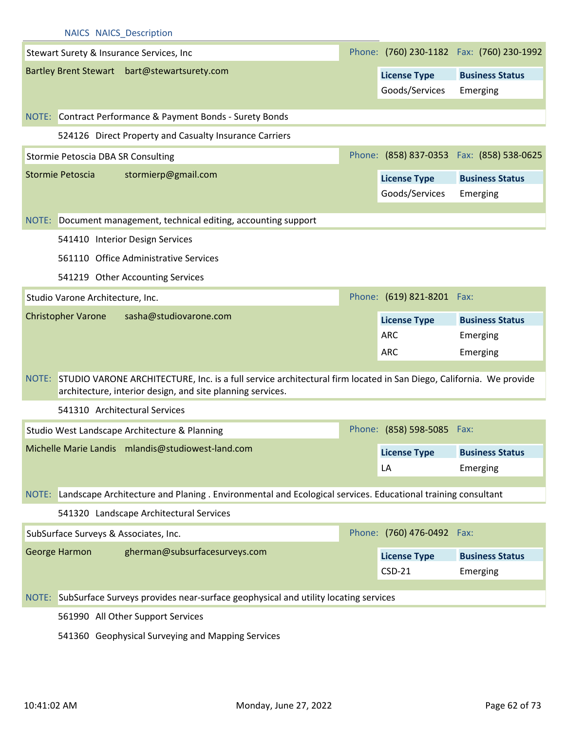|       | Stewart Surety & Insurance Services, Inc                                                                                                                                         |                            | Phone: (760) 230-1182  Fax: (760) 230-1992 |
|-------|----------------------------------------------------------------------------------------------------------------------------------------------------------------------------------|----------------------------|--------------------------------------------|
|       | Bartley Brent Stewart bart@stewartsurety.com                                                                                                                                     | <b>License Type</b>        | <b>Business Status</b>                     |
|       |                                                                                                                                                                                  | Goods/Services             | Emerging                                   |
|       |                                                                                                                                                                                  |                            |                                            |
|       | NOTE: Contract Performance & Payment Bonds - Surety Bonds                                                                                                                        |                            |                                            |
|       | 524126 Direct Property and Casualty Insurance Carriers                                                                                                                           |                            |                                            |
|       | Stormie Petoscia DBA SR Consulting                                                                                                                                               |                            | Phone: (858) 837-0353  Fax: (858) 538-0625 |
|       | stormierp@gmail.com<br>Stormie Petoscia                                                                                                                                          | <b>License Type</b>        | <b>Business Status</b>                     |
|       |                                                                                                                                                                                  | Goods/Services             | Emerging                                   |
|       | NOTE: Document management, technical editing, accounting support                                                                                                                 |                            |                                            |
|       | 541410 Interior Design Services                                                                                                                                                  |                            |                                            |
|       |                                                                                                                                                                                  |                            |                                            |
|       | 561110 Office Administrative Services                                                                                                                                            |                            |                                            |
|       | 541219 Other Accounting Services                                                                                                                                                 |                            |                                            |
|       | Studio Varone Architecture, Inc.                                                                                                                                                 | Phone: (619) 821-8201 Fax: |                                            |
|       | sasha@studiovarone.com<br><b>Christopher Varone</b>                                                                                                                              | <b>License Type</b>        | <b>Business Status</b>                     |
|       |                                                                                                                                                                                  | <b>ARC</b>                 | Emerging                                   |
|       |                                                                                                                                                                                  | <b>ARC</b>                 | Emerging                                   |
| NOTE: | STUDIO VARONE ARCHITECTURE, Inc. is a full service architectural firm located in San Diego, California. We provide<br>architecture, interior design, and site planning services. |                            |                                            |
|       | 541310 Architectural Services                                                                                                                                                    |                            |                                            |
|       | Studio West Landscape Architecture & Planning                                                                                                                                    | Phone: (858) 598-5085 Fax: |                                            |
|       | Michelle Marie Landis mlandis@studiowest-land.com                                                                                                                                | <b>License Type</b>        | <b>Business Status</b>                     |
|       |                                                                                                                                                                                  | LA                         | Emerging                                   |
|       |                                                                                                                                                                                  |                            |                                            |
| NOTE: | Landscape Architecture and Planing . Environmental and Ecological services. Educational training consultant                                                                      |                            |                                            |
|       | 541320 Landscape Architectural Services                                                                                                                                          |                            |                                            |
|       | SubSurface Surveys & Associates, Inc.                                                                                                                                            | Phone: (760) 476-0492 Fax: |                                            |
|       | gherman@subsurfacesurveys.com<br>George Harmon                                                                                                                                   | <b>License Type</b>        | <b>Business Status</b>                     |
|       |                                                                                                                                                                                  | $CSD-21$                   | Emerging                                   |
|       |                                                                                                                                                                                  |                            |                                            |
|       | NOTE: SubSurface Surveys provides near-surface geophysical and utility locating services                                                                                         |                            |                                            |
|       | 561990 All Other Support Services                                                                                                                                                |                            |                                            |

541360 Geophysical Surveying and Mapping Services

NAICS NAICS\_Description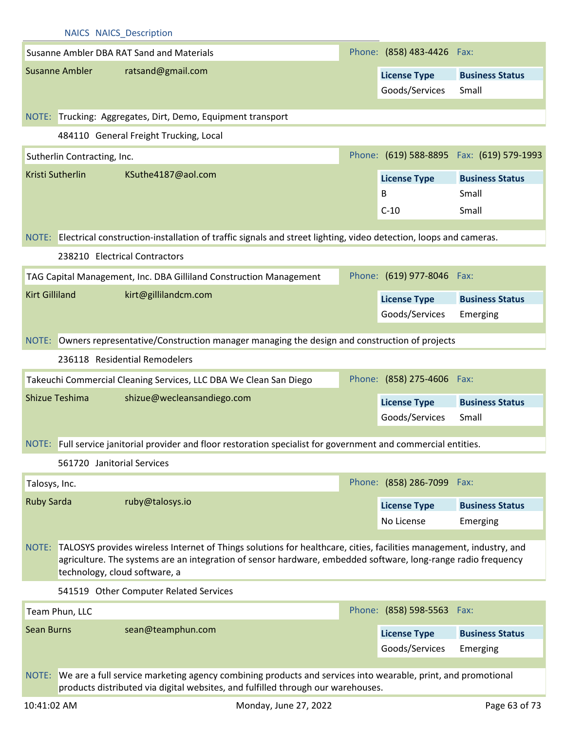|                       |                             | <b>NAICS NAICS Description</b>                                                                                                                                                                                                                                              |                                       |                                            |
|-----------------------|-----------------------------|-----------------------------------------------------------------------------------------------------------------------------------------------------------------------------------------------------------------------------------------------------------------------------|---------------------------------------|--------------------------------------------|
|                       |                             | Susanne Ambler DBA RAT Sand and Materials                                                                                                                                                                                                                                   | Phone: (858) 483-4426 Fax:            |                                            |
|                       | <b>Susanne Ambler</b>       | ratsand@gmail.com                                                                                                                                                                                                                                                           | <b>License Type</b>                   | <b>Business Status</b>                     |
|                       |                             |                                                                                                                                                                                                                                                                             | Goods/Services                        | Small                                      |
|                       |                             |                                                                                                                                                                                                                                                                             |                                       |                                            |
|                       |                             | NOTE: Trucking: Aggregates, Dirt, Demo, Equipment transport                                                                                                                                                                                                                 |                                       |                                            |
|                       |                             | 484110 General Freight Trucking, Local                                                                                                                                                                                                                                      |                                       |                                            |
|                       | Sutherlin Contracting, Inc. |                                                                                                                                                                                                                                                                             |                                       | Phone: (619) 588-8895  Fax: (619) 579-1993 |
|                       | Kristi Sutherlin            | KSuthe4187@aol.com                                                                                                                                                                                                                                                          | <b>License Type</b>                   | <b>Business Status</b>                     |
|                       |                             |                                                                                                                                                                                                                                                                             | B                                     | Small                                      |
|                       |                             |                                                                                                                                                                                                                                                                             | $C-10$                                | Small                                      |
|                       |                             | NOTE: Electrical construction-installation of traffic signals and street lighting, video detection, loops and cameras.                                                                                                                                                      |                                       |                                            |
|                       |                             | 238210 Electrical Contractors                                                                                                                                                                                                                                               |                                       |                                            |
|                       |                             | TAG Capital Management, Inc. DBA Gilliland Construction Management                                                                                                                                                                                                          | Phone: (619) 977-8046 Fax:            |                                            |
| <b>Kirt Gilliland</b> |                             | kirt@gillilandcm.com                                                                                                                                                                                                                                                        |                                       |                                            |
|                       |                             |                                                                                                                                                                                                                                                                             | <b>License Type</b><br>Goods/Services | <b>Business Status</b>                     |
|                       |                             |                                                                                                                                                                                                                                                                             |                                       | Emerging                                   |
|                       |                             | NOTE: Owners representative/Construction manager managing the design and construction of projects                                                                                                                                                                           |                                       |                                            |
|                       |                             | 236118 Residential Remodelers                                                                                                                                                                                                                                               |                                       |                                            |
|                       |                             | Takeuchi Commercial Cleaning Services, LLC DBA We Clean San Diego                                                                                                                                                                                                           | Phone: (858) 275-4606 Fax:            |                                            |
|                       | Shizue Teshima              | shizue@wecleansandiego.com                                                                                                                                                                                                                                                  | <b>License Type</b>                   | <b>Business Status</b>                     |
|                       |                             |                                                                                                                                                                                                                                                                             | Goods/Services                        | Small                                      |
|                       |                             | NOTE: Full service janitorial provider and floor restoration specialist for government and commercial entities.                                                                                                                                                             |                                       |                                            |
|                       |                             |                                                                                                                                                                                                                                                                             |                                       |                                            |
|                       |                             | 561720 Janitorial Services                                                                                                                                                                                                                                                  |                                       |                                            |
| Talosys, Inc.         |                             |                                                                                                                                                                                                                                                                             | Phone: (858) 286-7099 Fax:            |                                            |
| <b>Ruby Sarda</b>     |                             | ruby@talosys.io                                                                                                                                                                                                                                                             | <b>License Type</b>                   | <b>Business Status</b>                     |
|                       |                             |                                                                                                                                                                                                                                                                             | No License                            | Emerging                                   |
|                       |                             | NOTE: TALOSYS provides wireless Internet of Things solutions for healthcare, cities, facilities management, industry, and<br>agriculture. The systems are an integration of sensor hardware, embedded software, long-range radio frequency<br>technology, cloud software, a |                                       |                                            |
|                       |                             | 541519 Other Computer Related Services                                                                                                                                                                                                                                      |                                       |                                            |
|                       | Team Phun, LLC              |                                                                                                                                                                                                                                                                             | Phone: (858) 598-5563 Fax:            |                                            |
| <b>Sean Burns</b>     |                             | sean@teamphun.com                                                                                                                                                                                                                                                           | <b>License Type</b>                   | <b>Business Status</b>                     |
|                       |                             |                                                                                                                                                                                                                                                                             | Goods/Services                        | Emerging                                   |
|                       |                             |                                                                                                                                                                                                                                                                             |                                       |                                            |
| NOTE:                 |                             | We are a full service marketing agency combining products and services into wearable, print, and promotional<br>products distributed via digital websites, and fulfilled through our warehouses.                                                                            |                                       |                                            |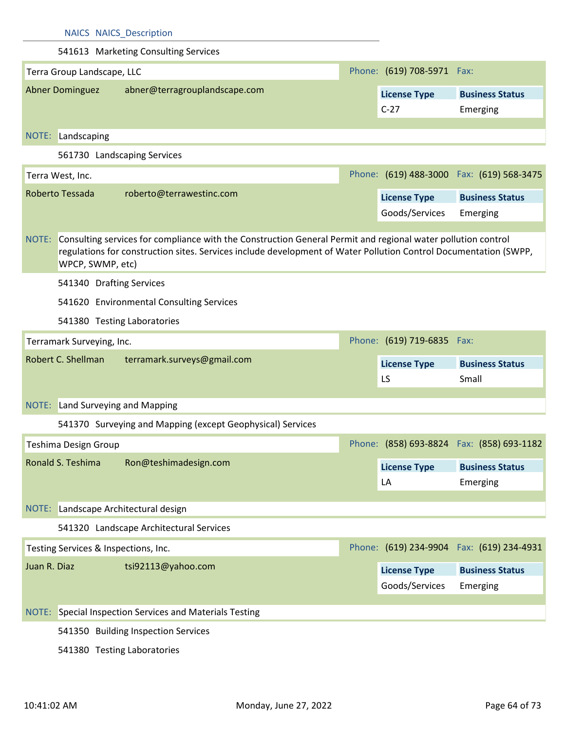| <b>NAICS NAICS Description</b>                                                                                                                                                                                                                                |                            |                                            |
|---------------------------------------------------------------------------------------------------------------------------------------------------------------------------------------------------------------------------------------------------------------|----------------------------|--------------------------------------------|
| 541613 Marketing Consulting Services                                                                                                                                                                                                                          |                            |                                            |
| Terra Group Landscape, LLC                                                                                                                                                                                                                                    | Phone: (619) 708-5971 Fax: |                                            |
| <b>Abner Dominguez</b><br>abner@terragrouplandscape.com                                                                                                                                                                                                       | <b>License Type</b>        | <b>Business Status</b>                     |
|                                                                                                                                                                                                                                                               | $C-27$                     | Emerging                                   |
| NOTE: Landscaping                                                                                                                                                                                                                                             |                            |                                            |
| 561730 Landscaping Services                                                                                                                                                                                                                                   |                            |                                            |
|                                                                                                                                                                                                                                                               |                            | Phone: (619) 488-3000 Fax: (619) 568-3475  |
| Terra West, Inc.<br>Roberto Tessada                                                                                                                                                                                                                           |                            |                                            |
| roberto@terrawestinc.com                                                                                                                                                                                                                                      | <b>License Type</b>        | <b>Business Status</b>                     |
|                                                                                                                                                                                                                                                               | Goods/Services             | Emerging                                   |
| Consulting services for compliance with the Construction General Permit and regional water pollution control<br>NOTE:<br>regulations for construction sites. Services include development of Water Pollution Control Documentation (SWPP,<br>WPCP, SWMP, etc) |                            |                                            |
| 541340 Drafting Services                                                                                                                                                                                                                                      |                            |                                            |
| 541620 Environmental Consulting Services                                                                                                                                                                                                                      |                            |                                            |
| 541380 Testing Laboratories                                                                                                                                                                                                                                   |                            |                                            |
| Terramark Surveying, Inc.                                                                                                                                                                                                                                     | Phone: (619) 719-6835 Fax: |                                            |
| Robert C. Shellman<br>terramark.surveys@gmail.com                                                                                                                                                                                                             | <b>License Type</b><br>LS  | <b>Business Status</b><br>Small            |
| NOTE: Land Surveying and Mapping                                                                                                                                                                                                                              |                            |                                            |
| 541370 Surveying and Mapping (except Geophysical) Services                                                                                                                                                                                                    |                            |                                            |
| Teshima Design Group                                                                                                                                                                                                                                          |                            | Phone: (858) 693-8824  Fax: (858) 693-1182 |
| Ronald S. Teshima<br>Ron@teshimadesign.com                                                                                                                                                                                                                    |                            |                                            |
|                                                                                                                                                                                                                                                               | <b>License Type</b>        | <b>Business Status</b>                     |
|                                                                                                                                                                                                                                                               | LA                         | Emerging                                   |
| NOTE: Landscape Architectural design                                                                                                                                                                                                                          |                            |                                            |
| 541320 Landscape Architectural Services                                                                                                                                                                                                                       |                            |                                            |
| Testing Services & Inspections, Inc.                                                                                                                                                                                                                          |                            | Phone: (619) 234-9904  Fax: (619) 234-4931 |
| Juan R. Diaz<br>tsi92113@yahoo.com                                                                                                                                                                                                                            | <b>License Type</b>        | <b>Business Status</b>                     |
|                                                                                                                                                                                                                                                               | Goods/Services             | Emerging                                   |
| NOTE: Special Inspection Services and Materials Testing                                                                                                                                                                                                       |                            |                                            |
| 541350 Building Inspection Services                                                                                                                                                                                                                           |                            |                                            |
|                                                                                                                                                                                                                                                               |                            |                                            |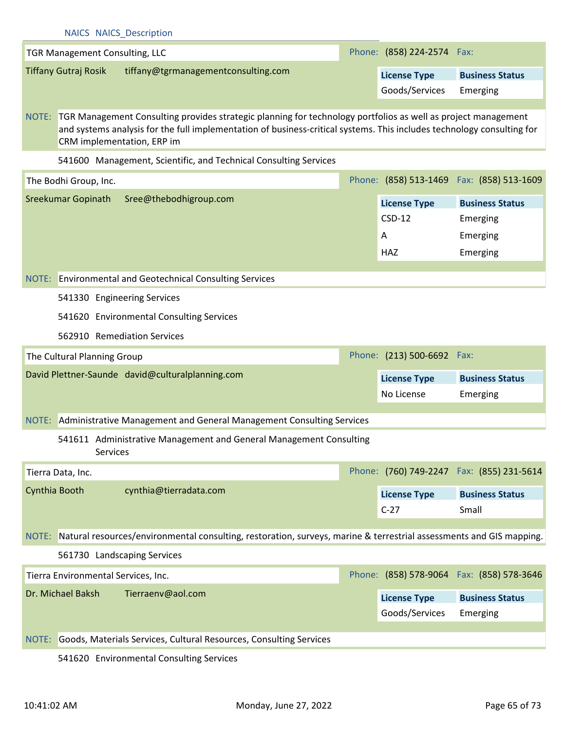|                                     | <b>NAICS NAICS Description</b>                                                                                                                                                                                                                                              |                            |                                            |
|-------------------------------------|-----------------------------------------------------------------------------------------------------------------------------------------------------------------------------------------------------------------------------------------------------------------------------|----------------------------|--------------------------------------------|
| TGR Management Consulting, LLC      |                                                                                                                                                                                                                                                                             | Phone: (858) 224-2574 Fax: |                                            |
| <b>Tiffany Gutraj Rosik</b>         | tiffany@tgrmanagementconsulting.com                                                                                                                                                                                                                                         | <b>License Type</b>        | <b>Business Status</b>                     |
|                                     |                                                                                                                                                                                                                                                                             | Goods/Services             | Emerging                                   |
|                                     |                                                                                                                                                                                                                                                                             |                            |                                            |
|                                     | NOTE: TGR Management Consulting provides strategic planning for technology portfolios as well as project management<br>and systems analysis for the full implementation of business-critical systems. This includes technology consulting for<br>CRM implementation, ERP im |                            |                                            |
|                                     | 541600 Management, Scientific, and Technical Consulting Services                                                                                                                                                                                                            |                            |                                            |
| The Bodhi Group, Inc.               |                                                                                                                                                                                                                                                                             |                            | Phone: (858) 513-1469  Fax: (858) 513-1609 |
| Sreekumar Gopinath                  | Sree@thebodhigroup.com                                                                                                                                                                                                                                                      | <b>License Type</b>        | <b>Business Status</b>                     |
|                                     |                                                                                                                                                                                                                                                                             | $CSD-12$                   | Emerging                                   |
|                                     |                                                                                                                                                                                                                                                                             | Α                          | Emerging                                   |
|                                     |                                                                                                                                                                                                                                                                             | HAZ                        | Emerging                                   |
|                                     |                                                                                                                                                                                                                                                                             |                            |                                            |
|                                     | NOTE: Environmental and Geotechnical Consulting Services                                                                                                                                                                                                                    |                            |                                            |
|                                     | 541330 Engineering Services                                                                                                                                                                                                                                                 |                            |                                            |
|                                     | 541620 Environmental Consulting Services                                                                                                                                                                                                                                    |                            |                                            |
|                                     | 562910 Remediation Services                                                                                                                                                                                                                                                 |                            |                                            |
| The Cultural Planning Group         |                                                                                                                                                                                                                                                                             | Phone: (213) 500-6692      | Fax:                                       |
|                                     | David Plettner-Saunde david@culturalplanning.com                                                                                                                                                                                                                            | <b>License Type</b>        | <b>Business Status</b>                     |
|                                     |                                                                                                                                                                                                                                                                             | No License                 | Emerging                                   |
|                                     |                                                                                                                                                                                                                                                                             |                            |                                            |
|                                     | NOTE: Administrative Management and General Management Consulting Services                                                                                                                                                                                                  |                            |                                            |
| Services                            | 541611 Administrative Management and General Management Consulting                                                                                                                                                                                                          |                            |                                            |
| Tierra Data, Inc.                   |                                                                                                                                                                                                                                                                             |                            | Phone: (760) 749-2247  Fax: (855) 231-5614 |
| Cynthia Booth                       | cynthia@tierradata.com                                                                                                                                                                                                                                                      | <b>License Type</b>        | <b>Business Status</b>                     |
|                                     |                                                                                                                                                                                                                                                                             | $C-27$                     | Small                                      |
|                                     |                                                                                                                                                                                                                                                                             |                            |                                            |
|                                     | NOTE: Natural resources/environmental consulting, restoration, surveys, marine & terrestrial assessments and GIS mapping.                                                                                                                                                   |                            |                                            |
|                                     | 561730 Landscaping Services                                                                                                                                                                                                                                                 |                            |                                            |
| Tierra Environmental Services, Inc. |                                                                                                                                                                                                                                                                             |                            | Phone: (858) 578-9064  Fax: (858) 578-3646 |
| Dr. Michael Baksh                   | Tierraenv@aol.com                                                                                                                                                                                                                                                           | <b>License Type</b>        | <b>Business Status</b>                     |
|                                     |                                                                                                                                                                                                                                                                             | Goods/Services             | Emerging                                   |
| NOTE:                               | Goods, Materials Services, Cultural Resources, Consulting Services                                                                                                                                                                                                          |                            |                                            |
|                                     |                                                                                                                                                                                                                                                                             |                            |                                            |

541620 Environmental Consulting Services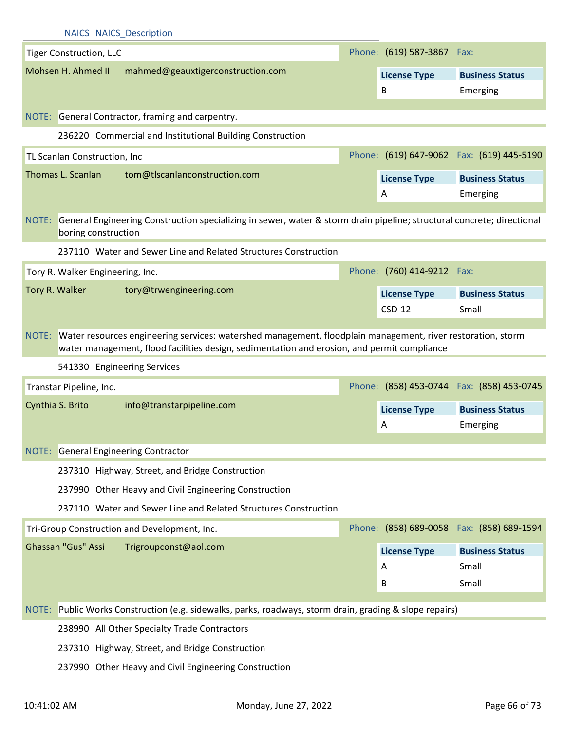| <b>NAICS NAICS Description</b>   |                                                                                                                                                                                                                  |                            |                                            |
|----------------------------------|------------------------------------------------------------------------------------------------------------------------------------------------------------------------------------------------------------------|----------------------------|--------------------------------------------|
| <b>Tiger Construction, LLC</b>   |                                                                                                                                                                                                                  | Phone: (619) 587-3867 Fax: |                                            |
| Mohsen H. Ahmed II               | mahmed@geauxtigerconstruction.com                                                                                                                                                                                | <b>License Type</b>        | <b>Business Status</b>                     |
|                                  |                                                                                                                                                                                                                  | B                          | Emerging                                   |
|                                  |                                                                                                                                                                                                                  |                            |                                            |
|                                  | NOTE: General Contractor, framing and carpentry.                                                                                                                                                                 |                            |                                            |
|                                  | 236220 Commercial and Institutional Building Construction                                                                                                                                                        |                            |                                            |
| TL Scanlan Construction, Inc     |                                                                                                                                                                                                                  |                            | Phone: (619) 647-9062 Fax: (619) 445-5190  |
| Thomas L. Scanlan                | tom@tlscanlanconstruction.com                                                                                                                                                                                    | <b>License Type</b>        | <b>Business Status</b>                     |
|                                  |                                                                                                                                                                                                                  | A                          | Emerging                                   |
| boring construction              | NOTE: General Engineering Construction specializing in sewer, water & storm drain pipeline; structural concrete; directional                                                                                     |                            |                                            |
|                                  | 237110 Water and Sewer Line and Related Structures Construction                                                                                                                                                  |                            |                                            |
| Tory R. Walker Engineering, Inc. |                                                                                                                                                                                                                  | Phone: (760) 414-9212 Fax: |                                            |
| Tory R. Walker                   | tory@trwengineering.com                                                                                                                                                                                          | <b>License Type</b>        | <b>Business Status</b>                     |
|                                  |                                                                                                                                                                                                                  | $CSD-12$                   | Small                                      |
|                                  | NOTE: Water resources engineering services: watershed management, floodplain management, river restoration, storm<br>water management, flood facilities design, sedimentation and erosion, and permit compliance |                            |                                            |
|                                  |                                                                                                                                                                                                                  |                            |                                            |
| 541330 Engineering Services      |                                                                                                                                                                                                                  |                            |                                            |
| Transtar Pipeline, Inc.          |                                                                                                                                                                                                                  |                            | Phone: (858) 453-0744  Fax: (858) 453-0745 |
| Cynthia S. Brito                 | info@transtarpipeline.com                                                                                                                                                                                        | <b>License Type</b>        | <b>Business Status</b>                     |
|                                  |                                                                                                                                                                                                                  | A                          | Emerging                                   |
|                                  |                                                                                                                                                                                                                  |                            |                                            |
|                                  | <b>NOTE:</b> General Engineering Contractor                                                                                                                                                                      |                            |                                            |
|                                  | 237310 Highway, Street, and Bridge Construction                                                                                                                                                                  |                            |                                            |
|                                  | 237990 Other Heavy and Civil Engineering Construction                                                                                                                                                            |                            |                                            |
|                                  | 237110 Water and Sewer Line and Related Structures Construction                                                                                                                                                  |                            |                                            |
|                                  | Tri-Group Construction and Development, Inc.                                                                                                                                                                     |                            | Phone: (858) 689-0058  Fax: (858) 689-1594 |
| Ghassan "Gus" Assi               | Trigroupconst@aol.com                                                                                                                                                                                            | <b>License Type</b>        | <b>Business Status</b>                     |
|                                  |                                                                                                                                                                                                                  | A                          | Small                                      |
|                                  |                                                                                                                                                                                                                  | B                          | Small                                      |
|                                  |                                                                                                                                                                                                                  |                            |                                            |
|                                  | NOTE: Public Works Construction (e.g. sidewalks, parks, roadways, storm drain, grading & slope repairs)                                                                                                          |                            |                                            |
|                                  | 238990 All Other Specialty Trade Contractors                                                                                                                                                                     |                            |                                            |
|                                  | 237310 Highway, Street, and Bridge Construction                                                                                                                                                                  |                            |                                            |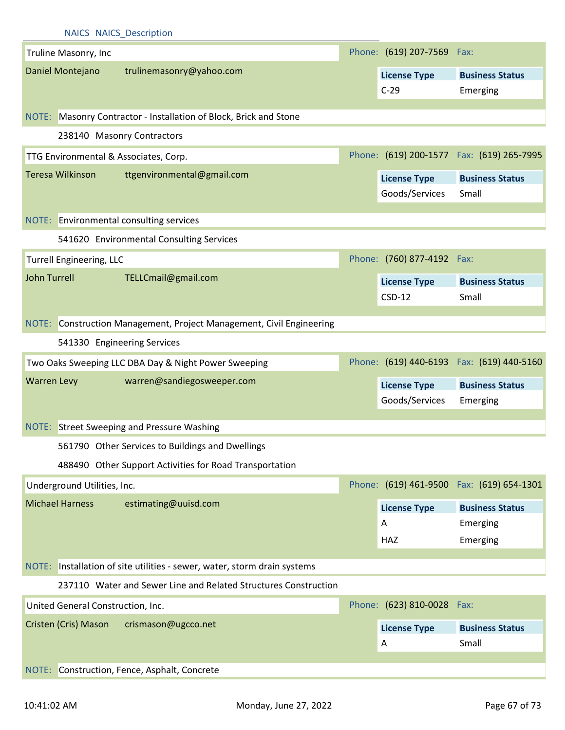|                    |                                   | <b>NAICS NAICS Description</b>                                           |                            |                                            |
|--------------------|-----------------------------------|--------------------------------------------------------------------------|----------------------------|--------------------------------------------|
|                    | Truline Masonry, Inc              |                                                                          | Phone: (619) 207-7569 Fax: |                                            |
|                    | Daniel Montejano                  | trulinemasonry@yahoo.com                                                 | <b>License Type</b>        | <b>Business Status</b>                     |
|                    |                                   |                                                                          | $C-29$                     | Emerging                                   |
|                    |                                   |                                                                          |                            |                                            |
|                    |                                   | NOTE: Masonry Contractor - Installation of Block, Brick and Stone        |                            |                                            |
|                    |                                   | 238140 Masonry Contractors                                               |                            |                                            |
|                    |                                   | TTG Environmental & Associates, Corp.                                    |                            | Phone: (619) 200-1577  Fax: (619) 265-7995 |
|                    | Teresa Wilkinson                  | ttgenvironmental@gmail.com                                               | <b>License Type</b>        | <b>Business Status</b>                     |
|                    |                                   |                                                                          | Goods/Services             | Small                                      |
|                    |                                   | NOTE: Environmental consulting services                                  |                            |                                            |
|                    |                                   | 541620 Environmental Consulting Services                                 |                            |                                            |
|                    |                                   |                                                                          |                            |                                            |
|                    | <b>Turrell Engineering, LLC</b>   |                                                                          | Phone: (760) 877-4192 Fax: |                                            |
| John Turrell       |                                   | TELLCmail@gmail.com                                                      | <b>License Type</b>        | <b>Business Status</b>                     |
|                    |                                   |                                                                          | $CSD-12$                   | Small                                      |
|                    |                                   | NOTE: Construction Management, Project Management, Civil Engineering     |                            |                                            |
|                    |                                   | 541330 Engineering Services                                              |                            |                                            |
|                    |                                   |                                                                          |                            |                                            |
|                    |                                   | Two Oaks Sweeping LLC DBA Day & Night Power Sweeping                     |                            | Phone: (619) 440-6193  Fax: (619) 440-5160 |
| <b>Warren Levy</b> |                                   | warren@sandiegosweeper.com                                               | <b>License Type</b>        | <b>Business Status</b>                     |
|                    |                                   |                                                                          | Goods/Services             | Emerging                                   |
|                    |                                   | NOTE: Street Sweeping and Pressure Washing                               |                            |                                            |
|                    |                                   | 561790 Other Services to Buildings and Dwellings                         |                            |                                            |
|                    |                                   | 488490 Other Support Activities for Road Transportation                  |                            |                                            |
|                    | Underground Utilities, Inc.       |                                                                          |                            | Phone: (619) 461-9500 Fax: (619) 654-1301  |
|                    | <b>Michael Harness</b>            | estimating@uuisd.com                                                     | <b>License Type</b>        | <b>Business Status</b>                     |
|                    |                                   |                                                                          | A                          | Emerging                                   |
|                    |                                   |                                                                          | <b>HAZ</b>                 | Emerging                                   |
|                    |                                   |                                                                          |                            |                                            |
|                    |                                   | NOTE: Installation of site utilities - sewer, water, storm drain systems |                            |                                            |
|                    |                                   | 237110 Water and Sewer Line and Related Structures Construction          |                            |                                            |
|                    | United General Construction, Inc. |                                                                          | Phone: (623) 810-0028 Fax: |                                            |
|                    | Cristen (Cris) Mason              | crismason@ugcco.net                                                      | <b>License Type</b>        | <b>Business Status</b>                     |
|                    |                                   |                                                                          | A                          | Small                                      |
| NOTE:              |                                   | Construction, Fence, Asphalt, Concrete                                   |                            |                                            |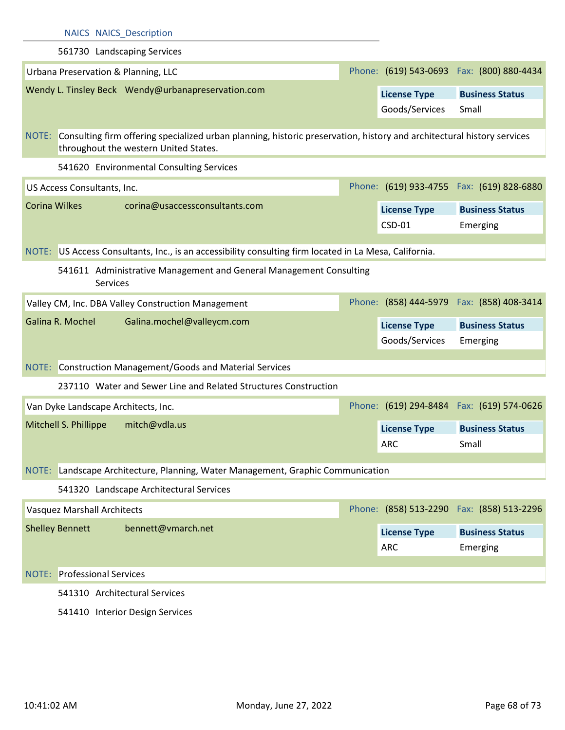|                                    | <b>NAICS NAICS Description</b>                                                                                                                                        |                                       |                                            |
|------------------------------------|-----------------------------------------------------------------------------------------------------------------------------------------------------------------------|---------------------------------------|--------------------------------------------|
|                                    | 561730 Landscaping Services                                                                                                                                           |                                       |                                            |
|                                    | Urbana Preservation & Planning, LLC                                                                                                                                   |                                       | Phone: (619) 543-0693  Fax: (800) 880-4434 |
|                                    | Wendy L. Tinsley Beck Wendy@urbanapreservation.com                                                                                                                    | <b>License Type</b>                   | <b>Business Status</b>                     |
|                                    |                                                                                                                                                                       | Goods/Services                        | Small                                      |
|                                    |                                                                                                                                                                       |                                       |                                            |
|                                    | NOTE: Consulting firm offering specialized urban planning, historic preservation, history and architectural history services<br>throughout the western United States. |                                       |                                            |
|                                    | 541620 Environmental Consulting Services                                                                                                                              |                                       |                                            |
| US Access Consultants, Inc.        |                                                                                                                                                                       |                                       | Phone: (619) 933-4755  Fax: (619) 828-6880 |
| <b>Corina Wilkes</b>               | corina@usaccessconsultants.com                                                                                                                                        | <b>License Type</b>                   | <b>Business Status</b>                     |
|                                    |                                                                                                                                                                       | CSD-01                                | Emerging                                   |
|                                    |                                                                                                                                                                       |                                       |                                            |
|                                    | NOTE: US Access Consultants, Inc., is an accessibility consulting firm located in La Mesa, California.                                                                |                                       |                                            |
|                                    | 541611 Administrative Management and General Management Consulting<br>Services                                                                                        |                                       |                                            |
|                                    | Valley CM, Inc. DBA Valley Construction Management                                                                                                                    |                                       | Phone: (858) 444-5979  Fax: (858) 408-3414 |
| Galina R. Mochel                   |                                                                                                                                                                       |                                       |                                            |
|                                    | Galina.mochel@valleycm.com                                                                                                                                            |                                       | <b>Business Status</b>                     |
|                                    |                                                                                                                                                                       | <b>License Type</b><br>Goods/Services | Emerging                                   |
|                                    |                                                                                                                                                                       |                                       |                                            |
|                                    | NOTE: Construction Management/Goods and Material Services                                                                                                             |                                       |                                            |
|                                    | 237110 Water and Sewer Line and Related Structures Construction                                                                                                       |                                       |                                            |
|                                    | Van Dyke Landscape Architects, Inc.                                                                                                                                   |                                       | Phone: (619) 294-8484  Fax: (619) 574-0626 |
| Mitchell S. Phillippe              | mitch@vdla.us                                                                                                                                                         | <b>License Type</b>                   | <b>Business Status</b>                     |
|                                    |                                                                                                                                                                       | <b>ARC</b>                            | Small                                      |
|                                    |                                                                                                                                                                       |                                       |                                            |
|                                    | NOTE: Landscape Architecture, Planning, Water Management, Graphic Communication                                                                                       |                                       |                                            |
|                                    | 541320 Landscape Architectural Services                                                                                                                               |                                       | Phone: (858) 513-2290 Fax: (858) 513-2296  |
| <b>Vasquez Marshall Architects</b> |                                                                                                                                                                       |                                       |                                            |
| <b>Shelley Bennett</b>             | bennett@vmarch.net                                                                                                                                                    | <b>License Type</b>                   | <b>Business Status</b>                     |
|                                    |                                                                                                                                                                       | <b>ARC</b>                            | Emerging                                   |
| <b>NOTE:</b> Professional Services |                                                                                                                                                                       |                                       |                                            |
|                                    | 541310 Architectural Services                                                                                                                                         |                                       |                                            |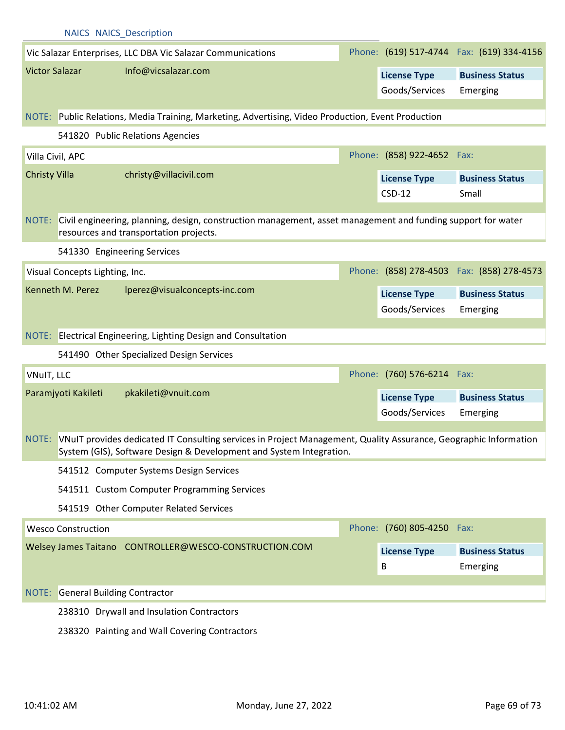|                       | NAICS NAICS Description            |                                                                                                                                                                                               |                            |                                            |
|-----------------------|------------------------------------|-----------------------------------------------------------------------------------------------------------------------------------------------------------------------------------------------|----------------------------|--------------------------------------------|
|                       |                                    | Vic Salazar Enterprises, LLC DBA Vic Salazar Communications                                                                                                                                   |                            | Phone: (619) 517-4744  Fax: (619) 334-4156 |
| <b>Victor Salazar</b> |                                    | Info@vicsalazar.com                                                                                                                                                                           | <b>License Type</b>        | <b>Business Status</b>                     |
|                       |                                    |                                                                                                                                                                                               | Goods/Services             | Emerging                                   |
|                       |                                    |                                                                                                                                                                                               |                            |                                            |
|                       |                                    | NOTE: Public Relations, Media Training, Marketing, Advertising, Video Production, Event Production                                                                                            |                            |                                            |
|                       |                                    | 541820 Public Relations Agencies                                                                                                                                                              |                            |                                            |
|                       | Villa Civil, APC                   |                                                                                                                                                                                               | Phone: (858) 922-4652 Fax: |                                            |
| <b>Christy Villa</b>  |                                    | christy@villacivil.com                                                                                                                                                                        | <b>License Type</b>        | <b>Business Status</b>                     |
|                       |                                    |                                                                                                                                                                                               | $CSD-12$                   | Small                                      |
| NOTE:                 |                                    | Civil engineering, planning, design, construction management, asset management and funding support for water<br>resources and transportation projects.                                        |                            |                                            |
|                       | 541330 Engineering Services        |                                                                                                                                                                                               |                            |                                            |
|                       | Visual Concepts Lighting, Inc.     |                                                                                                                                                                                               |                            | Phone: (858) 278-4503  Fax: (858) 278-4573 |
|                       | Kenneth M. Perez                   | lperez@visualconcepts-inc.com                                                                                                                                                                 | <b>License Type</b>        | <b>Business Status</b>                     |
|                       |                                    |                                                                                                                                                                                               | Goods/Services             | Emerging                                   |
|                       |                                    |                                                                                                                                                                                               |                            |                                            |
|                       |                                    |                                                                                                                                                                                               |                            |                                            |
|                       |                                    | NOTE: Electrical Engineering, Lighting Design and Consultation                                                                                                                                |                            |                                            |
|                       |                                    | 541490 Other Specialized Design Services                                                                                                                                                      |                            |                                            |
| VNuIT, LLC            |                                    |                                                                                                                                                                                               | Phone: (760) 576-6214 Fax: |                                            |
|                       | Paramjyoti Kakileti                | pkakileti@vnuit.com                                                                                                                                                                           | <b>License Type</b>        | <b>Business Status</b>                     |
|                       |                                    |                                                                                                                                                                                               | Goods/Services             | Emerging                                   |
|                       |                                    | NOTE: VNuIT provides dedicated IT Consulting services in Project Management, Quality Assurance, Geographic Information<br>System (GIS), Software Design & Development and System Integration. |                            |                                            |
|                       |                                    | 541512 Computer Systems Design Services                                                                                                                                                       |                            |                                            |
|                       |                                    | 541511 Custom Computer Programming Services                                                                                                                                                   |                            |                                            |
|                       |                                    | 541519 Other Computer Related Services                                                                                                                                                        |                            |                                            |
|                       | <b>Wesco Construction</b>          |                                                                                                                                                                                               | Phone: (760) 805-4250 Fax: |                                            |
|                       |                                    | Welsey James Taitano CONTROLLER@WESCO-CONSTRUCTION.COM                                                                                                                                        | <b>License Type</b>        | <b>Business Status</b>                     |
|                       |                                    |                                                                                                                                                                                               | B                          | Emerging                                   |
|                       |                                    |                                                                                                                                                                                               |                            |                                            |
| NOTE:                 | <b>General Building Contractor</b> | 238310 Drywall and Insulation Contractors                                                                                                                                                     |                            |                                            |

238320 Painting and Wall Covering Contractors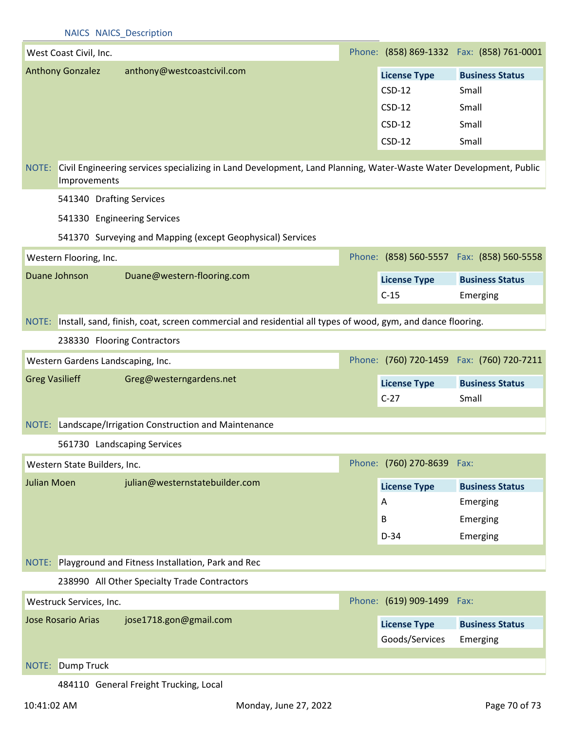|                       | West Coast Civil, Inc.       |                                                                                                                   |                                            | Phone: (858) 869-1332  Fax: (858) 761-0001 |
|-----------------------|------------------------------|-------------------------------------------------------------------------------------------------------------------|--------------------------------------------|--------------------------------------------|
|                       | <b>Anthony Gonzalez</b>      | anthony@westcoastcivil.com                                                                                        | <b>License Type</b>                        | <b>Business Status</b>                     |
|                       |                              |                                                                                                                   | $CSD-12$                                   | Small                                      |
|                       |                              |                                                                                                                   | $CSD-12$                                   | Small                                      |
|                       |                              |                                                                                                                   | $CSD-12$                                   | Small                                      |
|                       |                              |                                                                                                                   | $CSD-12$                                   | Small                                      |
| NOTE:                 | Improvements                 | Civil Engineering services specializing in Land Development, Land Planning, Water-Waste Water Development, Public |                                            |                                            |
|                       | 541340 Drafting Services     |                                                                                                                   |                                            |                                            |
|                       |                              | 541330 Engineering Services                                                                                       |                                            |                                            |
|                       |                              | 541370 Surveying and Mapping (except Geophysical) Services                                                        |                                            |                                            |
|                       | Western Flooring, Inc.       |                                                                                                                   |                                            | Phone: (858) 560-5557 Fax: (858) 560-5558  |
|                       | Duane Johnson                | Duane@western-flooring.com                                                                                        | <b>License Type</b>                        | <b>Business Status</b>                     |
|                       |                              |                                                                                                                   | $C-15$                                     | Emerging                                   |
|                       |                              | NOTE: Install, sand, finish, coat, screen commercial and residential all types of wood, gym, and dance flooring.  |                                            |                                            |
|                       |                              |                                                                                                                   |                                            |                                            |
|                       |                              | 238330 Flooring Contractors                                                                                       |                                            |                                            |
|                       |                              |                                                                                                                   |                                            |                                            |
|                       |                              | Western Gardens Landscaping, Inc.                                                                                 | Phone: (760) 720-1459  Fax: (760) 720-7211 |                                            |
| <b>Greg Vasilieff</b> |                              | Greg@westerngardens.net                                                                                           | <b>License Type</b>                        | <b>Business Status</b>                     |
|                       |                              |                                                                                                                   | $C-27$                                     | Small                                      |
|                       |                              | NOTE: Landscape/Irrigation Construction and Maintenance                                                           |                                            |                                            |
|                       |                              | 561730 Landscaping Services                                                                                       |                                            |                                            |
|                       | Western State Builders, Inc. |                                                                                                                   | Phone: (760) 270-8639 Fax:                 |                                            |
| <b>Julian Moen</b>    |                              | julian@westernstatebuilder.com                                                                                    |                                            |                                            |
|                       |                              |                                                                                                                   | <b>License Type</b><br>A                   | <b>Business Status</b>                     |
|                       |                              |                                                                                                                   | B                                          | Emerging                                   |
|                       |                              |                                                                                                                   | $D-34$                                     | Emerging<br>Emerging                       |
|                       |                              |                                                                                                                   |                                            |                                            |
|                       |                              | NOTE: Playground and Fitness Installation, Park and Rec                                                           |                                            |                                            |
|                       |                              | 238990 All Other Specialty Trade Contractors                                                                      |                                            |                                            |
|                       | Westruck Services, Inc.      |                                                                                                                   | Phone: (619) 909-1499 Fax:                 |                                            |
|                       | <b>Jose Rosario Arias</b>    | jose1718.gon@gmail.com                                                                                            | <b>License Type</b>                        | <b>Business Status</b>                     |
|                       |                              |                                                                                                                   | Goods/Services                             | Emerging                                   |
|                       |                              |                                                                                                                   |                                            |                                            |
| NOTE:                 | <b>Dump Truck</b>            | 484110 General Freight Trucking, Local                                                                            |                                            |                                            |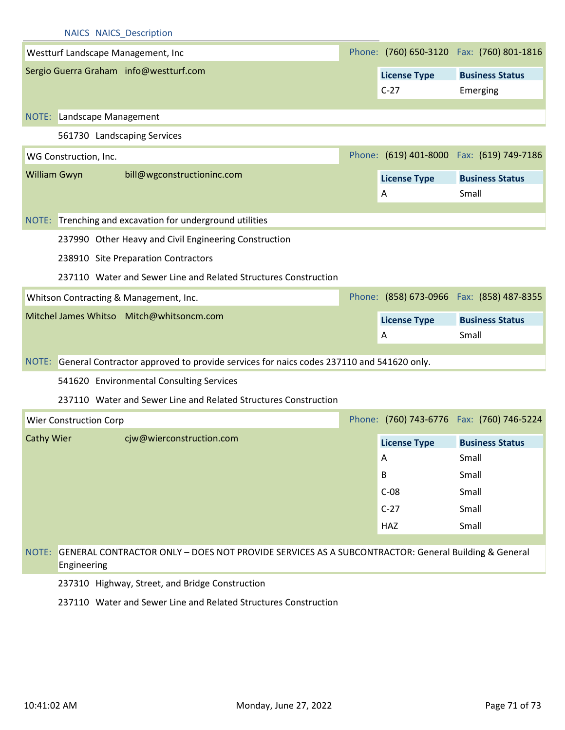|                       | Westturf Landscape Management, Inc                                                           |                               | Phone: (760) 650-3120  Fax: (760) 801-1816 |
|-----------------------|----------------------------------------------------------------------------------------------|-------------------------------|--------------------------------------------|
|                       | Sergio Guerra Graham info@westturf.com                                                       | <b>License Type</b><br>$C-27$ | <b>Business Status</b><br>Emerging         |
| NOTE:                 | Landscape Management                                                                         |                               |                                            |
|                       | 561730 Landscaping Services                                                                  |                               |                                            |
| WG Construction, Inc. |                                                                                              |                               | Phone: (619) 401-8000 Fax: (619) 749-7186  |
| William Gwyn          | bill@wgconstructioninc.com                                                                   | <b>License Type</b><br>A      | <b>Business Status</b><br>Small            |
|                       | NOTE: Trenching and excavation for underground utilities                                     |                               |                                            |
|                       | 237990 Other Heavy and Civil Engineering Construction<br>238910 Site Preparation Contractors |                               |                                            |
|                       | 237110 Water and Sewer Line and Related Structures Construction                              |                               |                                            |
|                       | Whitson Contracting & Management, Inc.                                                       |                               | Phone: (858) 673-0966 Fax: (858) 487-8355  |
|                       | Mitchel James Whitso Mitch@whitsoncm.com                                                     | <b>License Type</b><br>Α      | <b>Business Status</b><br>Small            |
| NOTE:                 | General Contractor approved to provide services for naics codes 237110 and 541620 only.      |                               |                                            |
|                       | 541620 Environmental Consulting Services                                                     |                               |                                            |

237110 Water and Sewer Line and Related Structures Construction

| Wier Construction Corp |                          |                     | Phone: (760) 743-6776 Fax: (760) 746-5224 |
|------------------------|--------------------------|---------------------|-------------------------------------------|
| <b>Cathy Wier</b>      | cjw@wierconstruction.com | <b>License Type</b> | <b>Business Status</b>                    |
|                        |                          | A                   | Small                                     |
|                        |                          | В                   | Small                                     |
|                        |                          | $C-08$              | Small                                     |
|                        |                          | $C-27$              | Small                                     |
|                        |                          | HAZ                 | Small                                     |

## NOTE: GENERAL CONTRACTOR ONLY – DOES NOT PROVIDE SERVICES AS A SUBCONTRACTOR: General Building & General Engineering

237310 Highway, Street, and Bridge Construction

237110 Water and Sewer Line and Related Structures Construction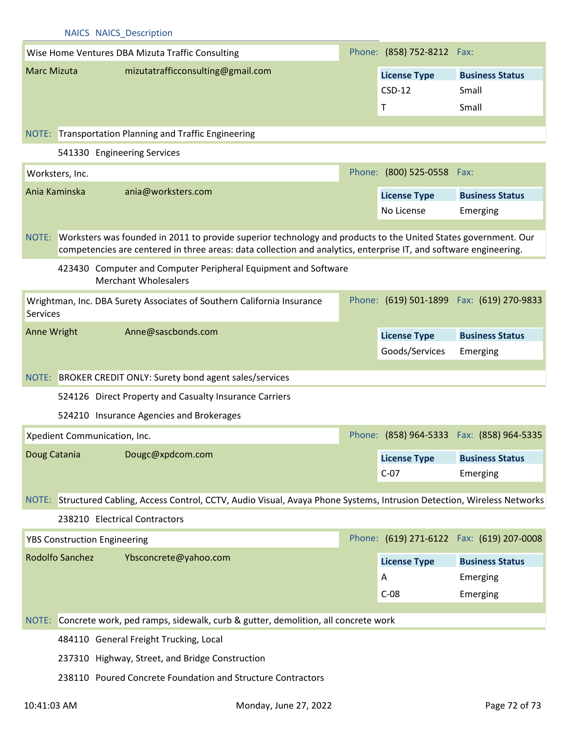| <b>NAICS NAICS Description</b>                                                                |                                                                                                                                                                                                                                              |                                                                                                                           |  |                            |                                            |  |  |  |  |
|-----------------------------------------------------------------------------------------------|----------------------------------------------------------------------------------------------------------------------------------------------------------------------------------------------------------------------------------------------|---------------------------------------------------------------------------------------------------------------------------|--|----------------------------|--------------------------------------------|--|--|--|--|
|                                                                                               |                                                                                                                                                                                                                                              | Wise Home Ventures DBA Mizuta Traffic Consulting                                                                          |  | Phone: (858) 752-8212 Fax: |                                            |  |  |  |  |
| <b>Marc Mizuta</b>                                                                            |                                                                                                                                                                                                                                              | mizutatrafficconsulting@gmail.com                                                                                         |  | <b>License Type</b>        | <b>Business Status</b>                     |  |  |  |  |
|                                                                                               |                                                                                                                                                                                                                                              |                                                                                                                           |  | $CSD-12$                   | Small                                      |  |  |  |  |
|                                                                                               |                                                                                                                                                                                                                                              |                                                                                                                           |  | Τ                          | Small                                      |  |  |  |  |
|                                                                                               |                                                                                                                                                                                                                                              |                                                                                                                           |  |                            |                                            |  |  |  |  |
| NOTE: Transportation Planning and Traffic Engineering                                         |                                                                                                                                                                                                                                              |                                                                                                                           |  |                            |                                            |  |  |  |  |
|                                                                                               |                                                                                                                                                                                                                                              | 541330 Engineering Services                                                                                               |  |                            |                                            |  |  |  |  |
|                                                                                               | Worksters, Inc.                                                                                                                                                                                                                              |                                                                                                                           |  | Phone: (800) 525-0558 Fax: |                                            |  |  |  |  |
| Ania Kaminska                                                                                 |                                                                                                                                                                                                                                              | ania@worksters.com                                                                                                        |  | <b>License Type</b>        | <b>Business Status</b>                     |  |  |  |  |
|                                                                                               |                                                                                                                                                                                                                                              |                                                                                                                           |  | No License                 | Emerging                                   |  |  |  |  |
|                                                                                               |                                                                                                                                                                                                                                              |                                                                                                                           |  |                            |                                            |  |  |  |  |
|                                                                                               | Worksters was founded in 2011 to provide superior technology and products to the United States government. Our<br>NOTE:<br>competencies are centered in three areas: data collection and analytics, enterprise IT, and software engineering. |                                                                                                                           |  |                            |                                            |  |  |  |  |
| 423430 Computer and Computer Peripheral Equipment and Software<br><b>Merchant Wholesalers</b> |                                                                                                                                                                                                                                              |                                                                                                                           |  |                            |                                            |  |  |  |  |
| <b>Services</b>                                                                               |                                                                                                                                                                                                                                              | Wrightman, Inc. DBA Surety Associates of Southern California Insurance                                                    |  |                            | Phone: (619) 501-1899  Fax: (619) 270-9833 |  |  |  |  |
| Anne Wright                                                                                   |                                                                                                                                                                                                                                              | Anne@sascbonds.com                                                                                                        |  | <b>License Type</b>        | <b>Business Status</b>                     |  |  |  |  |
|                                                                                               |                                                                                                                                                                                                                                              |                                                                                                                           |  | Goods/Services             | Emerging                                   |  |  |  |  |
|                                                                                               |                                                                                                                                                                                                                                              |                                                                                                                           |  |                            |                                            |  |  |  |  |
| NOTE:                                                                                         |                                                                                                                                                                                                                                              | BROKER CREDIT ONLY: Surety bond agent sales/services                                                                      |  |                            |                                            |  |  |  |  |
|                                                                                               |                                                                                                                                                                                                                                              | 524126 Direct Property and Casualty Insurance Carriers                                                                    |  |                            |                                            |  |  |  |  |
|                                                                                               |                                                                                                                                                                                                                                              | 524210 Insurance Agencies and Brokerages                                                                                  |  |                            |                                            |  |  |  |  |
|                                                                                               |                                                                                                                                                                                                                                              | Xpedient Communication, Inc.                                                                                              |  |                            | Phone: (858) 964-5333  Fax: (858) 964-5335 |  |  |  |  |
| Doug Catania                                                                                  |                                                                                                                                                                                                                                              | Dougc@xpdcom.com                                                                                                          |  | <b>License Type</b>        | <b>Business Status</b>                     |  |  |  |  |
|                                                                                               |                                                                                                                                                                                                                                              |                                                                                                                           |  | $C-07$                     | Emerging                                   |  |  |  |  |
|                                                                                               |                                                                                                                                                                                                                                              |                                                                                                                           |  |                            |                                            |  |  |  |  |
|                                                                                               |                                                                                                                                                                                                                                              | NOTE: Structured Cabling, Access Control, CCTV, Audio Visual, Avaya Phone Systems, Intrusion Detection, Wireless Networks |  |                            |                                            |  |  |  |  |
|                                                                                               |                                                                                                                                                                                                                                              | 238210 Electrical Contractors                                                                                             |  |                            |                                            |  |  |  |  |
|                                                                                               |                                                                                                                                                                                                                                              | <b>YBS Construction Engineering</b>                                                                                       |  |                            | Phone: (619) 271-6122  Fax: (619) 207-0008 |  |  |  |  |
|                                                                                               | <b>Rodolfo Sanchez</b>                                                                                                                                                                                                                       | Ybsconcrete@yahoo.com                                                                                                     |  | <b>License Type</b>        | <b>Business Status</b>                     |  |  |  |  |
|                                                                                               |                                                                                                                                                                                                                                              |                                                                                                                           |  | A                          | Emerging                                   |  |  |  |  |
|                                                                                               |                                                                                                                                                                                                                                              |                                                                                                                           |  | $C-08$                     | Emerging                                   |  |  |  |  |
|                                                                                               |                                                                                                                                                                                                                                              |                                                                                                                           |  |                            |                                            |  |  |  |  |
|                                                                                               | Concrete work, ped ramps, sidewalk, curb & gutter, demolition, all concrete work<br>NOTE:                                                                                                                                                    |                                                                                                                           |  |                            |                                            |  |  |  |  |
|                                                                                               | 484110 General Freight Trucking, Local                                                                                                                                                                                                       |                                                                                                                           |  |                            |                                            |  |  |  |  |
|                                                                                               |                                                                                                                                                                                                                                              | 237310 Highway, Street, and Bridge Construction                                                                           |  |                            |                                            |  |  |  |  |